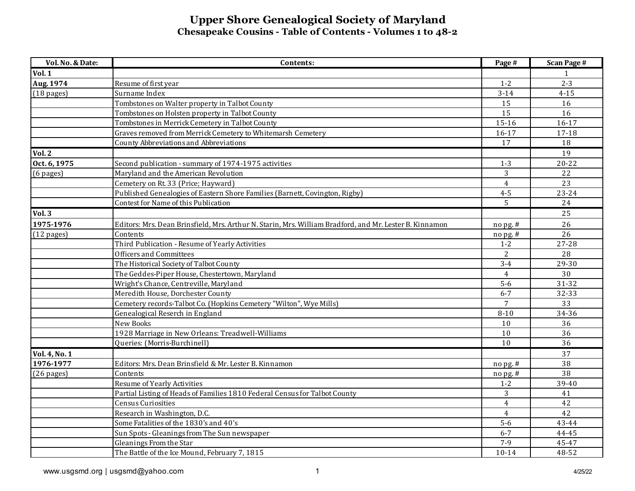| Vol. No. & Date:     | Contents:                                                                                               | Page #         | <b>Scan Page #</b> |
|----------------------|---------------------------------------------------------------------------------------------------------|----------------|--------------------|
| <b>Vol. 1</b>        |                                                                                                         |                |                    |
| Aug. 1974            | Resume of first year                                                                                    | $1 - 2$        | $2 - 3$            |
| $(18 \text{ pages})$ | Surname Index                                                                                           | $3 - 14$       | $4 - 15$           |
|                      | Tombstones on Walter property in Talbot County                                                          | 15             | 16                 |
|                      | Tombstones on Holsten property in Talbot County                                                         | 15             | 16                 |
|                      | Tombstones in Merrick Cemetery in Talbot County                                                         | 15-16          | $16-17$            |
|                      | Graves removed from Merrick Cemetery to Whitemarsh Cemetery                                             | 16-17          | 17-18              |
|                      | County Abbreviations and Abbreviations                                                                  | 17             | 18                 |
| <b>Vol. 2</b>        |                                                                                                         |                | 19                 |
| Oct. 6, 1975         | Second publication - summary of 1974-1975 activities                                                    | $1 - 3$        | $20 - 22$          |
| (6 pages)            | Maryland and the American Revolution                                                                    | 3              | 22                 |
|                      | Cemetery on Rt. 33 (Price; Hayward)                                                                     | $\overline{4}$ | 23                 |
|                      | Published Genealogies of Eastern Shore Families (Barnett, Covington, Rigby)                             | $4 - 5$        | $23 - 24$          |
|                      | Contest for Name of this Publication                                                                    | 5              | 24                 |
| <b>Vol. 3</b>        |                                                                                                         |                | 25                 |
| 1975-1976            | Editors: Mrs. Dean Brinsfield, Mrs. Arthur N. Starin, Mrs. William Bradford, and Mr. Lester B. Kinnamon | no pg. #       | 26                 |
| $(12 \text{ pages})$ | Contents                                                                                                | nopg.#         | 26                 |
|                      | Third Publication - Resume of Yearly Activities                                                         | $1 - 2$        | 27-28              |
|                      | <b>Officers and Committees</b>                                                                          | $\overline{2}$ | 28                 |
|                      | The Historical Society of Talbot County                                                                 | $3 - 4$        | 29-30              |
|                      | The Geddes-Piper House, Chestertown, Maryland                                                           | $\overline{4}$ | 30                 |
|                      | Wright's Chance, Centreville, Maryland                                                                  | $5-6$          | 31-32              |
|                      | Meredith House, Dorchester County                                                                       | $6 - 7$        | 32-33              |
|                      | Cemetery records-Talbot Co. (Hopkins Cemetery "Wilton", Wye Mills)                                      | $\overline{7}$ | 33                 |
|                      | Genealogical Reserch in England                                                                         | $8 - 10$       | 34-36              |
|                      | New Books                                                                                               | 10             | 36                 |
|                      | 1928 Marriage in New Orleans: Treadwell-Williams                                                        | 10             | 36                 |
|                      | Queries: (Morris-Burchinell)                                                                            | 10             | 36                 |
| <b>Vol. 4, No. 1</b> |                                                                                                         |                | 37                 |
| 1976-1977            | Editors: Mrs. Dean Brinsfield & Mr. Lester B. Kinnamon                                                  | nopg.#         | 38                 |
| $(26$ pages)         | Contents                                                                                                | nopg.#         | 38                 |
|                      | Resume of Yearly Activities                                                                             | $1 - 2$        | 39-40              |
|                      | Partial Listing of Heads of Families 1810 Federal Census for Talbot County                              | 3              | 41                 |
|                      | <b>Census Curiosities</b>                                                                               | $\overline{4}$ | 42                 |
|                      | Research in Washington, D.C.                                                                            | $\overline{4}$ | 42                 |
|                      | Some Fatalities of the 1830's and 40's                                                                  | $5 - 6$        | 43-44              |
|                      | Sun Spots - Gleanings from The Sun newspaper                                                            | $6 - 7$        | 44-45              |
|                      | Gleanings From the Star                                                                                 | $7-9$          | 45-47              |
|                      | The Battle of the Ice Mound, February 7, 1815                                                           | $10 - 14$      | 48-52              |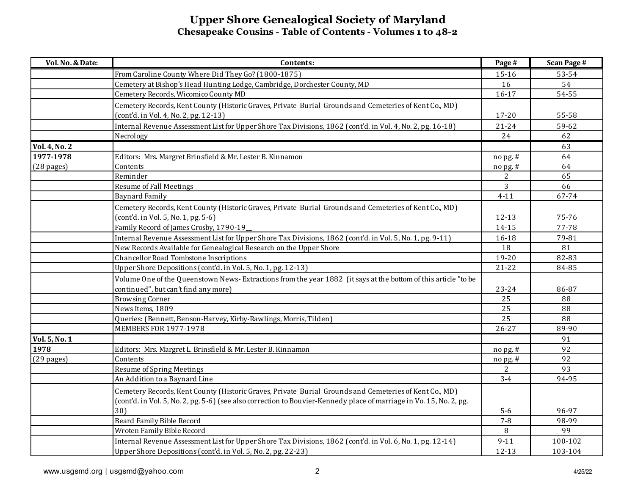| Vol. No. & Date:     | Contents:                                                                                                           | Page #    | <b>Scan Page #</b> |
|----------------------|---------------------------------------------------------------------------------------------------------------------|-----------|--------------------|
|                      | From Caroline County Where Did They Go? (1800-1875)                                                                 | 15-16     | 53-54              |
|                      | Cemetery at Bishop's Head Hunting Lodge, Cambridge, Dorchester County, MD                                           | 16        | 54                 |
|                      | Cemetery Records, Wicomico County MD                                                                                | $16 - 17$ | 54-55              |
|                      | Cemetery Records, Kent County (Historic Graves, Private Burial Grounds and Cemeteries of Kent Co., MD)              |           |                    |
|                      | (cont'd. in Vol. 4, No. 2, pg. 12-13)                                                                               | 17-20     | 55-58              |
|                      | Internal Revenue Assessment List for Upper Shore Tax Divisions, 1862 (cont'd. in Vol. 4, No. 2, pg. 16-18)          | $21 - 24$ | 59-62              |
|                      | Necrology                                                                                                           | 24        | 62                 |
| <b>Vol. 4, No. 2</b> |                                                                                                                     |           | 63                 |
| 1977-1978            | Editors: Mrs. Margret Brinsfield & Mr. Lester B. Kinnamon                                                           | nopg.#    | 64                 |
| $(28$ pages)         | Contents                                                                                                            | nopg.#    | 64                 |
|                      | Reminder                                                                                                            | 2         | 65                 |
|                      | <b>Resume of Fall Meetings</b>                                                                                      | 3         | 66                 |
|                      | <b>Baynard Family</b>                                                                                               | $4 - 11$  | 67-74              |
|                      | Cemetery Records, Kent County (Historic Graves, Private Burial Grounds and Cemeteries of Kent Co., MD)              |           |                    |
|                      | (cont'd. in Vol. 5, No. 1, pg. 5-6)                                                                                 | $12 - 13$ | 75-76              |
|                      | Family Record of James Crosby, 1790-19                                                                              | 14-15     | 77-78              |
|                      | Internal Revenue Assessment List for Upper Shore Tax Divisions, 1862 (cont'd. in Vol. 5, No. 1, pg. 9-11)           | 16-18     | 79-81              |
|                      | New Records Available for Genealogical Research on the Upper Shore                                                  | 18        | 81                 |
|                      | Chancellor Road Tombstone Inscriptions                                                                              | 19-20     | 82-83              |
|                      | Upper Shore Depositions (cont'd. in Vol. 5, No. 1, pg. 12-13)                                                       | $21 - 22$ | 84-85              |
|                      | Volume One of the Queenstown News-Extractions from the year 1882 (it says at the bottom of this article "to be      |           |                    |
|                      | continued", but can't find any more)                                                                                | 23-24     | 86-87              |
|                      | <b>Browsing Corner</b>                                                                                              | 25        | 88                 |
|                      | News Items, 1809                                                                                                    | 25        | 88                 |
|                      | Queries: (Bennett, Benson-Harvey, Kirby-Rawlings, Morris, Tilden)                                                   | 25        | 88                 |
|                      | <b>MEMBERS FOR 1977-1978</b>                                                                                        | $26 - 27$ | 89-90              |
| Vol. 5, No. 1        |                                                                                                                     |           | 91                 |
| 1978                 | Editors: Mrs. Margret L. Brinsfield & Mr. Lester B. Kinnamon                                                        | nopg.#    | 92                 |
| $(29$ pages)         | Contents                                                                                                            | nopg.#    | 92                 |
|                      | <b>Resume of Spring Meetings</b>                                                                                    | 2         | 93                 |
|                      | An Addition to a Baynard Line                                                                                       | $3-4$     | 94-95              |
|                      | Cemetery Records, Kent County (Historic Graves, Private Burial Grounds and Cemeteries of Kent Co., MD)              |           |                    |
|                      | (cont'd. in Vol. 5, No. 2, pg. 5-6) (see also correction to Bouvier-Kennedy place of marriage in Vo. 15, No. 2, pg. |           |                    |
|                      | 30)                                                                                                                 | $5-6$     | 96-97              |
|                      | <b>Beard Family Bible Record</b>                                                                                    | $7 - 8$   | 98-99              |
|                      | Wroten Family Bible Record                                                                                          | 8         | 99                 |
|                      | Internal Revenue Assessment List for Upper Shore Tax Divisions, 1862 (cont'd. in Vol. 6, No. 1, pg. 12-14)          | $9 - 11$  | 100-102            |
|                      | Upper Shore Depositions (cont'd. in Vol. 5, No. 2, pg. 22-23)                                                       | $12 - 13$ | 103-104            |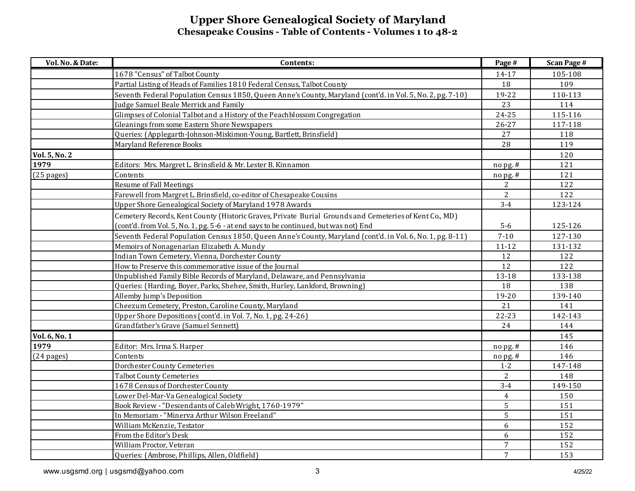| Vol. No. & Date:     | Contents:                                                                                                  | Page #                              | <b>Scan Page #</b> |
|----------------------|------------------------------------------------------------------------------------------------------------|-------------------------------------|--------------------|
|                      | 1678 "Census" of Talbot County                                                                             | 14-17                               | 105-108            |
|                      | Partial Listing of Heads of Families 1810 Federal Census, Talbot County                                    | 18                                  | 109                |
|                      | Seventh Federal Population Census 1850, Queen Anne's County, Maryland (cont'd. in Vol. 5, No. 2, pg. 7-10) | 19-22                               | 110-113            |
|                      | Judge Samuel Beale Merrick and Family                                                                      | 23                                  | 114                |
|                      | Glimpses of Colonial Talbot and a History of the Peachblossom Congregation                                 | $24 - 25$                           | 115-116            |
|                      | Gleanings from some Eastern Shore Newspapers                                                               | $26 - 27$                           | 117-118            |
|                      | Queries: (Applegarth-Johnson-Miskimon-Young, Bartlett, Brinsfield)                                         | 27                                  | 118                |
|                      | Maryland Reference Books                                                                                   | 28                                  | 119                |
| <b>Vol. 5, No. 2</b> |                                                                                                            |                                     | 120                |
| 1979                 | Editors: Mrs. Margret L. Brinsfield & Mr. Lester B. Kinnamon                                               | no pg. #                            | 121                |
| $(25$ pages)         | Contents                                                                                                   | $\frac{\text{no} \, \text{pg.}}{n}$ | 121                |
|                      | Resume of Fall Meetings                                                                                    | $\overline{c}$                      | 122                |
|                      | Farewell from Margret L. Brinsfield, co-editor of Chesapeake Cousins                                       | $\overline{2}$                      | 122                |
|                      | Upper Shore Genealogical Society of Maryland 1978 Awards                                                   | $3-4$                               | 123-124            |
|                      | Cemetery Records, Kent County (Historic Graves, Private Burial Grounds and Cemeteries of Kent Co., MD)     |                                     |                    |
|                      | (cont'd. from Vol. 5, No. 1, pg. 5-6 - at end says to be continued, but was not) End                       | $5-6$                               | 125-126            |
|                      | Seventh Federal Population Census 1850, Queen Anne's County, Maryland (cont'd. in Vol. 6, No. 1, pg. 8-11) | $7 - 10$                            | 127-130            |
|                      | Memoirs of Nonagenarian Elizabeth A. Mundy                                                                 | $11 - 12$                           | 131-132            |
|                      | Indian Town Cemetery, Vienna, Dorchester County                                                            | 12                                  | 122                |
|                      | How to Preserve this commemorative issue of the Journal                                                    | 12                                  | 122                |
|                      | Unpublished Family Bible Records of Maryland, Delaware, and Pennsylvania                                   | 13-18                               | 133-138            |
|                      | Queries: (Harding, Boyer, Parks, Shehee, Smith, Hurley, Lankford, Browning)                                | 18                                  | 138                |
|                      | Allemby Jump's Deposition                                                                                  | 19-20                               | 139-140            |
|                      | Cheezum Cemetery, Preston, Caroline County, Maryland                                                       | 21                                  | 141                |
|                      | Upper Shore Depositions (cont'd. in Vol. 7, No. 1, pg. 24-26)                                              | $22 - 23$                           | 142-143            |
|                      | Grandfather's Grave (Samuel Sennett)                                                                       | 24                                  | 144                |
| Vol. 6, No. 1        |                                                                                                            |                                     | 145                |
| 1979                 | Editor: Mrs. Irma S. Harper                                                                                | no pg. #                            | 146                |
| $(24$ pages)         | Contents                                                                                                   | $\frac{\text{no} \, \text{pg.}}{n}$ | 146                |
|                      | <b>Dorchester County Cemeteries</b>                                                                        | $1-2$                               | 147-148            |
|                      | <b>Talbot County Cemeteries</b>                                                                            | 2                                   | 148                |
|                      | 1678 Census of Dorchester County                                                                           | $3 - 4$                             | 149-150            |
|                      | Lower Del-Mar-Va Genealogical Society                                                                      | $\overline{4}$                      | 150                |
|                      | Book Review - "Descendants of Caleb Wright, 1760-1979"                                                     | $\overline{5}$                      | 151                |
|                      | In Memoriam - "Minerva Arthur Wilson Freeland"                                                             | 5                                   | 151                |
|                      | William McKenzie, Testator                                                                                 | 6                                   | 152                |
|                      | From the Editor's Desk                                                                                     | 6                                   | 152                |
|                      | William Proctor, Veteran                                                                                   | $\overline{7}$                      | 152                |
|                      | Queries: (Ambrose, Phillips, Allen, Oldfield)                                                              | $\overline{7}$                      | 153                |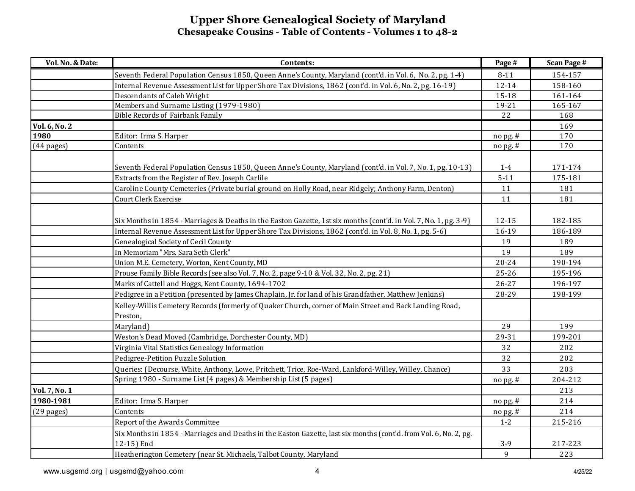| Seventh Federal Population Census 1850, Queen Anne's County, Maryland (cont'd. in Vol. 6, No. 2, pg. 1-4)<br>$8 - 11$<br>154-157<br>Internal Revenue Assessment List for Upper Shore Tax Divisions, 1862 (cont'd. in Vol. 6, No. 2, pg. 16-19)<br>$12 - 14$<br>158-160<br>Descendants of Caleb Wright<br>15-18<br>161-164<br>Members and Surname Listing (1979-1980)<br>165-167<br>19-21<br>22<br><b>Bible Records of Fairbank Family</b><br>168<br>Vol. 6, No. 2<br>169<br>1980<br>Editor: Irma S. Harper<br>170<br>no pg. #<br>Contents<br>170<br>$(44$ pages)<br>no pg. #<br>Seventh Federal Population Census 1850, Queen Anne's County, Maryland (cont'd. in Vol. 7, No. 1, pg. 10-13)<br>$1-4$<br>171-174<br>Extracts from the Register of Rev. Joseph Carlile<br>$5 - 11$<br>175-181<br>Caroline County Cemeteries (Private burial ground on Holly Road, near Ridgely; Anthony Farm, Denton)<br>11<br>181<br>Court Clerk Exercise<br>11<br>181<br>Six Months in 1854 - Marriages & Deaths in the Easton Gazette, 1st six months (cont'd. in Vol. 7, No. 1, pg. 3-9)<br>12-15<br>182-185<br>Internal Revenue Assessment List for Upper Shore Tax Divisions, 1862 (cont'd. in Vol. 8, No. 1, pg. 5-6)<br>16-19<br>186-189<br><b>Genealogical Society of Cecil County</b><br>19<br>189 |
|--------------------------------------------------------------------------------------------------------------------------------------------------------------------------------------------------------------------------------------------------------------------------------------------------------------------------------------------------------------------------------------------------------------------------------------------------------------------------------------------------------------------------------------------------------------------------------------------------------------------------------------------------------------------------------------------------------------------------------------------------------------------------------------------------------------------------------------------------------------------------------------------------------------------------------------------------------------------------------------------------------------------------------------------------------------------------------------------------------------------------------------------------------------------------------------------------------------------------------------------------------------------------------------------|
|                                                                                                                                                                                                                                                                                                                                                                                                                                                                                                                                                                                                                                                                                                                                                                                                                                                                                                                                                                                                                                                                                                                                                                                                                                                                                            |
|                                                                                                                                                                                                                                                                                                                                                                                                                                                                                                                                                                                                                                                                                                                                                                                                                                                                                                                                                                                                                                                                                                                                                                                                                                                                                            |
|                                                                                                                                                                                                                                                                                                                                                                                                                                                                                                                                                                                                                                                                                                                                                                                                                                                                                                                                                                                                                                                                                                                                                                                                                                                                                            |
|                                                                                                                                                                                                                                                                                                                                                                                                                                                                                                                                                                                                                                                                                                                                                                                                                                                                                                                                                                                                                                                                                                                                                                                                                                                                                            |
|                                                                                                                                                                                                                                                                                                                                                                                                                                                                                                                                                                                                                                                                                                                                                                                                                                                                                                                                                                                                                                                                                                                                                                                                                                                                                            |
|                                                                                                                                                                                                                                                                                                                                                                                                                                                                                                                                                                                                                                                                                                                                                                                                                                                                                                                                                                                                                                                                                                                                                                                                                                                                                            |
|                                                                                                                                                                                                                                                                                                                                                                                                                                                                                                                                                                                                                                                                                                                                                                                                                                                                                                                                                                                                                                                                                                                                                                                                                                                                                            |
|                                                                                                                                                                                                                                                                                                                                                                                                                                                                                                                                                                                                                                                                                                                                                                                                                                                                                                                                                                                                                                                                                                                                                                                                                                                                                            |
|                                                                                                                                                                                                                                                                                                                                                                                                                                                                                                                                                                                                                                                                                                                                                                                                                                                                                                                                                                                                                                                                                                                                                                                                                                                                                            |
|                                                                                                                                                                                                                                                                                                                                                                                                                                                                                                                                                                                                                                                                                                                                                                                                                                                                                                                                                                                                                                                                                                                                                                                                                                                                                            |
|                                                                                                                                                                                                                                                                                                                                                                                                                                                                                                                                                                                                                                                                                                                                                                                                                                                                                                                                                                                                                                                                                                                                                                                                                                                                                            |
|                                                                                                                                                                                                                                                                                                                                                                                                                                                                                                                                                                                                                                                                                                                                                                                                                                                                                                                                                                                                                                                                                                                                                                                                                                                                                            |
|                                                                                                                                                                                                                                                                                                                                                                                                                                                                                                                                                                                                                                                                                                                                                                                                                                                                                                                                                                                                                                                                                                                                                                                                                                                                                            |
|                                                                                                                                                                                                                                                                                                                                                                                                                                                                                                                                                                                                                                                                                                                                                                                                                                                                                                                                                                                                                                                                                                                                                                                                                                                                                            |
|                                                                                                                                                                                                                                                                                                                                                                                                                                                                                                                                                                                                                                                                                                                                                                                                                                                                                                                                                                                                                                                                                                                                                                                                                                                                                            |
| In Memoriam "Mrs. Sara Seth Clerk"<br>19<br>189                                                                                                                                                                                                                                                                                                                                                                                                                                                                                                                                                                                                                                                                                                                                                                                                                                                                                                                                                                                                                                                                                                                                                                                                                                            |
| Union M.E. Cemetery, Worton, Kent County, MD<br>$20 - 24$<br>190-194                                                                                                                                                                                                                                                                                                                                                                                                                                                                                                                                                                                                                                                                                                                                                                                                                                                                                                                                                                                                                                                                                                                                                                                                                       |
| Prouse Family Bible Records (see also Vol. 7, No. 2, page 9-10 & Vol. 32, No. 2, pg. 21)<br>25-26<br>195-196                                                                                                                                                                                                                                                                                                                                                                                                                                                                                                                                                                                                                                                                                                                                                                                                                                                                                                                                                                                                                                                                                                                                                                               |
| Marks of Cattell and Hoggs, Kent County, 1694-1702<br>26-27<br>196-197                                                                                                                                                                                                                                                                                                                                                                                                                                                                                                                                                                                                                                                                                                                                                                                                                                                                                                                                                                                                                                                                                                                                                                                                                     |
| Pedigree in a Petition (presented by James Chaplain, Jr. for land of his Grandfather, Matthew Jenkins)<br>28-29<br>198-199                                                                                                                                                                                                                                                                                                                                                                                                                                                                                                                                                                                                                                                                                                                                                                                                                                                                                                                                                                                                                                                                                                                                                                 |
| Kelley-Willis Cemetery Records (formerly of Quaker Church, corner of Main Street and Back Landing Road,<br>Preston,                                                                                                                                                                                                                                                                                                                                                                                                                                                                                                                                                                                                                                                                                                                                                                                                                                                                                                                                                                                                                                                                                                                                                                        |
| 29<br>199<br>Maryland)                                                                                                                                                                                                                                                                                                                                                                                                                                                                                                                                                                                                                                                                                                                                                                                                                                                                                                                                                                                                                                                                                                                                                                                                                                                                     |
| Weston's Dead Moved (Cambridge, Dorchester County, MD)<br>29-31<br>199-201                                                                                                                                                                                                                                                                                                                                                                                                                                                                                                                                                                                                                                                                                                                                                                                                                                                                                                                                                                                                                                                                                                                                                                                                                 |
| Virginia Vital Statistics Genealogy Information<br>32<br>202                                                                                                                                                                                                                                                                                                                                                                                                                                                                                                                                                                                                                                                                                                                                                                                                                                                                                                                                                                                                                                                                                                                                                                                                                               |
| Pedigree-Petition Puzzle Solution<br>32<br>202                                                                                                                                                                                                                                                                                                                                                                                                                                                                                                                                                                                                                                                                                                                                                                                                                                                                                                                                                                                                                                                                                                                                                                                                                                             |
| Queries: (Decourse, White, Anthony, Lowe, Pritchett, Trice, Roe-Ward, Lankford-Willey, Willey, Chance)<br>33<br>203                                                                                                                                                                                                                                                                                                                                                                                                                                                                                                                                                                                                                                                                                                                                                                                                                                                                                                                                                                                                                                                                                                                                                                        |
| Spring 1980 - Surname List (4 pages) & Membership List (5 pages)<br>204-212<br>$no$ pg. $#$                                                                                                                                                                                                                                                                                                                                                                                                                                                                                                                                                                                                                                                                                                                                                                                                                                                                                                                                                                                                                                                                                                                                                                                                |
| Vol. 7, No. 1<br>213                                                                                                                                                                                                                                                                                                                                                                                                                                                                                                                                                                                                                                                                                                                                                                                                                                                                                                                                                                                                                                                                                                                                                                                                                                                                       |
| 1980-1981<br>Editor: Irma S. Harper<br>214<br>$n$ o pg. #                                                                                                                                                                                                                                                                                                                                                                                                                                                                                                                                                                                                                                                                                                                                                                                                                                                                                                                                                                                                                                                                                                                                                                                                                                  |
| 214<br>$(29$ pages)<br>Contents<br>no pg. #                                                                                                                                                                                                                                                                                                                                                                                                                                                                                                                                                                                                                                                                                                                                                                                                                                                                                                                                                                                                                                                                                                                                                                                                                                                |
| Report of the Awards Committee<br>$1 - 2$<br>215-216                                                                                                                                                                                                                                                                                                                                                                                                                                                                                                                                                                                                                                                                                                                                                                                                                                                                                                                                                                                                                                                                                                                                                                                                                                       |
| Six Months in 1854 - Marriages and Deaths in the Easton Gazette, last six months (cont'd. from Vol. 6, No. 2, pg.<br>12-15) End<br>$3-9$<br>217-223                                                                                                                                                                                                                                                                                                                                                                                                                                                                                                                                                                                                                                                                                                                                                                                                                                                                                                                                                                                                                                                                                                                                        |
| $\mathbf{9}$<br>Heatherington Cemetery (near St. Michaels, Talbot County, Maryland<br>223                                                                                                                                                                                                                                                                                                                                                                                                                                                                                                                                                                                                                                                                                                                                                                                                                                                                                                                                                                                                                                                                                                                                                                                                  |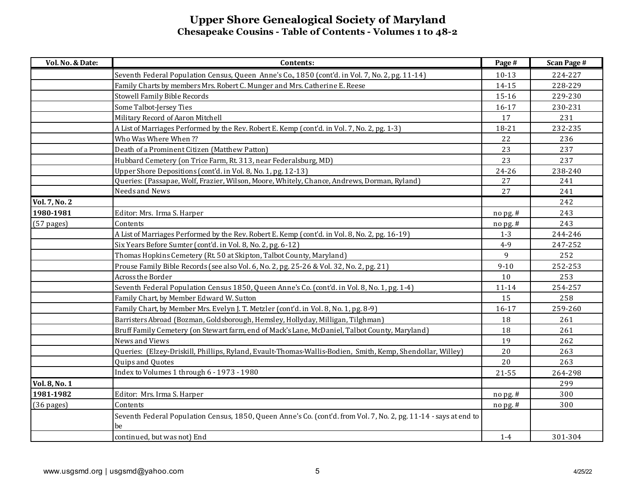| Vol. No. & Date: | Contents:                                                                                                         | Page #    | <b>Scan Page #</b> |
|------------------|-------------------------------------------------------------------------------------------------------------------|-----------|--------------------|
|                  | Seventh Federal Population Census, Queen Anne's Co., 1850 (cont'd. in Vol. 7, No. 2, pg. 11-14)                   | $10 - 13$ | 224-227            |
|                  | Family Charts by members Mrs. Robert C. Munger and Mrs. Catherine E. Reese                                        | 14-15     | 228-229            |
|                  | <b>Stowell Family Bible Records</b>                                                                               | 15-16     | 229-230            |
|                  | Some Talbot-Jersey Ties                                                                                           | 16-17     | 230-231            |
|                  | Military Record of Aaron Mitchell                                                                                 | 17        | 231                |
|                  | A List of Marriages Performed by the Rev. Robert E. Kemp (cont'd. in Vol. 7, No. 2, pg. 1-3)                      | 18-21     | 232-235            |
|                  | Who Was Where When ??                                                                                             | 22        | 236                |
|                  | Death of a Prominent Citizen (Matthew Patton)                                                                     | 23        | 237                |
|                  | Hubbard Cemetery (on Trice Farm, Rt. 313, near Federalsburg, MD)                                                  | 23        | 237                |
|                  | Upper Shore Depositions (cont'd. in Vol. 8, No. 1, pg. 12-13)                                                     | 24-26     | 238-240            |
|                  | Queries: (Passapae, Wolf, Frazier, Wilson, Moore, Whitely, Chance, Andrews, Dorman, Ryland)                       | 27        | 241                |
|                  | Needs and News                                                                                                    | 27        | 241                |
| Vol. 7, No. 2    |                                                                                                                   |           | 242                |
| 1980-1981        | Editor: Mrs. Irma S. Harper                                                                                       | no pg. #  | 243                |
| $(57$ pages)     | Contents                                                                                                          | nopg.#    | 243                |
|                  | A List of Marriages Performed by the Rev. Robert E. Kemp (cont'd. in Vol. 8, No. 2, pg. 16-19)                    | $1 - 3$   | 244-246            |
|                  | Six Years Before Sumter (cont'd. in Vol. 8, No. 2, pg. 6-12)                                                      | $4-9$     | 247-252            |
|                  | Thomas Hopkins Cemetery (Rt. 50 at Skipton, Talbot County, Maryland)                                              | 9         | 252                |
|                  | Prouse Family Bible Records (see also Vol. 6, No. 2, pg. 25-26 & Vol. 32, No. 2, pg. 21)                          | $9 - 10$  | 252-253            |
|                  | Across the Border                                                                                                 | 10        | 253                |
|                  | Seventh Federal Population Census 1850, Queen Anne's Co. (cont'd. in Vol. 8, No. 1, pg. 1-4)                      | $11 - 14$ | 254-257            |
|                  | Family Chart, by Member Edward W. Sutton                                                                          | 15        | 258                |
|                  | Family Chart, by Member Mrs. Evelyn J. T. Metzler (cont'd. in Vol. 8, No. 1, pg. 8-9)                             | 16-17     | 259-260            |
|                  | Barristers Abroad (Bozman, Goldsborough, Hemsley, Hollyday, Milligan, Tilghman)                                   | 18        | 261                |
|                  | Bruff Family Cemetery (on Stewart farm, end of Mack's Lane, McDaniel, Talbot County, Maryland)                    | 18        | 261                |
|                  | News and Views                                                                                                    | 19        | 262                |
|                  | Queries: (Elzey-Driskill, Phillips, Ryland, Evault-Thomas-Wallis-Bodien, Smith, Kemp, Shendollar, Willey)         | 20        | 263                |
|                  | Quips and Quotes                                                                                                  | 20        | 263                |
|                  | Index to Volumes 1 through 6 - 1973 - 1980                                                                        | 21-55     | 264-298            |
| Vol. 8, No. 1    |                                                                                                                   |           | 299                |
| 1981-1982        | Editor: Mrs. Irma S. Harper                                                                                       | no pg. #  | 300                |
| $(36$ pages)     | Contents                                                                                                          | nopg.#    | 300                |
|                  | Seventh Federal Population Census, 1850, Queen Anne's Co. (cont'd. from Vol. 7, No. 2, pg. 11-14 - says at end to |           |                    |
|                  | be                                                                                                                |           |                    |
|                  | continued, but was not) End                                                                                       | $1 - 4$   | 301-304            |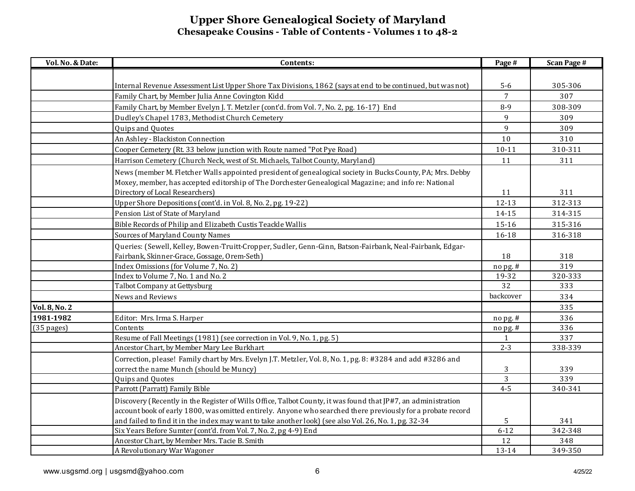| Vol. No. & Date:     | Contents:                                                                                                                                                                                                                                              | Page #         | <b>Scan Page #</b> |
|----------------------|--------------------------------------------------------------------------------------------------------------------------------------------------------------------------------------------------------------------------------------------------------|----------------|--------------------|
|                      |                                                                                                                                                                                                                                                        |                |                    |
|                      | Internal Revenue Assessment List Upper Shore Tax Divisions, 1862 (says at end to be continued, but was not)                                                                                                                                            | $5-6$          | 305-306            |
|                      | Family Chart, by Member Julia Anne Covington Kidd                                                                                                                                                                                                      | 7              | 307                |
|                      | Family Chart, by Member Evelyn J. T. Metzler (cont'd. from Vol. 7, No. 2, pg. 16-17) End                                                                                                                                                               | $8 - 9$        | 308-309            |
|                      | Dudley's Chapel 1783, Methodist Church Cemetery                                                                                                                                                                                                        | 9              | 309                |
|                      | Quips and Quotes                                                                                                                                                                                                                                       | 9              | 309                |
|                      | An Ashley - Blackiston Connection                                                                                                                                                                                                                      | 10             | 310                |
|                      | Cooper Cemetery (Rt. 33 below junction with Route named "Pot Pye Road)                                                                                                                                                                                 | $10 - 11$      | 310-311            |
|                      | Harrison Cemetery (Church Neck, west of St. Michaels, Talbot County, Maryland)                                                                                                                                                                         | 11             | 311                |
|                      | News (member M. Fletcher Walls appointed president of genealogical society in Bucks County, PA; Mrs. Debby<br>Moxey, member, has accepted editorship of The Dorchester Genealogical Magazine; and info re: National<br>Directory of Local Researchers) | 11             | 311                |
|                      | Upper Shore Depositions (cont'd. in Vol. 8, No. 2, pg. 19-22)                                                                                                                                                                                          | $12 - 13$      | 312-313            |
|                      | Pension List of State of Maryland                                                                                                                                                                                                                      | 14-15          | 314-315            |
|                      | Bible Records of Philip and Elizabeth Custis Teackle Wallis                                                                                                                                                                                            | 15-16          | 315-316            |
|                      | Sources of Maryland County Names                                                                                                                                                                                                                       |                | 316-318            |
|                      |                                                                                                                                                                                                                                                        | 16-18          |                    |
|                      | Queries: (Sewell, Kelley, Bowen-Truitt-Cropper, Sudler, Genn-Ginn, Batson-Fairbank, Neal-Fairbank, Edgar-<br>Fairbank, Skinner-Grace, Gossage, Orem-Seth)                                                                                              | 18             | 318                |
|                      | Index Omissions (for Volume 7, No. 2)                                                                                                                                                                                                                  | nopg.#         | 319                |
|                      | Index to Volume 7, No. 1 and No. 2                                                                                                                                                                                                                     | 19-32          | 320-333            |
|                      | Talbot Company at Gettysburg                                                                                                                                                                                                                           | 32             | 333                |
|                      | News and Reviews                                                                                                                                                                                                                                       | backcover      | 334                |
| <b>Vol. 8, No. 2</b> |                                                                                                                                                                                                                                                        |                | 335                |
| 1981-1982            | Editor: Mrs. Irma S. Harper                                                                                                                                                                                                                            | $no$ pg. $#$   | 336                |
| $(35$ pages)         | Contents                                                                                                                                                                                                                                               | nopg.#         | 336                |
|                      | Resume of Fall Meetings (1981) (see correction in Vol. 9, No. 1, pg. 5)                                                                                                                                                                                | $\mathbf{1}$   | 337                |
|                      | Ancestor Chart, by Member Mary Lee Burkhart                                                                                                                                                                                                            | $2 - 3$        | 338-339            |
|                      | Correction, please! Family chart by Mrs. Evelyn J.T. Metzler, Vol. 8, No. 1, pg. 8: #3284 and add #3286 and                                                                                                                                            |                |                    |
|                      | correct the name Munch (should be Muncy)                                                                                                                                                                                                               | 3              | 339                |
|                      | Quips and Quotes                                                                                                                                                                                                                                       | $\overline{3}$ | 339                |
|                      | Parrott (Parratt) Family Bible                                                                                                                                                                                                                         | $4 - 5$        | 340-341            |
|                      | Discovery (Recently in the Register of Wills Office, Talbot County, it was found that JP#7, an administration<br>account book of early 1800, was omitted entirely. Anyone who searched there previously for a probate record                           |                |                    |
|                      | and failed to find it in the index may want to take another look) (see also Vol. 26, No. 1, pg. 32-34                                                                                                                                                  | 5              | 341                |
|                      | Six Years Before Sumter (cont'd. from Vol. 7, No. 2, pg 4-9) End                                                                                                                                                                                       | $6 - 12$       | 342-348            |
|                      | Ancestor Chart, by Member Mrs. Tacie B. Smith                                                                                                                                                                                                          | 12             | 348                |
|                      | A Revolutionary War Wagoner                                                                                                                                                                                                                            | 13-14          | 349-350            |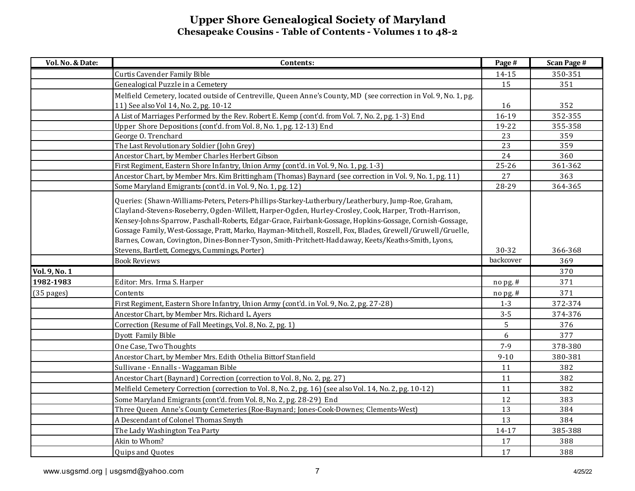| Vol. No. & Date: | Contents:                                                                                                                                                                                                                                                                                                                                                                                                                                                                                                                                     | Page #       | <b>Scan Page #</b> |
|------------------|-----------------------------------------------------------------------------------------------------------------------------------------------------------------------------------------------------------------------------------------------------------------------------------------------------------------------------------------------------------------------------------------------------------------------------------------------------------------------------------------------------------------------------------------------|--------------|--------------------|
|                  | Curtis Cavender Family Bible                                                                                                                                                                                                                                                                                                                                                                                                                                                                                                                  | 14-15        | 350-351            |
|                  | Genealogical Puzzle in a Cemetery                                                                                                                                                                                                                                                                                                                                                                                                                                                                                                             | 15           | 351                |
|                  | Melfield Cemetery, located outside of Centreville, Queen Anne's County, MD (see correction in Vol. 9, No. 1, pg.                                                                                                                                                                                                                                                                                                                                                                                                                              |              |                    |
|                  | 11) See also Vol 14, No. 2, pg. 10-12                                                                                                                                                                                                                                                                                                                                                                                                                                                                                                         | 16           | 352                |
|                  | A List of Marriages Performed by the Rev. Robert E. Kemp (cont'd. from Vol. 7, No. 2, pg. 1-3) End                                                                                                                                                                                                                                                                                                                                                                                                                                            | 16-19        | 352-355            |
|                  | Upper Shore Depositions (cont'd. from Vol. 8, No. 1, pg. 12-13) End                                                                                                                                                                                                                                                                                                                                                                                                                                                                           | 19-22        | 355-358            |
|                  | George O. Trenchard                                                                                                                                                                                                                                                                                                                                                                                                                                                                                                                           | 23           | 359                |
|                  | The Last Revolutionary Soldier (John Grey)                                                                                                                                                                                                                                                                                                                                                                                                                                                                                                    | 23           | 359                |
|                  | Ancestor Chart, by Member Charles Herbert Gibson                                                                                                                                                                                                                                                                                                                                                                                                                                                                                              | 24           | 360                |
|                  | First Regiment, Eastern Shore Infantry, Union Army (cont'd. in Vol. 9, No. 1, pg. 1-3)                                                                                                                                                                                                                                                                                                                                                                                                                                                        | $25 - 26$    | 361-362            |
|                  | Ancestor Chart, by Member Mrs. Kim Brittingham (Thomas) Baynard (see correction in Vol. 9, No. 1, pg. 11)                                                                                                                                                                                                                                                                                                                                                                                                                                     | 27           | 363                |
|                  | Some Maryland Emigrants (cont'd. in Vol. 9, No. 1, pg. 12)                                                                                                                                                                                                                                                                                                                                                                                                                                                                                    | 28-29        | 364-365            |
|                  | Queries: (Shawn-Williams-Peters, Peters-Phillips-Starkey-Lutherbury/Leatherbury, Jump-Roe, Graham,<br>Clayland-Stevens-Roseberry, Ogden-Willett, Harper-Ogden, Hurley-Crosley, Cook, Harper, Troth-Harrison,<br>Kensey-Johns-Sparrow, Paschall-Roberts, Edgar-Grace, Fairbank-Gossage, Hopkins-Gossage, Cornish-Gossage,<br>Gossage Family, West-Gossage, Pratt, Marko, Hayman-Mitchell, Roszell, Fox, Blades, Grewell/Gruwell/Gruelle,<br>Barnes, Cowan, Covington, Dines-Bonner-Tyson, Smith-Pritchett-Haddaway, Keets/Keaths-Smith, Lyons, |              |                    |
|                  | Stevens, Bartlett, Comegys, Cummings, Porter)                                                                                                                                                                                                                                                                                                                                                                                                                                                                                                 | 30-32        | 366-368            |
|                  | <b>Book Reviews</b>                                                                                                                                                                                                                                                                                                                                                                                                                                                                                                                           | backcover    | 369                |
| Vol. 9, No. 1    |                                                                                                                                                                                                                                                                                                                                                                                                                                                                                                                                               |              | 370                |
| 1982-1983        | Editor: Mrs. Irma S. Harper                                                                                                                                                                                                                                                                                                                                                                                                                                                                                                                   | $no$ pg. $#$ | 371                |
| $(35$ pages)     | Contents                                                                                                                                                                                                                                                                                                                                                                                                                                                                                                                                      | $no$ pg. #   | 371                |
|                  | First Regiment, Eastern Shore Infantry, Union Army (cont'd. in Vol. 9, No. 2, pg. 27-28)                                                                                                                                                                                                                                                                                                                                                                                                                                                      | $1 - 3$      | 372-374            |
|                  | Ancestor Chart, by Member Mrs. Richard L. Ayers                                                                                                                                                                                                                                                                                                                                                                                                                                                                                               | $3 - 5$      | 374-376            |
|                  | Correction (Resume of Fall Meetings, Vol. 8, No. 2, pg. 1)                                                                                                                                                                                                                                                                                                                                                                                                                                                                                    | 5            | 376                |
|                  | Dyott Family Bible                                                                                                                                                                                                                                                                                                                                                                                                                                                                                                                            | 6            | 377                |
|                  | One Case, Two Thoughts                                                                                                                                                                                                                                                                                                                                                                                                                                                                                                                        | $7 - 9$      | 378-380            |
|                  | Ancestor Chart, by Member Mrs. Edith Othelia Bittorf Stanfield                                                                                                                                                                                                                                                                                                                                                                                                                                                                                | $9 - 10$     | 380-381            |
|                  | Sullivane - Ennalls - Waggaman Bible                                                                                                                                                                                                                                                                                                                                                                                                                                                                                                          | 11           | 382                |
|                  | Ancestor Chart (Baynard) Correction (correction to Vol. 8, No. 2, pg. 27)                                                                                                                                                                                                                                                                                                                                                                                                                                                                     | 11           | 382                |
|                  | Melfield Cemetery Correction (correction to Vol. 8, No. 2, pg. 16) (see also Vol. 14, No. 2, pg. 10-12)                                                                                                                                                                                                                                                                                                                                                                                                                                       | 11           | 382                |
|                  | Some Maryland Emigrants (cont'd. from Vol. 8, No. 2, pg. 28-29) End                                                                                                                                                                                                                                                                                                                                                                                                                                                                           | 12           | 383                |
|                  | Three Queen Anne's County Cemeteries (Roe-Baynard; Jones-Cook-Downes; Clements-West)                                                                                                                                                                                                                                                                                                                                                                                                                                                          | 13           | 384                |
|                  | A Descendant of Colonel Thomas Smyth                                                                                                                                                                                                                                                                                                                                                                                                                                                                                                          | 13           | 384                |
|                  | The Lady Washington Tea Party                                                                                                                                                                                                                                                                                                                                                                                                                                                                                                                 | 14-17        | 385-388            |
|                  | Akin to Whom?                                                                                                                                                                                                                                                                                                                                                                                                                                                                                                                                 | 17           | 388                |
|                  | Quips and Quotes                                                                                                                                                                                                                                                                                                                                                                                                                                                                                                                              | 17           | 388                |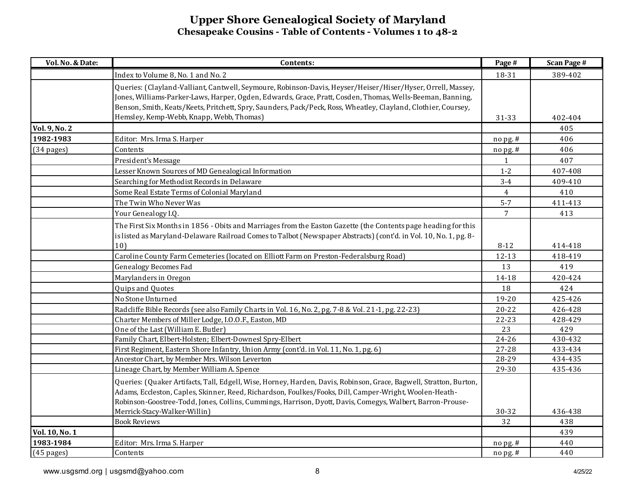| Vol. No. & Date:     | Contents:                                                                                                          | Page #         | <b>Scan Page #</b> |
|----------------------|--------------------------------------------------------------------------------------------------------------------|----------------|--------------------|
|                      | Index to Volume 8, No. 1 and No. 2                                                                                 | 18-31          | 389-402            |
|                      | Queries: (Clayland-Valliant, Cantwell, Seymoure, Robinson-Davis, Heyser/Heiser/Hiser/Hyser, Orrell, Massey,        |                |                    |
|                      | Jones, Williams-Parker-Laws, Harper, Ogden, Edwards, Grace, Pratt, Cosden, Thomas, Wells-Beeman, Banning,          |                |                    |
|                      | Benson, Smith, Keats/Keets, Pritchett, Spry, Saunders, Pack/Peck, Ross, Wheatley, Clayland, Clothier, Coursey,     |                |                    |
|                      | Hemsley, Kemp-Webb, Knapp, Webb, Thomas)                                                                           | 31-33          | 402-404            |
| Vol. 9, No. 2        |                                                                                                                    |                | 405                |
| 1982-1983            | Editor: Mrs. Irma S. Harper                                                                                        | nopg.#         | 406                |
| $(34 \text{ pages})$ | Contents                                                                                                           | $no$ pg. #     | 406                |
|                      | President's Message                                                                                                | 1              | 407                |
|                      | Lesser Known Sources of MD Genealogical Information                                                                | $1 - 2$        | 407-408            |
|                      | Searching for Methodist Records in Delaware                                                                        | $3-4$          | 409-410            |
|                      | Some Real Estate Terms of Colonial Maryland                                                                        | $\overline{4}$ | 410                |
|                      | The Twin Who Never Was                                                                                             | $5 - 7$        | 411-413            |
|                      | Your Genealogy I.Q.                                                                                                | $\overline{7}$ | 413                |
|                      | The First Six Months in 1856 - Obits and Marriages from the Easton Gazette (the Contents page heading for this     |                |                    |
|                      | is listed as Maryland-Delaware Railroad Comes to Talbot (Newspaper Abstracts) (cont'd. in Vol. 10, No. 1, pg. 8-   |                |                    |
|                      | 10)                                                                                                                | $8-12$         | 414-418            |
|                      | Caroline County Farm Cemeteries (located on Elliott Farm on Preston-Federalsburg Road)                             | $12 - 13$      | 418-419            |
|                      | <b>Genealogy Becomes Fad</b>                                                                                       | 13             | 419                |
|                      | Marylanders in Oregon                                                                                              | 14-18          | 420-424            |
|                      | Quips and Quotes                                                                                                   | 18             | 424                |
|                      | No Stone Unturned                                                                                                  | 19-20          | 425-426            |
|                      | Radcliffe Bible Records (see also Family Charts in Vol. 16, No. 2, pg. 7-8 & Vol. 21-1, pg. 22-23)                 | $20 - 22$      | 426-428            |
|                      | Charter Members of Miller Lodge, I.O.O.F., Easton, MD                                                              | 22-23          | 428-429            |
|                      | One of the Last (William E. Butler)                                                                                | 23             | 429                |
|                      | Family Chart, Elbert-Holsten; Elbert-Downesl Spry-Elbert                                                           | 24-26          | 430-432            |
|                      | First Regiment, Eastern Shore Infantry, Union Army (cont'd. in Vol. 11, No. 1, pg. 6)                              | 27-28          | 433-434            |
|                      | Ancestor Chart, by Member Mrs. Wilson Leverton                                                                     | 28-29          | 434-435            |
|                      | Lineage Chart, by Member William A. Spence                                                                         | 29-30          | 435-436            |
|                      | Queries: (Quaker Artifacts, Tall, Edgell, Wise, Horney, Harden, Davis, Robinson, Grace, Bagwell, Stratton, Burton, |                |                    |
|                      | Adams, Eccleston, Caples, Skinner, Reed, Richardson, Foulkes/Fooks, Dill, Camper-Wright, Woolen-Heath-             |                |                    |
|                      | Robinson-Goostree-Todd, Jones, Collins, Cummings, Harrison, Dyott, Davis, Comegys, Walbert, Barron-Prouse-         |                |                    |
|                      | Merrick-Stacy-Walker-Willin)                                                                                       | 30-32          | 436-438            |
|                      | <b>Book Reviews</b>                                                                                                | 32             | 438                |
| Vol. 10, No. 1       |                                                                                                                    |                | 439                |
| 1983-1984            | Editor: Mrs. Irma S. Harper                                                                                        | no pg. #       | 440                |
| $(45$ pages)         | Contents                                                                                                           | nopg.#         | 440                |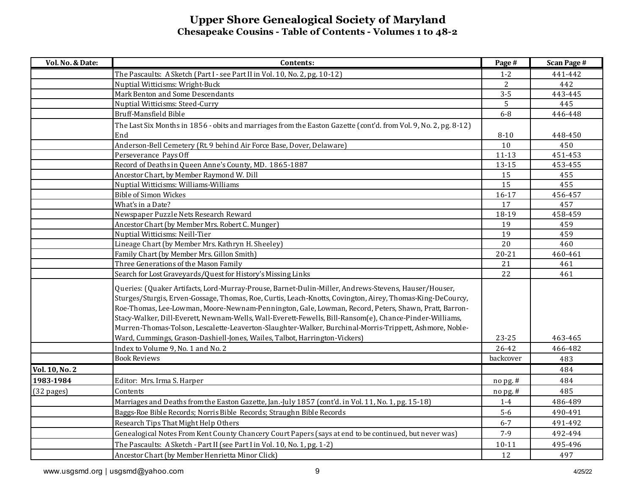| Vol. No. & Date:     | Contents:                                                                                                        | Page #    | <b>Scan Page #</b> |
|----------------------|------------------------------------------------------------------------------------------------------------------|-----------|--------------------|
|                      | The Pascaults: A Sketch (Part I - see Part II in Vol. 10, No. 2, pg. 10-12)                                      | $1 - 2$   | 441-442            |
|                      | Nuptial Witticisms: Wright-Buck                                                                                  | 2         | 442                |
|                      | Mark Benton and Some Descendants                                                                                 | $3 - 5$   | 443-445            |
|                      | Nuptial Witticisms: Steed-Curry                                                                                  | 5         | 445                |
|                      | Bruff-Mansfield Bible                                                                                            | $6-8$     | 446-448            |
|                      | The Last Six Months in 1856 - obits and marriages from the Easton Gazette (cont'd. from Vol. 9, No. 2, pg. 8-12) |           |                    |
|                      | End                                                                                                              | $8 - 10$  | 448-450            |
|                      | Anderson-Bell Cemetery (Rt. 9 behind Air Force Base, Dover, Delaware)                                            | 10        | 450                |
|                      | Perseverance Pays Off                                                                                            | $11 - 13$ | 451-453            |
|                      | Record of Deaths in Queen Anne's County, MD. 1865-1887                                                           | 13-15     | 453-455            |
|                      | Ancestor Chart, by Member Raymond W. Dill                                                                        | 15        | 455                |
|                      | Nuptial Witticisms: Williams-Williams                                                                            | 15        | 455                |
|                      | <b>Bible of Simon Wickes</b>                                                                                     | 16-17     | 456-457            |
|                      | What's in a Date?                                                                                                | 17        | 457                |
|                      | Newspaper Puzzle Nets Research Reward                                                                            | 18-19     | 458-459            |
|                      | Ancestor Chart (by Member Mrs. Robert C. Munger)                                                                 | 19        | 459                |
|                      | Nuptial Witticisms: Neill-Tier                                                                                   | 19        | 459                |
|                      | Lineage Chart (by Member Mrs. Kathryn H. Sheeley)                                                                | 20        | 460                |
|                      | Family Chart (by Member Mrs. Gillon Smith)                                                                       | $20 - 21$ | 460-461            |
|                      | Three Generations of the Mason Family                                                                            | 21        | 461                |
|                      | Search for Lost Graveyards/Quest for History's Missing Links                                                     | 22        | 461                |
|                      | Queries: (Quaker Artifacts, Lord-Murray-Prouse, Barnet-Dulin-Miller, Andrews-Stevens, Hauser/Houser,             |           |                    |
|                      | Sturges/Sturgis, Erven-Gossage, Thomas, Roe, Curtis, Leach-Knotts, Covington, Airey, Thomas-King-DeCourcy,       |           |                    |
|                      | Roe-Thomas, Lee-Lowman, Moore-Newnam-Pennington, Gale, Lowman, Record, Peters, Shawn, Pratt, Barron-             |           |                    |
|                      | Stacy-Walker, Dill-Everett, Newnam-Wells, Wall-Everett-Fewells, Bill-Ransom(e), Chance-Pinder-Williams,          |           |                    |
|                      | Murren-Thomas-Tolson, Lescalette-Leaverton-Slaughter-Walker, Burchinal-Morris-Trippett, Ashmore, Noble-          |           |                    |
|                      | Ward, Cummings, Grason-Dashiell-Jones, Wailes, Talbot, Harrington-Vickers)                                       | 23-25     | 463-465            |
|                      | Index to Volume 9, No. 1 and No. 2                                                                               | 26-42     | 466-482            |
|                      | <b>Book Reviews</b>                                                                                              | backcover | 483                |
| Vol. 10, No. 2       |                                                                                                                  |           | 484                |
| 1983-1984            | Editor: Mrs. Irma S. Harper                                                                                      | no pg. #  | 484                |
| $(32 \text{ pages})$ | Contents                                                                                                         | no pg. #  | 485                |
|                      | Marriages and Deaths from the Easton Gazette, Jan.-July 1857 (cont'd. in Vol. 11, No. 1, pg. 15-18)              | $1 - 4$   | 486-489            |
|                      | Baggs-Roe Bible Records; Norris Bible Records; Straughn Bible Records                                            | $5-6$     | 490-491            |
|                      | Research Tips That Might Help Others                                                                             | $6 - 7$   | 491-492            |
|                      |                                                                                                                  |           |                    |
|                      | Genealogical Notes From Kent County Chancery Court Papers (says at end to be continued, but never was)           | $7 - 9$   | 492-494            |
|                      | The Pascaults: A Sketch - Part II (see Part I in Vol. 10, No. 1, pg. 1-2)                                        | $10 - 11$ | 495-496            |
|                      | Ancestor Chart (by Member Henrietta Minor Click)                                                                 | 12        | 497                |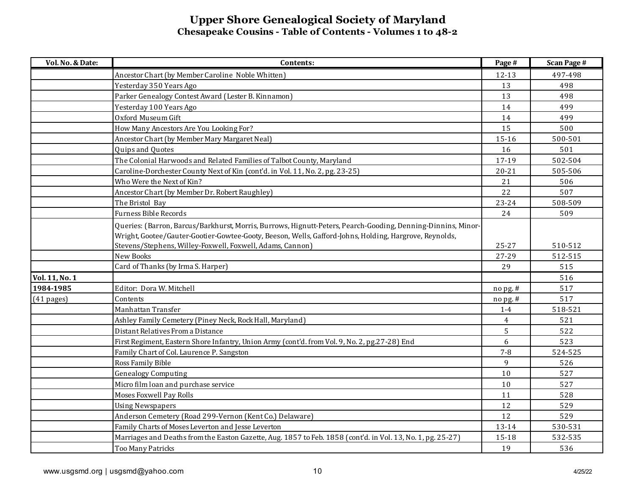| Vol. No. & Date: | Contents:                                                                                                                                                                                                              | Page #         | <b>Scan Page #</b> |
|------------------|------------------------------------------------------------------------------------------------------------------------------------------------------------------------------------------------------------------------|----------------|--------------------|
|                  | Ancestor Chart (by Member Caroline Noble Whitten)                                                                                                                                                                      | 12-13          | 497-498            |
|                  | Yesterday 350 Years Ago                                                                                                                                                                                                | 13             | 498                |
|                  | Parker Genealogy Contest Award (Lester B. Kinnamon)                                                                                                                                                                    | 13             | 498                |
|                  | Yesterday 100 Years Ago                                                                                                                                                                                                | 14             | 499                |
|                  | Oxford Museum Gift                                                                                                                                                                                                     | 14             | 499                |
|                  | How Many Ancestors Are You Looking For?                                                                                                                                                                                | 15             | 500                |
|                  | Ancestor Chart (by Member Mary Margaret Neal)                                                                                                                                                                          | 15-16          | 500-501            |
|                  | Quips and Quotes                                                                                                                                                                                                       | 16             | 501                |
|                  | The Colonial Harwoods and Related Families of Talbot County, Maryland                                                                                                                                                  | 17-19          | 502-504            |
|                  | Caroline-Dorchester County Next of Kin (cont'd. in Vol. 11, No. 2, pg. 23-25)                                                                                                                                          | $20 - 21$      | 505-506            |
|                  | Who Were the Next of Kin?                                                                                                                                                                                              | 21             | 506                |
|                  | Ancestor Chart (by Member Dr. Robert Raughley)                                                                                                                                                                         | 22             | 507                |
|                  | The Bristol Bay                                                                                                                                                                                                        | 23-24          | 508-509            |
|                  | <b>Furness Bible Records</b>                                                                                                                                                                                           | 24             | 509                |
|                  | Queries: (Barron, Barcus/Barkhurst, Morris, Burrows, Hignutt-Peters, Pearch-Gooding, Denning-Dinnins, Minor-<br>Wright, Gootee/Gauter-Gootier-Gowtee-Gooty, Beeson, Wells, Gafford-Johns, Holding, Hargrove, Reynolds, |                |                    |
|                  | Stevens/Stephens, Willey-Foxwell, Foxwell, Adams, Cannon)                                                                                                                                                              | 25-27          | 510-512            |
|                  | <b>New Books</b>                                                                                                                                                                                                       | 27-29          | 512-515            |
|                  | Card of Thanks (by Irma S. Harper)                                                                                                                                                                                     | 29             | 515                |
| Vol. 11, No. 1   |                                                                                                                                                                                                                        |                | 516                |
| 1984-1985        | Editor: Dora W. Mitchell                                                                                                                                                                                               | no pg. #       | 517                |
| $(41$ pages)     | Contents                                                                                                                                                                                                               | no pg. #       | 517                |
|                  | Manhattan Transfer                                                                                                                                                                                                     | $1-4$          | 518-521            |
|                  | Ashley Family Cemetery (Piney Neck, Rock Hall, Maryland)                                                                                                                                                               | $\overline{4}$ | 521                |
|                  | Distant Relatives From a Distance                                                                                                                                                                                      | 5              | 522                |
|                  | First Regiment, Eastern Shore Infantry, Union Army (cont'd. from Vol. 9, No. 2, pg.27-28) End                                                                                                                          | 6              | 523                |
|                  | Family Chart of Col. Laurence P. Sangston                                                                                                                                                                              | $7 - 8$        | 524-525            |
|                  | Ross Family Bible                                                                                                                                                                                                      | 9              | 526                |
|                  | <b>Genealogy Computing</b>                                                                                                                                                                                             | $10$           | 527                |
|                  | Micro film loan and purchase service                                                                                                                                                                                   | 10             | 527                |
|                  | <b>Moses Foxwell Pay Rolls</b>                                                                                                                                                                                         | 11             | 528                |
|                  | <b>Using Newspapers</b>                                                                                                                                                                                                | 12             | 529                |
|                  | Anderson Cemetery (Road 299-Vernon (Kent Co.) Delaware)                                                                                                                                                                | 12             | 529                |
|                  | Family Charts of Moses Leverton and Jesse Leverton                                                                                                                                                                     | 13-14          | 530-531            |
|                  | Marriages and Deaths from the Easton Gazette, Aug. 1857 to Feb. 1858 (cont'd. in Vol. 13, No. 1, pg. 25-27)                                                                                                            | 15-18          | 532-535            |
|                  | Too Many Patricks                                                                                                                                                                                                      | 19             | 536                |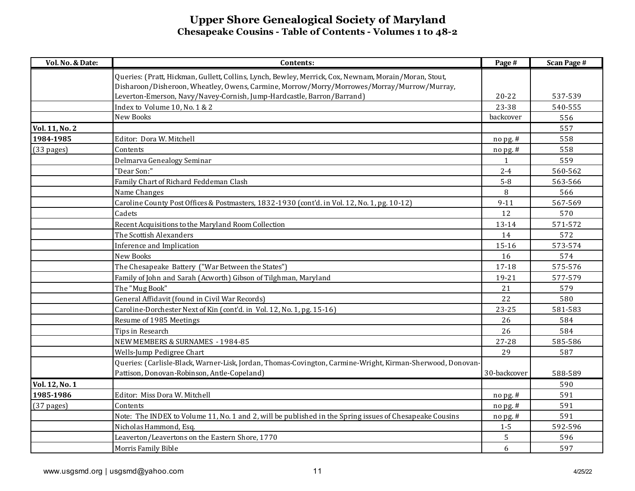| Vol. No. & Date: | Contents:                                                                                                  | Page #       | <b>Scan Page #</b> |
|------------------|------------------------------------------------------------------------------------------------------------|--------------|--------------------|
|                  | Queries: (Pratt, Hickman, Gullett, Collins, Lynch, Bewley, Merrick, Cox, Newnam, Morain/Moran, Stout,      |              |                    |
|                  | Disharoon/Disheroon, Wheatley, Owens, Carmine, Morrow/Morry/Morrowes/Morray/Murrow/Murray,                 |              |                    |
|                  | Leverton-Emerson, Navy/Navey-Cornish, Jump-Hardcastle, Barron/Barrand)                                     | $20 - 22$    | 537-539            |
|                  | Index to Volume 10, No. 1 & 2                                                                              | 23-38        | 540-555            |
|                  | New Books                                                                                                  | backcover    | 556                |
| Vol. 11, No. 2   |                                                                                                            |              | 557                |
| 1984-1985        | Editor: Dora W. Mitchell                                                                                   | no pg. #     | 558                |
| (33 pages)       | Contents                                                                                                   | no pg. #     | 558                |
|                  | Delmarva Genealogy Seminar                                                                                 | $\mathbf{1}$ | 559                |
|                  | "Dear Son:"                                                                                                | $2 - 4$      | 560-562            |
|                  | Family Chart of Richard Feddeman Clash                                                                     | $5 - 8$      | 563-566            |
|                  | Name Changes                                                                                               | 8            | 566                |
|                  | Caroline County Post Offices & Postmasters, 1832-1930 (cont'd. in Vol. 12, No. 1, pg. 10-12)               | $9 - 11$     | 567-569            |
|                  | Cadets                                                                                                     | 12           | 570                |
|                  | Recent Acquisitions to the Maryland Room Collection                                                        | 13-14        | 571-572            |
|                  | The Scottish Alexanders                                                                                    | 14           | 572                |
|                  | Inference and Implication                                                                                  | 15-16        | 573-574            |
|                  | New Books                                                                                                  | 16           | 574                |
|                  | The Chesapeake Battery ("War Between the States")                                                          | 17-18        | 575-576            |
|                  | Family of John and Sarah (Acworth) Gibson of Tilghman, Maryland                                            | 19-21        | 577-579            |
|                  | The "Mug Book"                                                                                             | 21           | 579                |
|                  | General Affidavit (found in Civil War Records)                                                             | 22           | 580                |
|                  | Caroline-Dorchester Next of Kin (cont'd. in Vol. 12, No. 1, pg. 15-16)                                     | 23-25        | 581-583            |
|                  | Resume of 1985 Meetings                                                                                    | 26           | 584                |
|                  | Tips in Research                                                                                           | 26           | 584                |
|                  | NEW MEMBERS & SURNAMES - 1984-85                                                                           | 27-28        | 585-586            |
|                  | Wells-Jump Pedigree Chart                                                                                  | 29           | 587                |
|                  | Queries: (Carlisle-Black, Warner-Lisk, Jordan, Thomas-Covington, Carmine-Wright, Kirman-Sherwood, Donovan- |              |                    |
|                  | Pattison, Donovan-Robinson, Antle-Copeland)                                                                | 30-backcover | 588-589            |
| Vol. 12, No. 1   |                                                                                                            |              | 590                |
| 1985-1986        | Editor: Miss Dora W. Mitchell                                                                              | no pg. #     | 591                |
| $(37$ pages)     | Contents                                                                                                   | no pg. #     | 591                |
|                  | Note: The INDEX to Volume 11, No. 1 and 2, will be published in the Spring issues of Chesapeake Cousins    | no pg. #     | 591                |
|                  | Nicholas Hammond, Esq.                                                                                     | $1 - 5$      | 592-596            |
|                  | Leaverton/Leavertons on the Eastern Shore, 1770                                                            | 5            | 596                |
|                  | Morris Family Bible                                                                                        | 6            | 597                |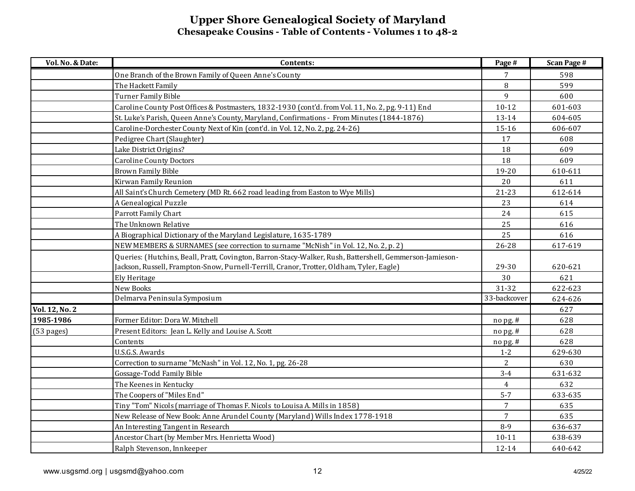| Vol. No. & Date: | Contents:                                                                                                | Page #         | <b>Scan Page #</b> |
|------------------|----------------------------------------------------------------------------------------------------------|----------------|--------------------|
|                  | One Branch of the Brown Family of Queen Anne's County                                                    | 7              | 598                |
|                  | The Hackett Family                                                                                       | 8              | 599                |
|                  | <b>Turner Family Bible</b>                                                                               | 9              | 600                |
|                  | Caroline County Post Offices & Postmasters, 1832-1930 (cont'd. from Vol. 11, No. 2, pg. 9-11) End        | $10 - 12$      | 601-603            |
|                  | St. Luke's Parish, Queen Anne's County, Maryland, Confirmations - From Minutes (1844-1876)               | 13-14          | 604-605            |
|                  | Caroline-Dorchester County Next of Kin (cont'd. in Vol. 12, No. 2, pg. 24-26)                            | 15-16          | 606-607            |
|                  | Pedigree Chart (Slaughter)                                                                               | 17             | 608                |
|                  | Lake District Origins?                                                                                   | 18             | 609                |
|                  | <b>Caroline County Doctors</b>                                                                           | 18             | 609                |
|                  | <b>Brown Family Bible</b>                                                                                | 19-20          | 610-611            |
|                  | Kirwan Family Reunion                                                                                    | 20             | 611                |
|                  | All Saint's Church Cemetery (MD Rt. 662 road leading from Easton to Wye Mills)                           | $21 - 23$      | 612-614            |
|                  | A Genealogical Puzzle                                                                                    | 23             | 614                |
|                  | Parrott Family Chart                                                                                     | 24             | 615                |
|                  | The Unknown Relative                                                                                     | 25             | 616                |
|                  | A Biographical Dictionary of the Maryland Legislature, 1635-1789                                         | 25             | 616                |
|                  | NEW MEMBERS & SURNAMES (see correction to surname "McNish" in Vol. 12, No. 2, p. 2)                      | 26-28          | 617-619            |
|                  | Queries: (Hutchins, Beall, Pratt, Covington, Barron-Stacy-Walker, Rush, Battershell, Gemmerson-Jamieson- |                |                    |
|                  | Jackson, Russell, Frampton-Snow, Purnell-Terrill, Cranor, Trotter, Oldham, Tyler, Eagle)                 | 29-30          | 620-621            |
|                  | Ely Heritage                                                                                             | 30             | 621                |
|                  | New Books                                                                                                | 31-32          | 622-623            |
|                  | Delmarva Peninsula Symposium                                                                             | 33-backcover   | 624-626            |
| Vol. 12, No. 2   |                                                                                                          |                | 627                |
| 1985-1986        | Former Editor: Dora W. Mitchell                                                                          | no pg. #       | 628                |
| (53 pages)       | Present Editors: Jean L. Kelly and Louise A. Scott                                                       | no pg. #       | 628                |
|                  | Contents                                                                                                 | no pg. #       | 628                |
|                  | U.S.G.S. Awards                                                                                          | $1 - 2$        | 629-630            |
|                  | Correction to surname "McNash" in Vol. 12, No. 1, pg. 26-28                                              | 2              | 630                |
|                  | Gossage-Todd Family Bible                                                                                | $3 - 4$        | 631-632            |
|                  | The Keenes in Kentucky                                                                                   | $\overline{4}$ | 632                |
|                  | The Coopers of "Miles End"                                                                               | $5 - 7$        | 633-635            |
|                  | Tiny "Tom" Nicols (marriage of Thomas F. Nicols to Louisa A. Mills in 1858)                              | 7              | 635                |
|                  | New Release of New Book: Anne Arundel County (Maryland) Wills Index 1778-1918                            | $\overline{7}$ | 635                |
|                  | An Interesting Tangent in Research                                                                       | $8-9$          | 636-637            |
|                  | Ancestor Chart (by Member Mrs. Henrietta Wood)                                                           | $10 - 11$      | 638-639            |
|                  | Ralph Stevenson, Innkeeper                                                                               | $12 - 14$      | 640-642            |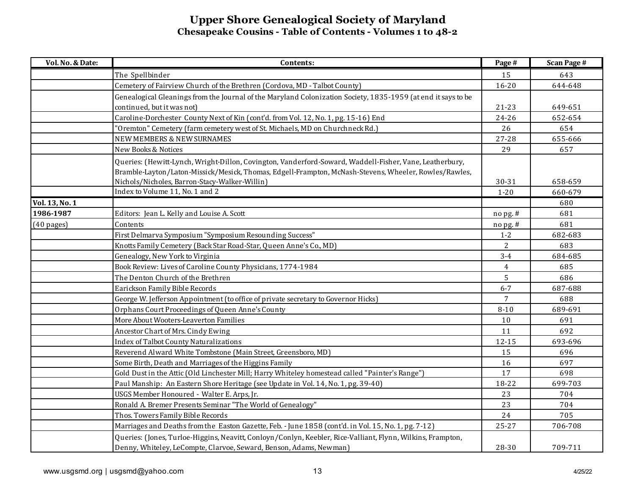| Vol. No. & Date:     | Contents:                                                                                                                                                                                                                                                         | Page #         | <b>Scan Page #</b> |
|----------------------|-------------------------------------------------------------------------------------------------------------------------------------------------------------------------------------------------------------------------------------------------------------------|----------------|--------------------|
|                      | The Spellbinder                                                                                                                                                                                                                                                   | 15             | 643                |
|                      | Cemetery of Fairview Church of the Brethren (Cordova, MD - Talbot County)                                                                                                                                                                                         | $16 - 20$      | 644-648            |
|                      | Genealogical Gleanings from the Journal of the Maryland Colonization Society, 1835-1959 (at end it says to be                                                                                                                                                     |                |                    |
|                      | continued, but it was not)                                                                                                                                                                                                                                        | $21 - 23$      | 649-651            |
|                      | Caroline-Dorchester County Next of Kin (cont'd. from Vol. 12, No. 1, pg. 15-16) End                                                                                                                                                                               | $24 - 26$      | 652-654            |
|                      | 'Oremton" Cemetery (farm cemetery west of St. Michaels, MD on Churchneck Rd.)                                                                                                                                                                                     | 26             | 654                |
|                      | NEW MEMBERS & NEW SURNAMES                                                                                                                                                                                                                                        | $27 - 28$      | 655-666            |
|                      | New Books & Notices                                                                                                                                                                                                                                               | 29             | 657                |
|                      | Queries: (Hewitt-Lynch, Wright-Dillon, Covington, Vanderford-Soward, Waddell-Fisher, Vane, Leatherbury,<br>Bramble-Layton/Laton-Missick/Mesick, Thomas, Edgell-Frampton, McNash-Stevens, Wheeler, Rowles/Rawles,<br>Nichols/Nicholes, Barron-Stacy-Walker-Willin) | 30-31          | 658-659            |
|                      | Index to Volume 11, No. 1 and 2                                                                                                                                                                                                                                   | $1 - 20$       | 660-679            |
| Vol. 13, No. 1       |                                                                                                                                                                                                                                                                   |                | 680                |
| 1986-1987            | Editors: Jean L. Kelly and Louise A. Scott                                                                                                                                                                                                                        | nopg.#         | 681                |
| $(40 \text{ pages})$ | Contents                                                                                                                                                                                                                                                          | $n$ opg.#      | 681                |
|                      | First Delmarva Symposium "Symposium Resounding Success"                                                                                                                                                                                                           | $1 - 2$        | 682-683            |
|                      | Knotts Family Cemetery (Back Star Road-Star, Queen Anne's Co., MD)                                                                                                                                                                                                | 2              | 683                |
|                      | Genealogy, New York to Virginia                                                                                                                                                                                                                                   | $3 - 4$        | 684-685            |
|                      | Book Review: Lives of Caroline County Physicians, 1774-1984                                                                                                                                                                                                       | $\overline{4}$ | 685                |
|                      | The Denton Church of the Brethren                                                                                                                                                                                                                                 | 5              | 686                |
|                      | Earickson Family Bible Records                                                                                                                                                                                                                                    | $6 - 7$        | 687-688            |
|                      | George W. Jefferson Appointment (to office of private secretary to Governor Hicks)                                                                                                                                                                                | 7              | 688                |
|                      | Orphans Court Proceedings of Queen Anne's County                                                                                                                                                                                                                  | $8 - 10$       | 689-691            |
|                      | More About Wooters-Leaverton Families                                                                                                                                                                                                                             | 10             | 691                |
|                      | Ancestor Chart of Mrs. Cindy Ewing                                                                                                                                                                                                                                | 11             | 692                |
|                      | <b>Index of Talbot County Naturalizations</b>                                                                                                                                                                                                                     | $12 - 15$      | 693-696            |
|                      | Reverend Alward White Tombstone (Main Street, Greensboro, MD)                                                                                                                                                                                                     | 15             | 696                |
|                      | Some Birth, Death and Marriages of the Higgins Family                                                                                                                                                                                                             | 16             | 697                |
|                      | Gold Dust in the Attic (Old Linchester Mill; Harry Whiteley homestead called "Painter's Range")                                                                                                                                                                   | 17             | 698                |
|                      | Paul Manship: An Eastern Shore Heritage (see Update in Vol. 14, No. 1, pg. 39-40)                                                                                                                                                                                 | 18-22          | 699-703            |
|                      | USGS Member Honoured - Walter E. Arps, Jr.                                                                                                                                                                                                                        | 23             | 704                |
|                      | Ronald A. Bremer Presents Seminar "The World of Genealogy"                                                                                                                                                                                                        | 23             | 704                |
|                      | Thos. Towers Family Bible Records                                                                                                                                                                                                                                 | 24             | 705                |
|                      | Marriages and Deaths from the Easton Gazette, Feb. - June 1858 (cont'd. in Vol. 15, No. 1, pg. 7-12)                                                                                                                                                              | $25 - 27$      | 706-708            |
|                      | Queries: (Jones, Turloe-Higgins, Neavitt, Conloyn/Conlyn, Keebler, Rice-Valliant, Flynn, Wilkins, Frampton,<br>Denny, Whiteley, LeCompte, Clarvoe, Seward, Benson, Adams, Newman)                                                                                 | 28-30          | 709-711            |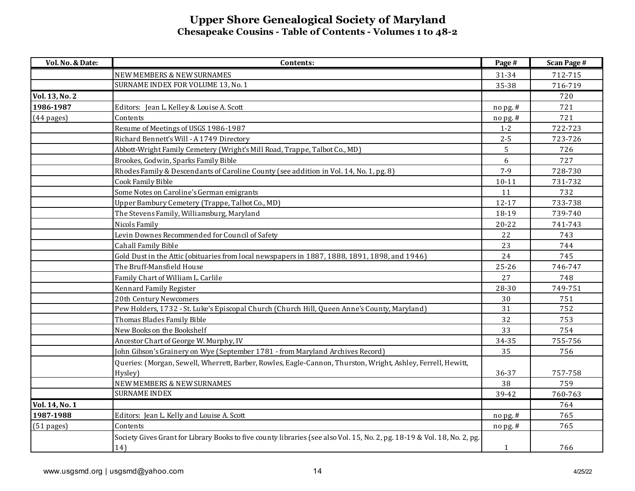| Vol. No. & Date: | Contents:                                                                                                                | Page #    | <b>Scan Page #</b> |
|------------------|--------------------------------------------------------------------------------------------------------------------------|-----------|--------------------|
|                  | NEW MEMBERS & NEW SURNAMES                                                                                               | 31-34     | 712-715            |
|                  | SURNAME INDEX FOR VOLUME 13, No. 1                                                                                       | 35-38     | 716-719            |
| Vol. 13, No. 2   |                                                                                                                          |           | 720                |
| 1986-1987        | Editors: Jean L. Kelley & Louise A. Scott                                                                                | nopg.#    | 721                |
| $(44$ pages)     | Contents                                                                                                                 | nopg.#    | 721                |
|                  | Resume of Meetings of USGS 1986-1987                                                                                     | $1 - 2$   | 722-723            |
|                  | Richard Bennett's Will - A 1749 Directory                                                                                | $2 - 5$   | 723-726            |
|                  | Abbott-Wright Family Cemetery (Wright's Mill Road, Trappe, Talbot Co., MD)                                               | 5         | 726                |
|                  | Brookes, Godwin, Sparks Family Bible                                                                                     | 6         | 727                |
|                  | Rhodes Family & Descendants of Caroline County (see addition in Vol. 14, No. 1, pg. 8)                                   | $7 - 9$   | 728-730            |
|                  | Cook Family Bible                                                                                                        | $10 - 11$ | 731-732            |
|                  | Some Notes on Caroline's German emigrants                                                                                | 11        | 732                |
|                  | Upper Bambury Cemetery (Trappe, Talbot Co., MD)                                                                          | $12 - 17$ | 733-738            |
|                  | The Stevens Family, Williamsburg, Maryland                                                                               | 18-19     | 739-740            |
|                  | Nicols Family                                                                                                            | $20 - 22$ | 741-743            |
|                  | Levin Downes Recommended for Council of Safety                                                                           | 22        | 743                |
|                  | <b>Cahall Family Bible</b>                                                                                               | 23        | 744                |
|                  | Gold Dust in the Attic (obituaries from local newspapers in 1887, 1888, 1891, 1898, and 1946)                            | 24        | 745                |
|                  | The Bruff-Mansfield House                                                                                                | $25 - 26$ | 746-747            |
|                  | Family Chart of William L. Carlile                                                                                       | 27        | 748                |
|                  | Kennard Family Register                                                                                                  | 28-30     | 749-751            |
|                  | 20th Century Newcomers                                                                                                   | 30        | 751                |
|                  | Pew Holders, 1732 - St. Luke's Episcopal Church (Church Hill, Queen Anne's County, Maryland)                             | 31        | 752                |
|                  | Thomas Blades Family Bible                                                                                               | 32        | 753                |
|                  | New Books on the Bookshelf                                                                                               | 33        | 754                |
|                  | Ancestor Chart of George W. Murphy, IV                                                                                   | 34-35     | 755-756            |
|                  | John Gibson's Grainery on Wye (September 1781 - from Maryland Archives Record)                                           | 35        | 756                |
|                  | Queries: (Morgan, Sewell, Wherrett, Barber, Rowles, Eagle-Cannon, Thurston, Wright, Ashley, Ferrell, Hewitt,             |           |                    |
|                  | Hysley)                                                                                                                  | 36-37     | 757-758            |
|                  | <b>NEW MEMBERS &amp; NEW SURNAMES</b>                                                                                    | 38        | 759                |
|                  | <b>SURNAME INDEX</b>                                                                                                     | 39-42     | 760-763            |
| Vol. 14, No. 1   |                                                                                                                          |           | 764                |
| 1987-1988        | Editors: Jean L. Kelly and Louise A. Scott                                                                               | nopg.#    | 765                |
| $(51$ pages)     | Contents                                                                                                                 | nopg.#    | 765                |
|                  | Society Gives Grant for Library Books to five county libraries (see also Vol. 15, No. 2, pg. 18-19 & Vol. 18, No. 2, pg. |           |                    |
|                  | 14)                                                                                                                      | 1         | 766                |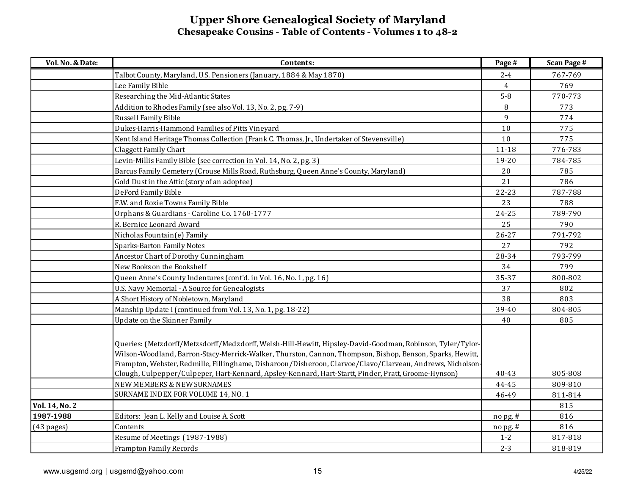| Vol. No. & Date: | Contents:                                                                                                                                                                                                                                                                                                                             | Page #         | <b>Scan Page #</b> |
|------------------|---------------------------------------------------------------------------------------------------------------------------------------------------------------------------------------------------------------------------------------------------------------------------------------------------------------------------------------|----------------|--------------------|
|                  | Talbot County, Maryland, U.S. Pensioners (January, 1884 & May 1870)                                                                                                                                                                                                                                                                   | $2 - 4$        | 767-769            |
|                  | Lee Family Bible                                                                                                                                                                                                                                                                                                                      | $\overline{4}$ | 769                |
|                  | Researching the Mid-Atlantic States                                                                                                                                                                                                                                                                                                   | $5-8$          | 770-773            |
|                  | Addition to Rhodes Family (see also Vol. 13, No. 2, pg. 7-9)                                                                                                                                                                                                                                                                          | $\, 8$         | 773                |
|                  | Russell Family Bible                                                                                                                                                                                                                                                                                                                  | $\mathbf{9}$   | 774                |
|                  | Dukes-Harris-Hammond Families of Pitts Vineyard                                                                                                                                                                                                                                                                                       | $10$           | 775                |
|                  | Kent Island Heritage Thomas Collection (Frank C. Thomas, Jr., Undertaker of Stevensville)                                                                                                                                                                                                                                             | 10             | 775                |
|                  | Claggett Family Chart                                                                                                                                                                                                                                                                                                                 | $11 - 18$      | 776-783            |
|                  | Levin-Millis Family Bible (see correction in Vol. 14, No. 2, pg. 3)                                                                                                                                                                                                                                                                   | 19-20          | 784-785            |
|                  | Barcus Family Cemetery (Crouse Mills Road, Ruthsburg, Queen Anne's County, Maryland)                                                                                                                                                                                                                                                  | 20             | 785                |
|                  | Gold Dust in the Attic (story of an adoptee)                                                                                                                                                                                                                                                                                          | 21             | 786                |
|                  | DeFord Family Bible                                                                                                                                                                                                                                                                                                                   | $22 - 23$      | 787-788            |
|                  | F.W. and Roxie Towns Family Bible                                                                                                                                                                                                                                                                                                     | 23             | 788                |
|                  | Orphans & Guardians - Caroline Co. 1760-1777                                                                                                                                                                                                                                                                                          | $24 - 25$      | 789-790            |
|                  | R. Bernice Leonard Award                                                                                                                                                                                                                                                                                                              | 25             | 790                |
|                  | Nicholas Fountain(e) Family                                                                                                                                                                                                                                                                                                           | $26 - 27$      | 791-792            |
|                  | <b>Sparks-Barton Family Notes</b>                                                                                                                                                                                                                                                                                                     | 27             | 792                |
|                  | Ancestor Chart of Dorothy Cunningham                                                                                                                                                                                                                                                                                                  | 28-34          | 793-799            |
|                  | New Books on the Bookshelf                                                                                                                                                                                                                                                                                                            | 34             | 799                |
|                  | Queen Anne's County Indentures (cont'd. in Vol. 16, No. 1, pg. 16)                                                                                                                                                                                                                                                                    | 35-37          | 800-802            |
|                  | U.S. Navy Memorial - A Source for Genealogists                                                                                                                                                                                                                                                                                        | 37             | 802                |
|                  | A Short History of Nobletown, Maryland                                                                                                                                                                                                                                                                                                | 38             | 803                |
|                  | Manship Update I (continued from Vol. 13, No. 1, pg. 18-22)                                                                                                                                                                                                                                                                           | 39-40          | 804-805            |
|                  | Update on the Skinner Family                                                                                                                                                                                                                                                                                                          | 40             | 805                |
|                  | Queries: (Metzdorff/Metzsdorff/Medzdorff, Welsh-Hill-Hewitt, Hipsley-David-Goodman, Robinson, Tyler/Tylor-<br>Wilson-Woodland, Barron-Stacy-Merrick-Walker, Thurston, Cannon, Thompson, Bishop, Benson, Sparks, Hewitt,<br>Frampton, Webster, Redmille, Fillinghame, Disharoon/Disheroon, Clarvoe/Clavo/Clarveau, Andrews, Nicholson- |                |                    |
|                  | Clough, Culpepper/Culpeper, Hart-Kennard, Apsley-Kennard, Hart-Startt, Pinder, Pratt, Groome-Hynson)                                                                                                                                                                                                                                  | 40-43          | 805-808            |
|                  | <b>NEW MEMBERS &amp; NEW SURNAMES</b>                                                                                                                                                                                                                                                                                                 | 44-45          | 809-810            |
|                  | SURNAME INDEX FOR VOLUME 14, NO. 1                                                                                                                                                                                                                                                                                                    | 46-49          | 811-814            |
| Vol. 14, No. 2   |                                                                                                                                                                                                                                                                                                                                       |                | 815                |
| 1987-1988        | Editors: Jean L. Kelly and Louise A. Scott                                                                                                                                                                                                                                                                                            | $no$ pg. #     | 816                |
| $(43$ pages)     | Contents                                                                                                                                                                                                                                                                                                                              | $no$ pg. $#$   | 816                |
|                  | Resume of Meetings (1987-1988)                                                                                                                                                                                                                                                                                                        | $1 - 2$        | 817-818            |
|                  | <b>Frampton Family Records</b>                                                                                                                                                                                                                                                                                                        | $2 - 3$        | 818-819            |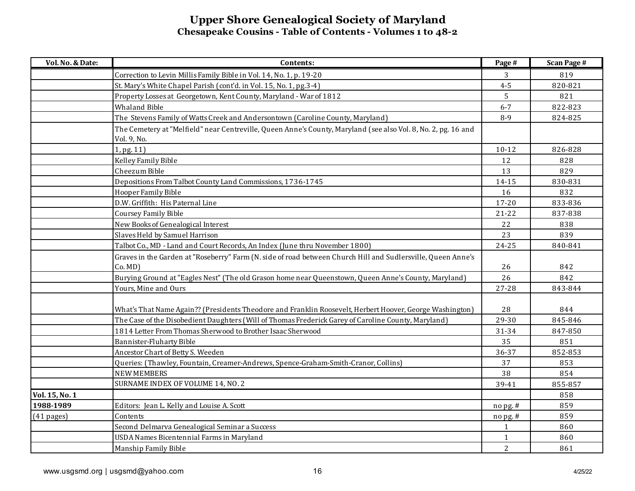| Vol. No. & Date: | Contents:                                                                                                              | Page #       | <b>Scan Page #</b> |
|------------------|------------------------------------------------------------------------------------------------------------------------|--------------|--------------------|
|                  | Correction to Levin Millis Family Bible in Vol. 14, No. 1, p. 19-20                                                    | 3            | 819                |
|                  | St. Mary's White Chapel Parish (cont'd. in Vol. 15, No. 1, pg.3-4)                                                     | $4 - 5$      | 820-821            |
|                  | Property Losses at Georgetown, Kent County, Maryland - War of 1812                                                     | 5            | 821                |
|                  | <b>Whaland Bible</b>                                                                                                   | $6 - 7$      | 822-823            |
|                  | The Stevens Family of Watts Creek and Andersontown (Caroline County, Maryland)                                         | $8 - 9$      | 824-825            |
|                  | The Cemetery at "Melfield" near Centreville, Queen Anne's County, Maryland (see also Vol. 8, No. 2, pg. 16 and         |              |                    |
|                  | Vol. 9, No.                                                                                                            |              |                    |
|                  | 1, pg. 11)                                                                                                             | $10 - 12$    | 826-828            |
|                  | Kelley Family Bible                                                                                                    | 12           | 828                |
|                  | Cheezum Bible                                                                                                          | 13           | 829                |
|                  | Depositions From Talbot County Land Commissions, 1736-1745                                                             | 14-15        | 830-831            |
|                  | Hooper Family Bible                                                                                                    | 16           | 832                |
|                  | D.W. Griffith: His Paternal Line                                                                                       | $17 - 20$    | 833-836            |
|                  | <b>Coursey Family Bible</b>                                                                                            | $21 - 22$    | 837-838            |
|                  | New Books of Genealogical Interest                                                                                     | 22           | 838                |
|                  | Slaves Held by Samuel Harrison                                                                                         | 23           | 839                |
|                  | Talbot Co., MD - Land and Court Records, An Index (June thru November 1800)                                            | $24 - 25$    | 840-841            |
|                  | Graves in the Garden at "Roseberry" Farm (N. side of road between Church Hill and Sudlersville, Queen Anne's<br>Co.MD) | 26           | 842                |
|                  | Burying Ground at "Eagles Nest" (The old Grason home near Queenstown, Queen Anne's County, Maryland)                   | 26           | 842                |
|                  | Yours, Mine and Ours                                                                                                   | 27-28        | 843-844            |
|                  |                                                                                                                        |              |                    |
|                  | What's That Name Again?? (Presidents Theodore and Franklin Roosevelt, Herbert Hoover, George Washington)               | 28           | 844                |
|                  | The Case of the Disobedient Daughters (Will of Thomas Frederick Garey of Caroline County, Maryland)                    | 29-30        | 845-846            |
|                  | 1814 Letter From Thomas Sherwood to Brother Isaac Sherwood                                                             | 31-34        | 847-850            |
|                  | <b>Bannister-Fluharty Bible</b>                                                                                        | 35           | 851                |
|                  | Ancestor Chart of Betty S. Weeden                                                                                      | 36-37        | 852-853            |
|                  | Queries: (Thawley, Fountain, Creamer-Andrews, Spence-Graham-Smith-Cranor, Collins)                                     | 37           | 853                |
|                  | <b>NEW MEMBERS</b>                                                                                                     | 38           | 854                |
|                  | SURNAME INDEX OF VOLUME 14, NO. 2                                                                                      | 39-41        | 855-857            |
| Vol. 15, No. 1   |                                                                                                                        |              | 858                |
| 1988-1989        | Editors: Jean L. Kelly and Louise A. Scott                                                                             | no pg. #     | 859                |
| $(41$ pages)     | Contents                                                                                                               | nopg.#       | 859                |
|                  | Second Delmarva Genealogical Seminar a Success                                                                         | $\mathbf{1}$ | 860                |
|                  | USDA Names Bicentennial Farms in Maryland                                                                              | $\mathbf{1}$ | 860                |
|                  | Manship Family Bible                                                                                                   | $\mathbf{2}$ | 861                |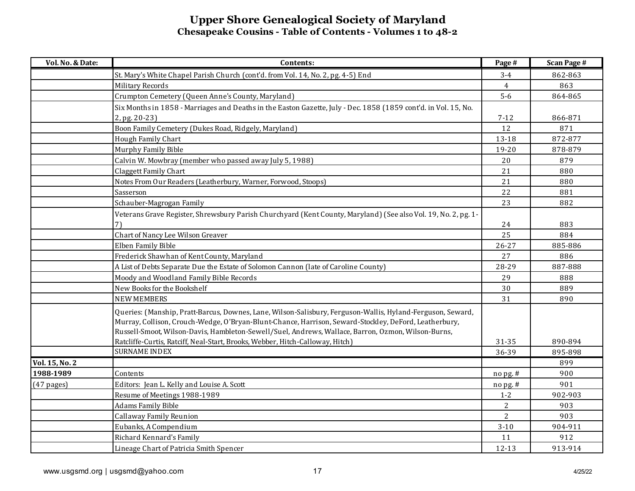| Vol. No. & Date: | Contents:                                                                                                                                                                                                           | Page #         | <b>Scan Page #</b> |
|------------------|---------------------------------------------------------------------------------------------------------------------------------------------------------------------------------------------------------------------|----------------|--------------------|
|                  | St. Mary's White Chapel Parish Church (cont'd. from Vol. 14, No. 2, pg. 4-5) End                                                                                                                                    | $3-4$          | 862-863            |
|                  | Military Records                                                                                                                                                                                                    | $\overline{4}$ | 863                |
|                  | Crumpton Cemetery (Queen Anne's County, Maryland)                                                                                                                                                                   | $5-6$          | 864-865            |
|                  | Six Months in 1858 - Marriages and Deaths in the Easton Gazette, July - Dec. 1858 (1859 cont'd. in Vol. 15, No.                                                                                                     |                |                    |
|                  | 2, pg. 20-23)                                                                                                                                                                                                       | $7-12$         | 866-871            |
|                  | Boon Family Cemetery (Dukes Road, Ridgely, Maryland)                                                                                                                                                                | 12             | 871                |
|                  | Hough Family Chart                                                                                                                                                                                                  | 13-18          | 872-877            |
|                  | Murphy Family Bible                                                                                                                                                                                                 | 19-20          | 878-879            |
|                  | Calvin W. Mowbray (member who passed away July 5, 1988)                                                                                                                                                             | 20             | 879                |
|                  | Claggett Family Chart                                                                                                                                                                                               | 21             | 880                |
|                  | Notes From Our Readers (Leatherbury, Warner, Forwood, Stoops)                                                                                                                                                       | 21             | 880                |
|                  | Sasserson                                                                                                                                                                                                           | 22             | 881                |
|                  | Schauber-Magrogan Family                                                                                                                                                                                            | 23             | 882                |
|                  | Veterans Grave Register, Shrewsbury Parish Churchyard (Kent County, Maryland) (See also Vol. 19, No. 2, pg. 1-                                                                                                      |                |                    |
|                  | 71                                                                                                                                                                                                                  | 24             | 883                |
|                  | Chart of Nancy Lee Wilson Greaver                                                                                                                                                                                   | 25             | 884                |
|                  | Elben Family Bible                                                                                                                                                                                                  | $26 - 27$      | 885-886            |
|                  | Frederick Shawhan of Kent County, Maryland                                                                                                                                                                          | 27             | 886                |
|                  | A List of Debts Separate Due the Estate of Solomon Cannon (late of Caroline County)                                                                                                                                 | 28-29          | 887-888            |
|                  | Moody and Woodland Family Bible Records                                                                                                                                                                             | 29             | 888                |
|                  | New Books for the Bookshelf                                                                                                                                                                                         | 30             | 889                |
|                  | <b>NEW MEMBERS</b>                                                                                                                                                                                                  | 31             | 890                |
|                  | Queries: (Manship, Pratt-Barcus, Downes, Lane, Wilson-Salisbury, Ferguson-Wallis, Hyland-Ferguson, Seward,<br>Murray, Collison, Crouch-Wedge, O'Bryan-Blunt-Chance, Harrison, Seward-Stockley, DeFord, Leatherbury, |                |                    |
|                  | Russell-Smoot, Wilson-Davis, Hambleton-Sewell/Suel, Andrews, Wallace, Barron, Ozmon, Wilson-Burns,                                                                                                                  |                |                    |
|                  | Ratcliffe-Curtis, Ratciff, Neal-Start, Brooks, Webber, Hitch-Calloway, Hitch)                                                                                                                                       | 31-35          | 890-894            |
|                  | <b>SURNAME INDEX</b>                                                                                                                                                                                                | 36-39          | 895-898            |
| Vol. 15, No. 2   |                                                                                                                                                                                                                     |                | 899                |
| 1988-1989        | Contents                                                                                                                                                                                                            | nopg.#         | 900                |
| $(47$ pages)     | Editors: Jean L. Kelly and Louise A. Scott                                                                                                                                                                          | nopg.#         | 901                |
|                  | Resume of Meetings 1988-1989                                                                                                                                                                                        | $1 - 2$        | 902-903            |
|                  | <b>Adams Family Bible</b>                                                                                                                                                                                           | $\overline{2}$ | 903                |
|                  | Callaway Family Reunion                                                                                                                                                                                             | $\overline{2}$ | 903                |
|                  | Eubanks, A Compendium                                                                                                                                                                                               | $3 - 10$       | 904-911            |
|                  | Richard Kennard's Family                                                                                                                                                                                            | 11             | 912                |
|                  | Lineage Chart of Patricia Smith Spencer                                                                                                                                                                             | 12-13          | 913-914            |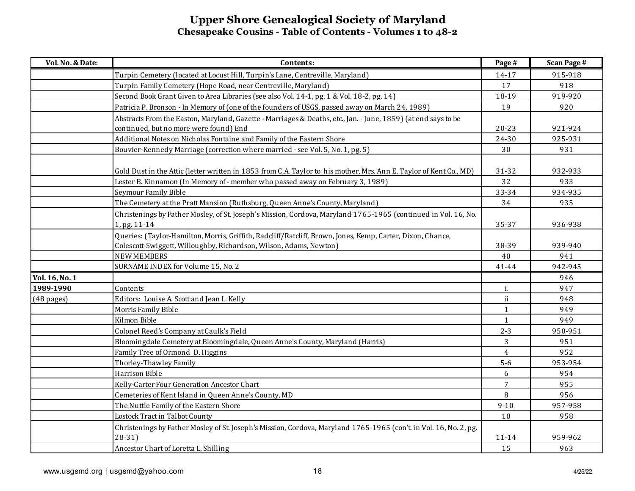| Vol. No. & Date:     | Contents:                                                                                                          | Page #       | <b>Scan Page #</b> |
|----------------------|--------------------------------------------------------------------------------------------------------------------|--------------|--------------------|
|                      | Turpin Cemetery (located at Locust Hill, Turpin's Lane, Centreville, Maryland)                                     | 14-17        | 915-918            |
|                      | Turpin Family Cemetery (Hope Road, near Centreville, Maryland)                                                     | 17           | 918                |
|                      | Second Book Grant Given to Area Libraries (see also Vol. 14-1, pg. 1 & Vol. 18-2, pg. 14)                          | 18-19        | 919-920            |
|                      | Patricia P. Bronson - In Memory of (one of the founders of USGS, passed away on March 24, 1989)                    | 19           | 920                |
|                      | Abstracts From the Easton, Maryland, Gazette - Marriages & Deaths, etc., Jan. - June, 1859) (at end says to be     |              |                    |
|                      | continued, but no more were found) End                                                                             | $20 - 23$    | 921-924            |
|                      | Additional Notes on Nicholas Fontaine and Family of the Eastern Shore                                              | 24-30        | 925-931            |
|                      | Bouvier-Kennedy Marriage (correction where married - see Vol. 5, No. 1, pg. 5)                                     | 30           | 931                |
|                      |                                                                                                                    |              |                    |
|                      | Gold Dust in the Attic (letter written in 1853 from C.A. Taylor to his mother, Mrs. Ann E. Taylor of Kent Co., MD) | 31-32        | 932-933            |
|                      | Lester B. Kinnamon (In Memory of - member who passed away on February 3, 1989)                                     | 32           | 933                |
|                      | Seymour Family Bible                                                                                               | 33-34        | 934-935            |
|                      | The Cemetery at the Pratt Mansion (Ruthsburg, Queen Anne's County, Maryland)                                       | 34           | 935                |
|                      | Christenings by Father Mosley, of St. Joseph's Mission, Cordova, Maryland 1765-1965 (continued in Vol. 16, No.     |              |                    |
|                      | 1, pg. 11-14                                                                                                       | 35-37        | 936-938            |
|                      | Queries: (Taylor-Hamilton, Morris, Griffith, Radcliff/Ratcliff, Brown, Jones, Kemp, Carter, Dixon, Chance,         |              |                    |
|                      | Colescott-Swiggett, Willoughby, Richardson, Wilson, Adams, Newton)                                                 | 38-39        | 939-940            |
|                      | <b>NEW MEMBERS</b>                                                                                                 | 40           | 941                |
|                      | SURNAME INDEX for Volume 15, No. 2                                                                                 | 41-44        | 942-945            |
| Vol. 16, No. 1       |                                                                                                                    |              | 946                |
| 1989-1990            | Contents                                                                                                           | i.           | 947                |
| $(48 \text{ pages})$ | Editors: Louise A. Scott and Jean L. Kelly                                                                         | ii           | 948                |
|                      | Morris Family Bible                                                                                                | $\mathbf{1}$ | 949                |
|                      | Kilmon Bible                                                                                                       | $\mathbf{1}$ | 949                |
|                      | Colonel Reed's Company at Caulk's Field                                                                            | $2 - 3$      | 950-951            |
|                      | Bloomingdale Cemetery at Bloomingdale, Queen Anne's County, Maryland (Harris)                                      | 3            | 951                |
|                      | Family Tree of Ormond D. Higgins                                                                                   | 4            | 952                |
|                      | Thorley-Thawley Family                                                                                             | $5-6$        | 953-954            |
|                      | Harrison Bible                                                                                                     | 6            | 954                |
|                      | Kelly-Carter Four Generation Ancestor Chart                                                                        | 7            | 955                |
|                      | Cemeteries of Kent Island in Queen Anne's County, MD                                                               | 8            | 956                |
|                      | The Nuttle Family of the Eastern Shore                                                                             | $9 - 10$     | 957-958            |
|                      | Lostock Tract in Talbot County                                                                                     | 10           | 958                |
|                      | Christenings by Father Mosley of St. Joseph's Mission, Cordova, Maryland 1765-1965 (con't. in Vol. 16, No. 2, pg.  |              |                    |
|                      | $28-31$                                                                                                            | 11-14        | 959-962            |
|                      | Ancestor Chart of Loretta L. Shilling                                                                              | 15           | 963                |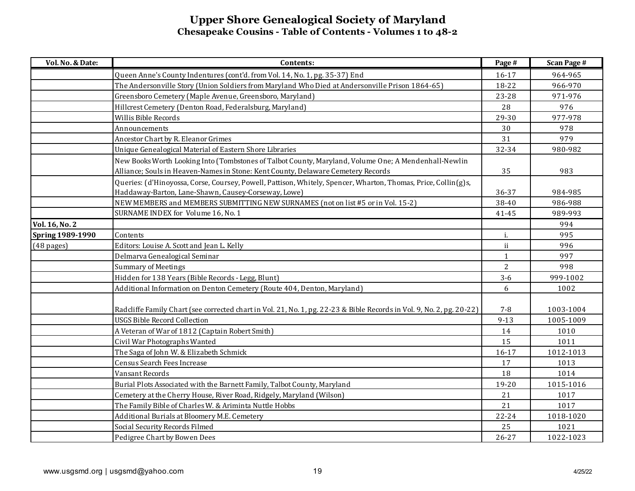| Vol. No. & Date:        | Contents:                                                                                                                                                                                | Page #       | <b>Scan Page #</b> |
|-------------------------|------------------------------------------------------------------------------------------------------------------------------------------------------------------------------------------|--------------|--------------------|
|                         | Queen Anne's County Indentures (cont'd. from Vol. 14, No. 1, pg. 35-37) End                                                                                                              | 16-17        | 964-965            |
|                         | The Andersonville Story (Union Soldiers from Maryland Who Died at Andersonville Prison 1864-65)                                                                                          | 18-22        | 966-970            |
|                         | Greensboro Cemetery (Maple Avenue, Greensboro, Maryland)                                                                                                                                 | 23-28        | 971-976            |
|                         | Hillcrest Cemetery (Denton Road, Federalsburg, Maryland)                                                                                                                                 | 28           | 976                |
|                         | Willis Bible Records                                                                                                                                                                     | 29-30        | 977-978            |
|                         | Announcements                                                                                                                                                                            | 30           | 978                |
|                         | Ancestor Chart by R. Eleanor Grimes                                                                                                                                                      | 31           | 979                |
|                         | Unique Genealogical Material of Eastern Shore Libraries                                                                                                                                  | 32-34        | 980-982            |
|                         | New Books Worth Looking Into (Tombstones of Talbot County, Maryland, Volume One; A Mendenhall-Newlin<br>Alliance; Souls in Heaven-Names in Stone: Kent County, Delaware Cemetery Records | 35           | 983                |
|                         | Queries: (d'Hinoyossa, Corse, Coursey, Powell, Pattison, Whitely, Spencer, Wharton, Thomas, Price, Collin(g)s,<br>Haddaway-Barton, Lane-Shawn, Causey-Corseway, Lowe)                    | 36-37        | 984-985            |
|                         | NEW MEMBERS and MEMBERS SUBMITTING NEW SURNAMES (not on list #5 or in Vol. 15-2)                                                                                                         | 38-40        | 986-988            |
|                         | SURNAME INDEX for Volume 16, No. 1                                                                                                                                                       | 41-45        | 989-993            |
| Vol. 16, No. 2          |                                                                                                                                                                                          |              | 994                |
| <b>Spring 1989-1990</b> | Contents                                                                                                                                                                                 | i.           | 995                |
| (48 pages)              | Editors: Louise A. Scott and Jean L. Kelly                                                                                                                                               | ii.          | 996                |
|                         | Delmarva Genealogical Seminar                                                                                                                                                            | $\mathbf{1}$ | 997                |
|                         | <b>Summary of Meetings</b>                                                                                                                                                               | 2            | 998                |
|                         | Hidden for 138 Years (Bible Records - Legg, Blunt)                                                                                                                                       | $3 - 6$      | 999-1002           |
|                         | Additional Information on Denton Cemetery (Route 404, Denton, Maryland)                                                                                                                  | 6            | 1002               |
|                         | Radcliffe Family Chart (see corrected chart in Vol. 21, No. 1, pg. 22-23 & Bible Records in Vol. 9, No. 2, pg. 20-22)                                                                    | $7 - 8$      | 1003-1004          |
|                         | <b>USGS Bible Record Collection</b>                                                                                                                                                      | $9 - 13$     | 1005-1009          |
|                         | A Veteran of War of 1812 (Captain Robert Smith)                                                                                                                                          | 14           | 1010               |
|                         | Civil War Photographs Wanted                                                                                                                                                             | 15           | 1011               |
|                         | The Saga of John W. & Elizabeth Schmick                                                                                                                                                  | 16-17        | 1012-1013          |
|                         | Census Search Fees Increase                                                                                                                                                              | 17           | 1013               |
|                         | Vansant Records                                                                                                                                                                          | 18           | 1014               |
|                         | Burial Plots Associated with the Barnett Family, Talbot County, Maryland                                                                                                                 | 19-20        | 1015-1016          |
|                         | Cemetery at the Cherry House, River Road, Ridgely, Maryland (Wilson)                                                                                                                     | 21           | 1017               |
|                         | The Family Bible of Charles W. & Ariminta Nuttle Hobbs                                                                                                                                   | 21           | 1017               |
|                         | Additional Burials at Bloomery M.E. Cemetery                                                                                                                                             | $22 - 24$    | 1018-1020          |
|                         | Social Security Records Filmed                                                                                                                                                           | 25           | 1021               |
|                         | Pedigree Chart by Bowen Dees                                                                                                                                                             | $26 - 27$    | 1022-1023          |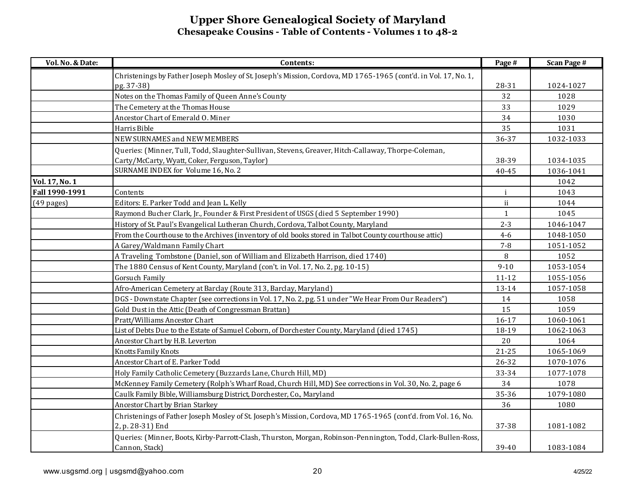| Vol. No. & Date: | Contents:                                                                                                       | Page #       | <b>Scan Page #</b> |
|------------------|-----------------------------------------------------------------------------------------------------------------|--------------|--------------------|
|                  | Christenings by Father Joseph Mosley of St. Joseph's Mission, Cordova, MD 1765-1965 (cont'd. in Vol. 17, No. 1, |              |                    |
|                  | pg. 37-38)                                                                                                      | 28-31        | 1024-1027          |
|                  | Notes on the Thomas Family of Queen Anne's County                                                               | 32           | 1028               |
|                  | The Cemetery at the Thomas House                                                                                | 33           | 1029               |
|                  | Ancestor Chart of Emerald O. Miner                                                                              | 34           | 1030               |
|                  | Harris Bible                                                                                                    | 35           | 1031               |
|                  | <b>NEW SURNAMES and NEW MEMBERS</b>                                                                             | 36-37        | 1032-1033          |
|                  | Queries: (Minner, Tull, Todd, Slaughter-Sullivan, Stevens, Greaver, Hitch-Callaway, Thorpe-Coleman,             |              |                    |
|                  | Carty/McCarty, Wyatt, Coker, Ferguson, Taylor)                                                                  | 38-39        | 1034-1035          |
|                  | SURNAME INDEX for Volume 16, No. 2                                                                              | 40-45        | 1036-1041          |
| Vol. 17, No. 1   |                                                                                                                 |              | 1042               |
| Fall 1990-1991   | Contents                                                                                                        | $\mathbf{i}$ | 1043               |
| $(49$ pages)     | Editors: E. Parker Todd and Jean L. Kelly                                                                       | ii           | 1044               |
|                  | Raymond Bucher Clark, Jr., Founder & First President of USGS (died 5 September 1990)                            | $\mathbf{1}$ | 1045               |
|                  | History of St. Paul's Evangelical Lutheran Church, Cordova, Talbot County, Maryland                             | $2 - 3$      | 1046-1047          |
|                  | From the Courthouse to the Archives (inventory of old books stored in Talbot County courthouse attic)           | $4-6$        | 1048-1050          |
|                  | A Garey/Waldmann Family Chart                                                                                   | $7 - 8$      | 1051-1052          |
|                  | A Traveling Tombstone (Daniel, son of William and Elizabeth Harrison, died 1740)                                | 8            | 1052               |
|                  | The 1880 Census of Kent County, Maryland (con't in Vol. 17, No. 2, pg. 10-15)                                   | $9 - 10$     | 1053-1054          |
|                  | Gorsuch Family                                                                                                  | $11 - 12$    | 1055-1056          |
|                  | Afro-American Cemetery at Barclay (Route 313, Barclay, Maryland)                                                | 13-14        | 1057-1058          |
|                  | DGS - Downstate Chapter (see corrections in Vol. 17, No. 2, pg. 51 under "We Hear From Our Readers")            | 14           | 1058               |
|                  | Gold Dust in the Attic (Death of Congressman Brattan)                                                           | 15           | 1059               |
|                  | Pratt/Williams Ancestor Chart                                                                                   | 16-17        | 1060-1061          |
|                  | List of Debts Due to the Estate of Samuel Coborn, of Dorchester County, Maryland (died 1745)                    | 18-19        | 1062-1063          |
|                  | Ancestor Chart by H.B. Leverton                                                                                 | 20           | 1064               |
|                  | Knotts Family Knots                                                                                             | $21 - 25$    | 1065-1069          |
|                  | Ancestor Chart of E. Parker Todd                                                                                | 26-32        | 1070-1076          |
|                  | Holy Family Catholic Cemetery (Buzzards Lane, Church Hill, MD)                                                  | 33-34        | 1077-1078          |
|                  | McKenney Family Cemetery (Rolph's Wharf Road, Church Hill, MD) See corrections in Vol. 30, No. 2, page 6        | 34           | 1078               |
|                  | Caulk Family Bible, Williamsburg District, Dorchester, Co., Maryland                                            | 35-36        | 1079-1080          |
|                  | Ancestor Chart by Brian Starkey                                                                                 | 36           | 1080               |
|                  | Christenings of Father Joseph Mosley of St. Joseph's Mission, Cordova, MD 1765-1965 (cont'd. from Vol. 16, No.  |              |                    |
|                  | 2, p. 28-31) End                                                                                                | 37-38        | 1081-1082          |
|                  | Queries: (Minner, Boots, Kirby-Parrott-Clash, Thurston, Morgan, Robinson-Pennington, Todd, Clark-Bullen-Ross,   |              |                    |
|                  | Cannon, Stack)                                                                                                  | 39-40        | 1083-1084          |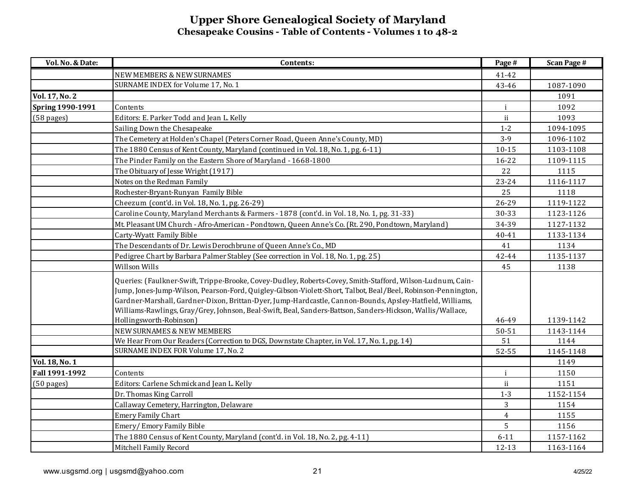| Vol. No. & Date:        | Contents:                                                                                                                                                                                                                                                                                                                                                                                                                                             | Page #         | <b>Scan Page #</b> |
|-------------------------|-------------------------------------------------------------------------------------------------------------------------------------------------------------------------------------------------------------------------------------------------------------------------------------------------------------------------------------------------------------------------------------------------------------------------------------------------------|----------------|--------------------|
|                         | NEW MEMBERS & NEW SURNAMES                                                                                                                                                                                                                                                                                                                                                                                                                            | 41-42          |                    |
|                         | SURNAME INDEX for Volume 17, No. 1                                                                                                                                                                                                                                                                                                                                                                                                                    | 43-46          | 1087-1090          |
| Vol. 17, No. 2          |                                                                                                                                                                                                                                                                                                                                                                                                                                                       |                | 1091               |
| <b>Spring 1990-1991</b> | Contents                                                                                                                                                                                                                                                                                                                                                                                                                                              | $\mathbf{i}$   | 1092               |
| $(58 \text{ pages})$    | Editors: E. Parker Todd and Jean L. Kelly                                                                                                                                                                                                                                                                                                                                                                                                             | ii             | 1093               |
|                         | Sailing Down the Chesapeake                                                                                                                                                                                                                                                                                                                                                                                                                           | $1 - 2$        | 1094-1095          |
|                         | The Cemetery at Holden's Chapel (Peters Corner Road, Queen Anne's County, MD)                                                                                                                                                                                                                                                                                                                                                                         | $3-9$          | 1096-1102          |
|                         | The 1880 Census of Kent County, Maryland (continued in Vol. 18, No. 1, pg. 6-11)                                                                                                                                                                                                                                                                                                                                                                      | $10 - 15$      | 1103-1108          |
|                         | The Pinder Family on the Eastern Shore of Maryland - 1668-1800                                                                                                                                                                                                                                                                                                                                                                                        | $16 - 22$      | 1109-1115          |
|                         | The Obituary of Jesse Wright (1917)                                                                                                                                                                                                                                                                                                                                                                                                                   | 22             | 1115               |
|                         | Notes on the Redman Family                                                                                                                                                                                                                                                                                                                                                                                                                            | 23-24          | 1116-1117          |
|                         | Rochester-Bryant-Runyan Family Bible                                                                                                                                                                                                                                                                                                                                                                                                                  | 25             | 1118               |
|                         | Cheezum (cont'd. in Vol. 18, No. 1, pg. 26-29)                                                                                                                                                                                                                                                                                                                                                                                                        | 26-29          | 1119-1122          |
|                         | Caroline County, Maryland Merchants & Farmers - 1878 (cont'd. in Vol. 18, No. 1, pg. 31-33)                                                                                                                                                                                                                                                                                                                                                           | 30-33          | 1123-1126          |
|                         | Mt. Pleasant UM Church - Afro-American - Pondtown, Queen Anne's Co. (Rt. 290, Pondtown, Maryland)                                                                                                                                                                                                                                                                                                                                                     | 34-39          | 1127-1132          |
|                         | Carty-Wyatt Family Bible                                                                                                                                                                                                                                                                                                                                                                                                                              | 40-41          | 1133-1134          |
|                         | The Descendants of Dr. Lewis Derochbrune of Queen Anne's Co., MD                                                                                                                                                                                                                                                                                                                                                                                      | 41             | 1134               |
|                         | Pedigree Chart by Barbara Palmer Stabley (See correction in Vol. 18, No. 1, pg. 25)                                                                                                                                                                                                                                                                                                                                                                   | 42-44          | 1135-1137          |
|                         | Willson Wills                                                                                                                                                                                                                                                                                                                                                                                                                                         | 45             | 1138               |
|                         | Queries: (Faulkner-Swift, Trippe-Brooke, Covey-Dudley, Roberts-Covey, Smith-Stafford, Wilson-Ludnum, Cain-<br>Jump, Jones-Jump-Wilson, Pearson-Ford, Quigley-Gibson-Violett-Short, Talbot, Beal/Beel, Robinson-Pennington,<br>Gardner-Marshall, Gardner-Dixon, Brittan-Dyer, Jump-Hardcastle, Cannon-Bounds, Apsley-Hatfield, Williams,<br>Williams-Rawlings, Gray/Grey, Johnson, Beal-Swift, Beal, Sanders-Battson, Sanders-Hickson, Wallis/Wallace, |                |                    |
|                         | Hollingsworth-Robinson)                                                                                                                                                                                                                                                                                                                                                                                                                               | 46-49          | 1139-1142          |
|                         | <b>NEW SURNAMES &amp; NEW MEMBERS</b>                                                                                                                                                                                                                                                                                                                                                                                                                 | 50-51          | 1143-1144          |
|                         | We Hear From Our Readers (Correction to DGS, Downstate Chapter, in Vol. 17, No. 1, pg. 14)                                                                                                                                                                                                                                                                                                                                                            | 51             | 1144               |
|                         | SURNAME INDEX FOR Volume 17, No. 2                                                                                                                                                                                                                                                                                                                                                                                                                    | 52-55          | 1145-1148          |
| Vol. 18, No. 1          |                                                                                                                                                                                                                                                                                                                                                                                                                                                       |                | 1149               |
| Fall 1991-1992          | Contents                                                                                                                                                                                                                                                                                                                                                                                                                                              | $\mathbf{i}$   | 1150               |
| $(50 \text{ pages})$    | Editors: Carlene Schmick and Jean L. Kelly                                                                                                                                                                                                                                                                                                                                                                                                            | ii             | 1151               |
|                         | Dr. Thomas King Carroll                                                                                                                                                                                                                                                                                                                                                                                                                               | $1 - 3$        | 1152-1154          |
|                         | Callaway Cemetery, Harrington, Delaware                                                                                                                                                                                                                                                                                                                                                                                                               | 3              | 1154               |
|                         | <b>Emery Family Chart</b>                                                                                                                                                                                                                                                                                                                                                                                                                             | $\overline{4}$ | 1155               |
|                         | Emery/Emory Family Bible                                                                                                                                                                                                                                                                                                                                                                                                                              | 5              | 1156               |
|                         | The 1880 Census of Kent County, Maryland (cont'd. in Vol. 18, No. 2, pg. 4-11)                                                                                                                                                                                                                                                                                                                                                                        | $6 - 11$       | 1157-1162          |
|                         | Mitchell Family Record                                                                                                                                                                                                                                                                                                                                                                                                                                | $12 - 13$      | 1163-1164          |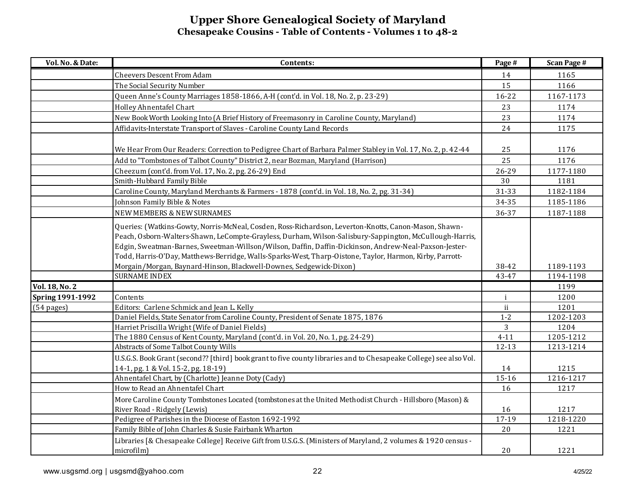| Vol. No. & Date:        | Contents:                                                                                                                                                                                                                                                                                                                                                                                                                             | Page #    | <b>Scan Page #</b> |
|-------------------------|---------------------------------------------------------------------------------------------------------------------------------------------------------------------------------------------------------------------------------------------------------------------------------------------------------------------------------------------------------------------------------------------------------------------------------------|-----------|--------------------|
|                         | Cheevers Descent From Adam                                                                                                                                                                                                                                                                                                                                                                                                            | 14        | 1165               |
|                         | The Social Security Number                                                                                                                                                                                                                                                                                                                                                                                                            | 15        | 1166               |
|                         | Queen Anne's County Marriages 1858-1866, A-H (cont'd. in Vol. 18, No. 2, p. 23-29)                                                                                                                                                                                                                                                                                                                                                    | 16-22     | 1167-1173          |
|                         | Holley Ahnentafel Chart                                                                                                                                                                                                                                                                                                                                                                                                               | 23        | 1174               |
|                         | New Book Worth Looking Into (A Brief History of Freemasonry in Caroline County, Maryland)                                                                                                                                                                                                                                                                                                                                             | 23        | 1174               |
|                         | Affidavits-Interstate Transport of Slaves - Caroline County Land Records                                                                                                                                                                                                                                                                                                                                                              | 24        | 1175               |
|                         | We Hear From Our Readers: Correction to Pedigree Chart of Barbara Palmer Stabley in Vol. 17, No. 2, p. 42-44                                                                                                                                                                                                                                                                                                                          | 25        | 1176               |
|                         | Add to "Tombstones of Talbot County" District 2, near Bozman, Maryland (Harrison)                                                                                                                                                                                                                                                                                                                                                     | 25        | 1176               |
|                         | Cheezum (cont'd. from Vol. 17, No. 2, pg. 26-29) End                                                                                                                                                                                                                                                                                                                                                                                  | 26-29     | 1177-1180          |
|                         | Smith-Hubbard Family Bible                                                                                                                                                                                                                                                                                                                                                                                                            | 30        | 1181               |
|                         | Caroline County, Maryland Merchants & Farmers - 1878 (cont'd. in Vol. 18, No. 2, pg. 31-34)                                                                                                                                                                                                                                                                                                                                           | 31-33     | 1182-1184          |
|                         | Johnson Family Bible & Notes                                                                                                                                                                                                                                                                                                                                                                                                          | 34-35     | 1185-1186          |
|                         | <b>NEW MEMBERS &amp; NEW SURNAMES</b>                                                                                                                                                                                                                                                                                                                                                                                                 | 36-37     | 1187-1188          |
|                         | Queries: (Watkins-Gowty, Norris-McNeal, Cosden, Ross-Richardson, Leverton-Knotts, Canon-Mason, Shawn-<br>Peach, Osborn-Walters-Shawn, LeCompte-Grayless, Durham, Wilson-Salisbury-Sappington, McCullough-Harris,<br>Edgin, Sweatman-Barnes, Sweetman-Willson/Wilson, Daffin, Daffin-Dickinson, Andrew-Neal-Paxson-Jester-<br>Todd, Harris-O'Day, Matthews-Berridge, Walls-Sparks-West, Tharp-Oistone, Taylor, Harmon, Kirby, Parrott- |           |                    |
|                         | Morgain/Morgan, Baynard-Hinson, Blackwell-Downes, Sedgewick-Dixon)                                                                                                                                                                                                                                                                                                                                                                    | 38-42     | 1189-1193          |
|                         | <b>SURNAME INDEX</b>                                                                                                                                                                                                                                                                                                                                                                                                                  | 43-47     | 1194-1198          |
| Vol. 18, No. 2          |                                                                                                                                                                                                                                                                                                                                                                                                                                       |           | 1199               |
| <b>Spring 1991-1992</b> | Contents                                                                                                                                                                                                                                                                                                                                                                                                                              | i         | 1200               |
| $(54 \text{ pages})$    | Editors: Carlene Schmick and Jean L. Kelly                                                                                                                                                                                                                                                                                                                                                                                            | ii        | 1201               |
|                         | Daniel Fields, State Senator from Caroline County, President of Senate 1875, 1876                                                                                                                                                                                                                                                                                                                                                     | $1 - 2$   | 1202-1203          |
|                         | Harriet Priscilla Wright (Wife of Daniel Fields)                                                                                                                                                                                                                                                                                                                                                                                      | 3         | 1204               |
|                         | The 1880 Census of Kent County, Maryland (cont'd. in Vol. 20, No. 1, pg. 24-29)                                                                                                                                                                                                                                                                                                                                                       | $4 - 11$  | 1205-1212          |
|                         | Abstracts of Some Talbot County Wills                                                                                                                                                                                                                                                                                                                                                                                                 | $12 - 13$ | 1213-1214          |
|                         | U.S.G.S. Book Grant (second?? [third] book grant to five county libraries and to Chesapeake College) see also Vol.<br>14-1, pg. 1 & Vol. 15-2, pg. 18-19)                                                                                                                                                                                                                                                                             | 14        | 1215               |
|                         | Ahnentafel Chart, by (Charlotte) Jeanne Doty (Cady)                                                                                                                                                                                                                                                                                                                                                                                   | $15 - 16$ | 1216-1217          |
|                         | How to Read an Ahnentafel Chart                                                                                                                                                                                                                                                                                                                                                                                                       | 16        | 1217               |
|                         | More Caroline County Tombstones Located (tombstones at the United Methodist Church - Hillsboro (Mason) &<br>River Road - Ridgely (Lewis)                                                                                                                                                                                                                                                                                              | 16        | 1217               |
|                         | Pedigree of Parishes in the Diocese of Easton 1692-1992                                                                                                                                                                                                                                                                                                                                                                               | 17-19     | 1218-1220          |
|                         | Family Bible of John Charles & Susie Fairbank Wharton                                                                                                                                                                                                                                                                                                                                                                                 | 20        | 1221               |
|                         | Libraries [& Chesapeake College] Receive Gift from U.S.G.S. (Ministers of Maryland, 2 volumes & 1920 census -<br>microfilm)                                                                                                                                                                                                                                                                                                           | 20        | 1221               |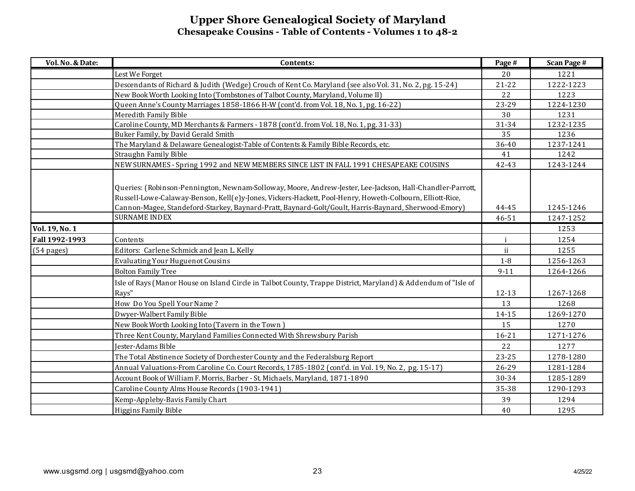| Vol. No. & Date: | Contents:                                                                                                                                                                                                                                                                                                                     | Page #    | <b>Scan Page #</b> |
|------------------|-------------------------------------------------------------------------------------------------------------------------------------------------------------------------------------------------------------------------------------------------------------------------------------------------------------------------------|-----------|--------------------|
|                  | Lest We Forget                                                                                                                                                                                                                                                                                                                | 20        | 1221               |
|                  | Descendants of Richard & Judith (Wedge) Crouch of Kent Co. Maryland (see also Vol. 31, No. 2, pg. 15-24)                                                                                                                                                                                                                      | $21 - 22$ | 1222-1223          |
|                  | New Book Worth Looking Into (Tombstones of Talbot County, Maryland, Volume II)                                                                                                                                                                                                                                                | 22        | 1223               |
|                  | Queen Anne's County Marriages 1858-1866 H-W (cont'd. from Vol. 18, No. 1, pg. 16-22)                                                                                                                                                                                                                                          | 23-29     | 1224-1230          |
|                  | Meredith Family Bible                                                                                                                                                                                                                                                                                                         | 30        | 1231               |
|                  | Caroline County, MD Merchants & Farmers - 1878 (cont'd. from Vol. 18, No. 1, pg. 31-33)                                                                                                                                                                                                                                       | 31-34     | 1232-1235          |
|                  | Buker Family, by David Gerald Smith                                                                                                                                                                                                                                                                                           | 35        | 1236               |
|                  | The Maryland & Delaware Genealogist-Table of Contents & Family Bible Records, etc.                                                                                                                                                                                                                                            | 36-40     | 1237-1241          |
|                  | Straughn Family Bible                                                                                                                                                                                                                                                                                                         | 41        | 1242               |
|                  | NEW SURNAMES - Spring 1992 and NEW MEMBERS SINCE LIST IN FALL 1991 CHESAPEAKE COUSINS                                                                                                                                                                                                                                         | 42-43     | 1243-1244          |
|                  | Queries: (Robinson-Pennington, Newnam-Solloway, Moore, Andrew-Jester, Lee-Jackson, Hall-Chandler-Parrott,<br>Russell-Lowe-Calaway-Benson, Kell(e)y-Jones, Vickers-Hackett, Pool-Henry, Howeth-Colbourn, Elliott-Rice,<br>Cannon-Magee, Standeford-Starkey, Baynard-Pratt, Baynard-Golt/Goult, Harris-Baynard, Sherwood-Emory) | 44-45     | 1245-1246          |
|                  | <b>SURNAME INDEX</b>                                                                                                                                                                                                                                                                                                          | 46-51     | 1247-1252          |
| Vol. 19, No. 1   |                                                                                                                                                                                                                                                                                                                               |           | 1253               |
| Fall 1992-1993   | Contents                                                                                                                                                                                                                                                                                                                      | i         | 1254               |
| (54 pages)       | Editors: Carlene Schmick and Jean L. Kelly                                                                                                                                                                                                                                                                                    | ii.       | 1255               |
|                  | <b>Evaluating Your Huguenot Cousins</b>                                                                                                                                                                                                                                                                                       | $1-8$     | 1256-1263          |
|                  | <b>Bolton Family Tree</b>                                                                                                                                                                                                                                                                                                     | $9 - 11$  | 1264-1266          |
|                  | Isle of Rays (Manor House on Island Circle in Talbot County, Trappe District, Maryland) & Addendum of "Isle of<br>Rays"                                                                                                                                                                                                       | 12-13     | 1267-1268          |
|                  | How Do You Spell Your Name?                                                                                                                                                                                                                                                                                                   | 13        | 1268               |
|                  | Dwyer-Walbert Family Bible                                                                                                                                                                                                                                                                                                    | 14-15     | 1269-1270          |
|                  | New Book Worth Looking Into (Tavern in the Town)                                                                                                                                                                                                                                                                              | 15        | 1270               |
|                  | Three Kent County, Maryland Families Connected With Shrewsbury Parish                                                                                                                                                                                                                                                         | $16 - 21$ | 1271-1276          |
|                  | Jester-Adams Bible                                                                                                                                                                                                                                                                                                            | 22        | 1277               |
|                  | The Total Abstinence Society of Dorchester County and the Federalsburg Report                                                                                                                                                                                                                                                 | 23-25     | 1278-1280          |
|                  | Annual Valuations-From Caroline Co. Court Records, 1785-1802 (cont'd. in Vol. 19, No. 2, pg. 15-17)                                                                                                                                                                                                                           | 26-29     | 1281-1284          |
|                  | Account Book of William F. Morris, Barber - St. Michaels, Maryland, 1871-1890                                                                                                                                                                                                                                                 | 30-34     | 1285-1289          |
|                  | Caroline County Alms House Records (1903-1941)                                                                                                                                                                                                                                                                                | 35-38     | 1290-1293          |
|                  | Kemp-Appleby-Bavis Family Chart                                                                                                                                                                                                                                                                                               | 39        | 1294               |
|                  | Higgins Family Bible                                                                                                                                                                                                                                                                                                          | 40        | 1295               |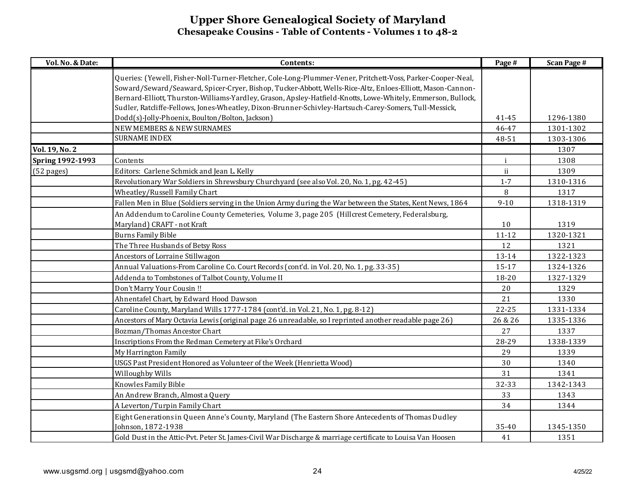| Vol. No. & Date:        | Contents:                                                                                                    | Page #    | <b>Scan Page #</b> |
|-------------------------|--------------------------------------------------------------------------------------------------------------|-----------|--------------------|
|                         | Queries: (Yewell, Fisher-Noll-Turner-Fletcher, Cole-Long-Plummer-Vener, Pritchett-Voss, Parker-Cooper-Neal,  |           |                    |
|                         | Soward/Seward/Seaward, Spicer-Cryer, Bishop, Tucker-Abbott, Wells-Rice-Altz, Enloes-Elliott, Mason-Cannon-   |           |                    |
|                         | Bernard-Elliott, Thurston-Williams-Yardley, Grason, Apsley-Hatfield-Knotts, Lowe-Whitely, Emmerson, Bullock, |           |                    |
|                         | Sudler, Ratcliffe-Fellows, Jones-Wheatley, Dixon-Brunner-Schivley-Hartsuch-Carey-Somers, Tull-Messick,       |           |                    |
|                         | Dodd(s)-Jolly-Phoenix, Boulton/Bolton, Jackson)                                                              | 41-45     | 1296-1380          |
|                         | <b>NEW MEMBERS &amp; NEW SURNAMES</b>                                                                        | 46-47     | 1301-1302          |
|                         | <b>SURNAME INDEX</b>                                                                                         | 48-51     | 1303-1306          |
| Vol. 19, No. 2          |                                                                                                              |           | 1307               |
| <b>Spring 1992-1993</b> | Contents                                                                                                     | j         | 1308               |
| (52 pages)              | Editors: Carlene Schmick and Jean L. Kelly                                                                   | ii        | 1309               |
|                         | Revolutionary War Soldiers in Shrewsbury Churchyard (see also Vol. 20, No. 1, pg. 42-45)                     | $1 - 7$   | 1310-1316          |
|                         | Wheatley/Russell Family Chart                                                                                | 8         | 1317               |
|                         | Fallen Men in Blue (Soldiers serving in the Union Army during the War between the States, Kent News, 1864    | $9 - 10$  | 1318-1319          |
|                         | An Addendum to Caroline County Cemeteries, Volume 3, page 205 (Hillcrest Cemetery, Federalsburg,             |           |                    |
|                         | Maryland) CRAFT - not Kraft                                                                                  | 10        | 1319               |
|                         | <b>Burns Family Bible</b>                                                                                    | $11 - 12$ | 1320-1321          |
|                         | The Three Husbands of Betsy Ross                                                                             | 12        | 1321               |
|                         | Ancestors of Lorraine Stillwagon                                                                             | 13-14     | 1322-1323          |
|                         | Annual Valuations-From Caroline Co. Court Records (cont'd. in Vol. 20, No. 1, pg. 33-35)                     | 15-17     | 1324-1326          |
|                         | Addenda to Tombstones of Talbot County, Volume II                                                            | 18-20     | 1327-1329          |
|                         | Don't Marry Your Cousin !!                                                                                   | 20        | 1329               |
|                         | Ahnentafel Chart, by Edward Hood Dawson                                                                      | 21        | 1330               |
|                         | Caroline County, Maryland Wills 1777-1784 (cont'd. in Vol. 21, No. 1, pg. 8-12)                              | $22 - 25$ | 1331-1334          |
|                         | Ancestors of Mary Octavia Lewis (original page 26 unreadable, so I reprinted another readable page 26)       | 26 & 26   | 1335-1336          |
|                         | Bozman/Thomas Ancestor Chart                                                                                 | 27        | 1337               |
|                         | Inscriptions From the Redman Cemetery at Fike's Orchard                                                      | 28-29     | 1338-1339          |
|                         | My Harrington Family                                                                                         | 29        | 1339               |
|                         | USGS Past President Honored as Volunteer of the Week (Henrietta Wood)                                        | 30        | 1340               |
|                         | Willoughby Wills                                                                                             | 31        | 1341               |
|                         | Knowles Family Bible                                                                                         | 32-33     | 1342-1343          |
|                         | An Andrew Branch, Almost a Query                                                                             | 33        | 1343               |
|                         | A Leverton/Turpin Family Chart                                                                               | 34        | 1344               |
|                         | Eight Generations in Queen Anne's County, Maryland (The Eastern Shore Antecedents of Thomas Dudley           |           |                    |
|                         | Johnson, 1872-1938                                                                                           | 35-40     | 1345-1350          |
|                         | Gold Dust in the Attic-Pvt. Peter St. James-Civil War Discharge & marriage certificate to Louisa Van Hoosen  | 41        | 1351               |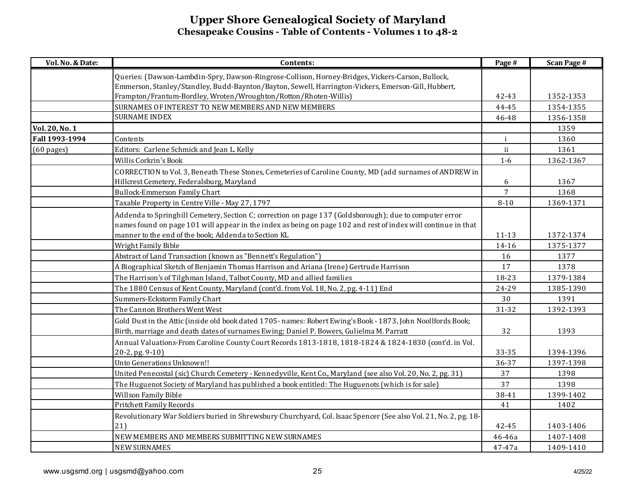| Vol. No. & Date:     | Contents:                                                                                                        | Page #       | <b>Scan Page #</b> |
|----------------------|------------------------------------------------------------------------------------------------------------------|--------------|--------------------|
|                      | Queries: (Dawson-Lambdin-Spry, Dawson-Ringrose-Collison, Horney-Bridges, Vickers-Carson, Bullock,                |              |                    |
|                      | Emmerson, Stanley/Standley, Budd-Baynton/Bayton, Sewell, Harrington-Vickers, Emerson-Gill, Hubbert,              |              |                    |
|                      | Frampton/Frantum-Bordley, Wroten/Wroughton/Rotton/Rhoten-Willis)                                                 | 42-43        | 1352-1353          |
|                      | SURNAMES OF INTEREST TO NEW MEMBERS AND NEW MEMBERS                                                              | 44-45        | 1354-1355          |
|                      | <b>SURNAME INDEX</b>                                                                                             | 46-48        | 1356-1358          |
| Vol. 20, No. 1       |                                                                                                                  |              | 1359               |
| Fall 1993-1994       | Contents                                                                                                         | $\mathbf{i}$ | 1360               |
| $(60 \text{ pages})$ | Editors: Carlene Schmick and Jean L. Kelly                                                                       | ii           | 1361               |
|                      | Willis Corkrin's Book                                                                                            | $1-6$        | 1362-1367          |
|                      | CORRECTION to Vol. 3, Beneath These Stones, Cemeteries of Caroline County, MD (add surnames of ANDREW in         |              |                    |
|                      | Hillcrest Cemetery, Federalsburg, Maryland                                                                       | 6            | 1367               |
|                      | <b>Bullock-Emmerson Family Chart</b>                                                                             | 7            | 1368               |
|                      | Taxable Property in Centre Ville - May 27, 1797                                                                  | $8 - 10$     | 1369-1371          |
|                      | Addenda to Springhill Cemetery, Section C; correction on page 137 (Goldsborough); due to computer error          |              |                    |
|                      | names found on page 101 will appear in the index as being on page 102 and rest of index will continue in that    |              |                    |
|                      | manner to the end of the book; Addenda to Section KL                                                             | 11-13        | 1372-1374          |
|                      | Wright Family Bible                                                                                              | 14-16        | 1375-1377          |
|                      | Abstract of Land Transaction (known as "Bennett's Regulation")                                                   | 16           | 1377               |
|                      | A Biographical Sketch of Benjamin Thomas Harrison and Ariana (Irene) Gertrude Harrison                           | 17           | 1378               |
|                      | The Harrison's of Tilghman Island, Talbot County, MD and allied families                                         | 18-23        | 1379-1384          |
|                      | The 1880 Census of Kent County, Maryland (cont'd. from Vol. 18, No. 2, pg. 4-11) End                             | 24-29        | 1385-1390          |
|                      | Summers-Eckstorm Family Chart                                                                                    | 30           | 1391               |
|                      | The Cannon Brothers Went West                                                                                    | 31-32        | 1392-1393          |
|                      | Gold Dust in the Attic (inside old book dated 1705-names: Robert Ewing's Book - 1873, John Noollfords Book;      |              |                    |
|                      | Birth, marriage and death dates of surnames Ewing; Daniel P. Bowers, Gulielma M. Parratt                         | 32           | 1393               |
|                      | Annual Valuations-From Caroline County Court Records 1813-1818, 1818-1824 & 1824-1830 (cont'd. in Vol.           |              |                    |
|                      | 20-2, pg. 9-10)                                                                                                  | 33-35        | 1394-1396          |
|                      | Unto Generations Unknown!!                                                                                       | 36-37        | 1397-1398          |
|                      | United Penecostal (sic) Church Cemetery - Kennedyville, Kent Co., Maryland (see also Vol. 20, No. 2, pg. 31)     | 37           | 1398               |
|                      | The Huguenot Society of Maryland has published a book entitled: The Huguenots (which is for sale)                | 37           | 1398               |
|                      | Willson Family Bible                                                                                             | 38-41        | 1399-1402          |
|                      | <b>Pritchett Family Records</b>                                                                                  | 41           | 1402               |
|                      | Revolutionary War Soldiers buried in Shrewsbury Churchyard, Col. Isaac Spencer (See also Vol. 21, No. 2, pg. 18- |              |                    |
|                      | 21)                                                                                                              | 42-45        | 1403-1406          |
|                      | NEW MEMBERS AND MEMBERS SUBMITTING NEW SURNAMES                                                                  | 46-46a       | 1407-1408          |
|                      | <b>NEW SURNAMES</b>                                                                                              | 47-47a       | 1409-1410          |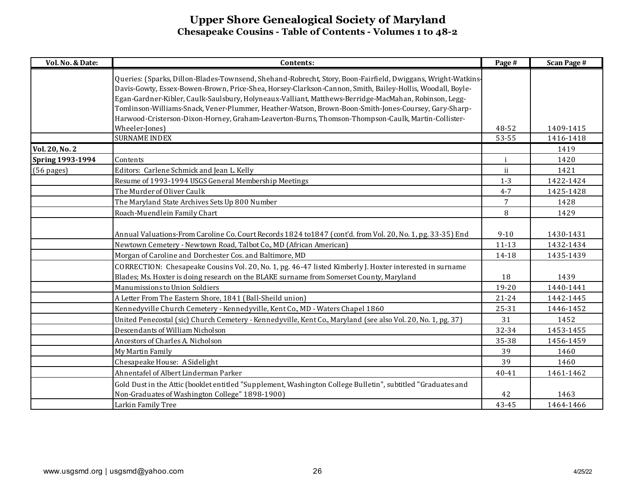| Vol. No. & Date:        | Contents:                                                                                                                                                                                                                                                                                                                                                                                                                                                                                                                                        | Page #         | <b>Scan Page #</b> |
|-------------------------|--------------------------------------------------------------------------------------------------------------------------------------------------------------------------------------------------------------------------------------------------------------------------------------------------------------------------------------------------------------------------------------------------------------------------------------------------------------------------------------------------------------------------------------------------|----------------|--------------------|
|                         | Queries: (Sparks, Dillon-Blades-Townsend, Shehand-Robrecht, Story, Boon-Fairfield, Dwiggans, Wright-Watkins-<br>Davis-Gowty, Essex-Bowen-Brown, Price-Shea, Horsey-Clarkson-Cannon, Smith, Bailey-Hollis, Woodall, Boyle-<br>Egan-Gardner-Kibler, Caulk-Saulsbury, Holyneaux-Valliant, Matthews-Berridge-MacMahan, Robinson, Legg-<br>Tomlinson-Williams-Snack, Vener-Plummer, Heather-Watson, Brown-Boon-Smith-Jones-Coursey, Gary-Sharp-<br>Harwood-Cristerson-Dixon-Horney, Graham-Leaverton-Burns, Thomson-Thompson-Caulk, Martin-Collister- |                |                    |
|                         | Wheeler-Jones)<br><b>SURNAME INDEX</b>                                                                                                                                                                                                                                                                                                                                                                                                                                                                                                           | 48-52<br>53-55 | 1409-1415          |
|                         |                                                                                                                                                                                                                                                                                                                                                                                                                                                                                                                                                  |                | 1416-1418          |
| <b>Vol. 20, No. 2</b>   |                                                                                                                                                                                                                                                                                                                                                                                                                                                                                                                                                  |                | 1419               |
| <b>Spring 1993-1994</b> | Contents                                                                                                                                                                                                                                                                                                                                                                                                                                                                                                                                         | j.             | 1420               |
| (56 pages)              | Editors: Carlene Schmick and Jean L. Kelly                                                                                                                                                                                                                                                                                                                                                                                                                                                                                                       | ii             | 1421               |
|                         | Resume of 1993-1994 USGS General Membership Meetings                                                                                                                                                                                                                                                                                                                                                                                                                                                                                             | $1 - 3$        | 1422-1424          |
|                         | The Murder of Oliver Caulk                                                                                                                                                                                                                                                                                                                                                                                                                                                                                                                       | $4 - 7$        | 1425-1428          |
|                         | The Maryland State Archives Sets Up 800 Number                                                                                                                                                                                                                                                                                                                                                                                                                                                                                                   | 7              | 1428               |
|                         | Roach-Muendlein Family Chart                                                                                                                                                                                                                                                                                                                                                                                                                                                                                                                     | 8              | 1429               |
|                         | Annual Valuations-From Caroline Co. Court Records 1824 to 1847 (cont'd. from Vol. 20, No. 1, pg. 33-35) End                                                                                                                                                                                                                                                                                                                                                                                                                                      | $9 - 10$       | 1430-1431          |
|                         | Newtown Cemetery - Newtown Road, Talbot Co., MD (African American)                                                                                                                                                                                                                                                                                                                                                                                                                                                                               | $11 - 13$      | 1432-1434          |
|                         | Morgan of Caroline and Dorchester Cos. and Baltimore, MD                                                                                                                                                                                                                                                                                                                                                                                                                                                                                         | 14-18          | 1435-1439          |
|                         | CORRECTION: Chesapeake Cousins Vol. 20, No. 1, pg. 46-47 listed Kimberly J. Hoxter interested in surname<br>Blades; Ms. Hoxter is doing research on the BLAKE surname from Somerset County, Maryland                                                                                                                                                                                                                                                                                                                                             | 18             | 1439               |
|                         | Manumissions to Union Soldiers                                                                                                                                                                                                                                                                                                                                                                                                                                                                                                                   | 19-20          | 1440-1441          |
|                         | A Letter From The Eastern Shore, 1841 (Ball-Sheild union)                                                                                                                                                                                                                                                                                                                                                                                                                                                                                        | $21 - 24$      | 1442-1445          |
|                         | Kennedyville Church Cemetery - Kennedyville, Kent Co., MD - Waters Chapel 1860                                                                                                                                                                                                                                                                                                                                                                                                                                                                   | 25-31          | 1446-1452          |
|                         | United Penecostal (sic) Church Cemetery - Kennedyville, Kent Co., Maryland (see also Vol. 20, No. 1, pg. 37)                                                                                                                                                                                                                                                                                                                                                                                                                                     | 31             | 1452               |
|                         | Descendants of William Nicholson                                                                                                                                                                                                                                                                                                                                                                                                                                                                                                                 | 32-34          | 1453-1455          |
|                         | Ancestors of Charles A. Nicholson                                                                                                                                                                                                                                                                                                                                                                                                                                                                                                                | 35-38          | 1456-1459          |
|                         | My Martin Family                                                                                                                                                                                                                                                                                                                                                                                                                                                                                                                                 | 39             | 1460               |
|                         | Chesapeake House: A Sidelight                                                                                                                                                                                                                                                                                                                                                                                                                                                                                                                    | 39             | 1460               |
|                         | Ahnentafel of Albert Linderman Parker                                                                                                                                                                                                                                                                                                                                                                                                                                                                                                            | $40 - 41$      | 1461-1462          |
|                         | Gold Dust in the Attic (booklet entitled "Supplement, Washington College Bulletin", subtitled "Graduates and                                                                                                                                                                                                                                                                                                                                                                                                                                     |                |                    |
|                         | Non-Graduates of Washington College" 1898-1900)                                                                                                                                                                                                                                                                                                                                                                                                                                                                                                  | 42             | 1463               |
|                         | Larkin Family Tree                                                                                                                                                                                                                                                                                                                                                                                                                                                                                                                               | 43-45          | 1464-1466          |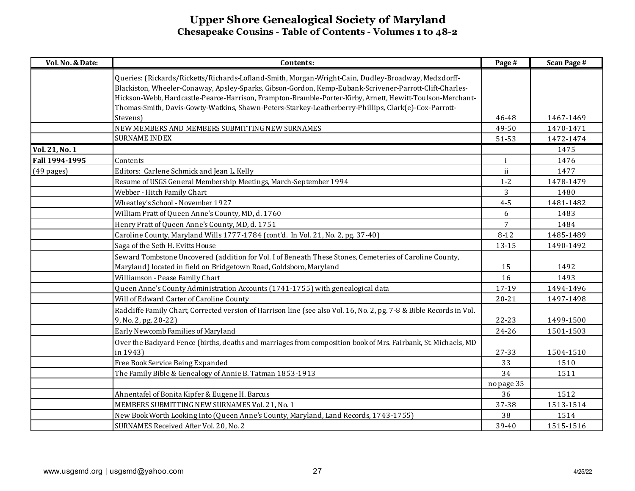| Vol. No. & Date:     | Contents:                                                                                                                                                                                                                                                                                                                                                                                                                           | Page #     | <b>Scan Page #</b> |
|----------------------|-------------------------------------------------------------------------------------------------------------------------------------------------------------------------------------------------------------------------------------------------------------------------------------------------------------------------------------------------------------------------------------------------------------------------------------|------------|--------------------|
|                      | Queries: (Rickards/Ricketts/Richards-Lofland-Smith, Morgan-Wright-Cain, Dudley-Broadway, Medzdorff-<br>Blackiston, Wheeler-Conaway, Apsley-Sparks, Gibson-Gordon, Kemp-Eubank-Scrivener-Parrott-Clift-Charles-<br>Hickson-Webb, Hardcastle-Pearce-Harrison, Frampton-Bramble-Porter-Kirby, Arnett, Hewitt-Toulson-Merchant-<br>Thomas-Smith, Davis-Gowty-Watkins, Shawn-Peters-Starkey-Leatherberry-Phillips, Clark(e)-Cox-Parrott- |            |                    |
|                      | Stevens)                                                                                                                                                                                                                                                                                                                                                                                                                            | 46-48      | 1467-1469          |
|                      | NEW MEMBERS AND MEMBERS SUBMITTING NEW SURNAMES                                                                                                                                                                                                                                                                                                                                                                                     | 49-50      | 1470-1471          |
|                      | <b>SURNAME INDEX</b>                                                                                                                                                                                                                                                                                                                                                                                                                | 51-53      | 1472-1474          |
| Vol. 21, No. 1       |                                                                                                                                                                                                                                                                                                                                                                                                                                     |            | 1475               |
| Fall 1994-1995       | Contents                                                                                                                                                                                                                                                                                                                                                                                                                            | i          | 1476               |
| $(49 \text{ pages})$ | Editors: Carlene Schmick and Jean L. Kelly                                                                                                                                                                                                                                                                                                                                                                                          | ii         | 1477               |
|                      | Resume of USGS General Membership Meetings, March-September 1994                                                                                                                                                                                                                                                                                                                                                                    | $1-2$      | 1478-1479          |
|                      | Webber - Hitch Family Chart                                                                                                                                                                                                                                                                                                                                                                                                         | 3          | 1480               |
|                      | Wheatley's School - November 1927                                                                                                                                                                                                                                                                                                                                                                                                   | $4 - 5$    | 1481-1482          |
|                      | William Pratt of Queen Anne's County, MD, d. 1760                                                                                                                                                                                                                                                                                                                                                                                   | 6          | 1483               |
|                      | Henry Pratt of Queen Anne's County, MD, d. 1751                                                                                                                                                                                                                                                                                                                                                                                     | 7          | 1484               |
|                      | Caroline County, Maryland Wills 1777-1784 (cont'd. In Vol. 21, No. 2, pg. 37-40)                                                                                                                                                                                                                                                                                                                                                    | $8 - 12$   | 1485-1489          |
|                      | Saga of the Seth H. Evitts House                                                                                                                                                                                                                                                                                                                                                                                                    | 13-15      | 1490-1492          |
|                      | Seward Tombstone Uncovered (addition for Vol. I of Beneath These Stones, Cemeteries of Caroline County,                                                                                                                                                                                                                                                                                                                             |            |                    |
|                      | Maryland) located in field on Bridgetown Road, Goldsboro, Maryland                                                                                                                                                                                                                                                                                                                                                                  | 15         | 1492               |
|                      | Williamson - Pease Family Chart                                                                                                                                                                                                                                                                                                                                                                                                     | 16         | 1493               |
|                      | Queen Anne's County Administration Accounts (1741-1755) with genealogical data                                                                                                                                                                                                                                                                                                                                                      | 17-19      | 1494-1496          |
|                      | Will of Edward Carter of Caroline County                                                                                                                                                                                                                                                                                                                                                                                            | $20 - 21$  | 1497-1498          |
|                      | Radcliffe Family Chart, Corrected version of Harrison line (see also Vol. 16, No. 2, pg. 7-8 & Bible Records in Vol.<br>9, No. 2, pg. 20-22)                                                                                                                                                                                                                                                                                        | 22-23      | 1499-1500          |
|                      | Early Newcomb Families of Maryland                                                                                                                                                                                                                                                                                                                                                                                                  | 24-26      | 1501-1503          |
|                      | Over the Backyard Fence (births, deaths and marriages from composition book of Mrs. Fairbank, St. Michaels, MD                                                                                                                                                                                                                                                                                                                      |            |                    |
|                      | in 1943)                                                                                                                                                                                                                                                                                                                                                                                                                            | 27-33      | 1504-1510          |
|                      | Free Book Service Being Expanded                                                                                                                                                                                                                                                                                                                                                                                                    | 33         | 1510               |
|                      | The Family Bible & Genealogy of Annie B. Tatman 1853-1913                                                                                                                                                                                                                                                                                                                                                                           | 34         | 1511               |
|                      |                                                                                                                                                                                                                                                                                                                                                                                                                                     | no page 35 |                    |
|                      | Ahnentafel of Bonita Kipfer & Eugene H. Barcus                                                                                                                                                                                                                                                                                                                                                                                      | 36         | 1512               |
|                      | MEMBERS SUBMITTING NEW SURNAMES Vol. 21, No. 1                                                                                                                                                                                                                                                                                                                                                                                      | 37-38      | 1513-1514          |
|                      | New Book Worth Looking Into (Queen Anne's County, Maryland, Land Records, 1743-1755)                                                                                                                                                                                                                                                                                                                                                | 38         | 1514               |
|                      | SURNAMES Received After Vol. 20, No. 2                                                                                                                                                                                                                                                                                                                                                                                              | 39-40      | 1515-1516          |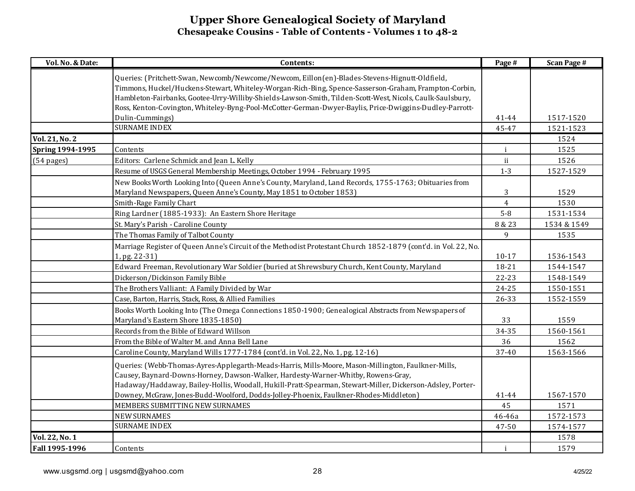| Vol. No. & Date:        | Contents:                                                                                                       | Page #         | <b>Scan Page #</b> |
|-------------------------|-----------------------------------------------------------------------------------------------------------------|----------------|--------------------|
|                         | Queries: (Pritchett-Swan, Newcomb/Newcome/Newcom, Eillon(en)-Blades-Stevens-Hignutt-Oldfield,                   |                |                    |
|                         | Timmons, Huckel/Huckens-Stewart, Whiteley-Worgan-Rich-Bing, Spence-Sasserson-Graham, Frampton-Corbin,           |                |                    |
|                         | Hambleton-Fairbanks, Gootee-Urry-Williby-Shields-Lawson-Smith, Tilden-Scott-West, Nicols, Caulk-Saulsbury,      |                |                    |
|                         | Ross, Kenton-Covington, Whiteley-Byng-Pool-McCotter-German-Dwyer-Baylis, Price-Dwiggins-Dudley-Parrott-         |                |                    |
|                         | Dulin-Cummings)                                                                                                 | 41-44          | 1517-1520          |
|                         | <b>SURNAME INDEX</b>                                                                                            | 45-47          | 1521-1523          |
| Vol. 21, No. 2          |                                                                                                                 |                | 1524               |
| <b>Spring 1994-1995</b> | Contents                                                                                                        | $\mathbf{i}$   | 1525               |
| (54 pages)              | Editors: Carlene Schmick and Jean L. Kelly                                                                      | ii             | 1526               |
|                         | Resume of USGS General Membership Meetings, October 1994 - February 1995                                        | $1 - 3$        | 1527-1529          |
|                         | New Books Worth Looking Into (Queen Anne's County, Maryland, Land Records, 1755-1763; Obituaries from           |                |                    |
|                         | Maryland Newspapers, Queen Anne's County, May 1851 to October 1853)                                             | 3              | 1529               |
|                         | Smith-Rage Family Chart                                                                                         | $\overline{4}$ | 1530               |
|                         | Ring Lardner (1885-1933): An Eastern Shore Heritage                                                             | $5 - 8$        | 1531-1534          |
|                         | St. Mary's Parish - Caroline County                                                                             | 8 & 23         | 1534 & 1549        |
|                         | The Thomas Family of Talbot County                                                                              | 9              | 1535               |
|                         | Marriage Register of Queen Anne's Circuit of the Methodist Protestant Church 1852-1879 (cont'd. in Vol. 22, No. |                |                    |
|                         | 1, pg. 22-31)                                                                                                   | $10-17$        | 1536-1543          |
|                         | Edward Freeman, Revolutionary War Soldier (buried at Shrewsbury Church, Kent County, Maryland                   | 18-21          | 1544-1547          |
|                         | Dickerson/Dickinson Family Bible                                                                                | 22-23          | 1548-1549          |
|                         | The Brothers Valliant: A Family Divided by War                                                                  | $24 - 25$      | 1550-1551          |
|                         | Case, Barton, Harris, Stack, Ross, & Allied Families                                                            | 26-33          | 1552-1559          |
|                         | Books Worth Looking Into (The Omega Connections 1850-1900; Genealogical Abstracts from Newspapers of            |                |                    |
|                         | Maryland's Eastern Shore 1835-1850)                                                                             | 33             | 1559               |
|                         | Records from the Bible of Edward Willson                                                                        | 34-35          | 1560-1561          |
|                         | From the Bible of Walter M. and Anna Bell Lane                                                                  | 36             | 1562               |
|                         | Caroline County, Maryland Wills 1777-1784 (cont'd. in Vol. 22, No. 1, pg. 12-16)                                | 37-40          | 1563-1566          |
|                         | Queries: (Webb-Thomas-Ayres-Applegarth-Meads-Harris, Mills-Moore, Mason-Millington, Faulkner-Mills,             |                |                    |
|                         | Causey, Baynard-Downs-Horney, Dawson-Walker, Hardesty-Warner-Whitby, Rowens-Gray,                               |                |                    |
|                         | Hadaway/Haddaway, Bailey-Hollis, Woodall, Hukill-Pratt-Spearman, Stewart-Miller, Dickerson-Adsley, Porter-      |                |                    |
|                         | Downey, McGraw, Jones-Budd-Woolford, Dodds-Jolley-Phoenix, Faulkner-Rhodes-Middleton)                           | 41-44          | 1567-1570          |
|                         | MEMBERS SUBMITTING NEW SURNAMES                                                                                 | 45             | 1571               |
|                         | <b>NEW SURNAMES</b>                                                                                             | 46-46a         | 1572-1573          |
|                         | <b>SURNAME INDEX</b>                                                                                            | 47-50          | 1574-1577          |
| Vol. 22, No. 1          |                                                                                                                 |                | 1578               |
| Fall 1995-1996          | Contents                                                                                                        | $\mathbf{i}$   | 1579               |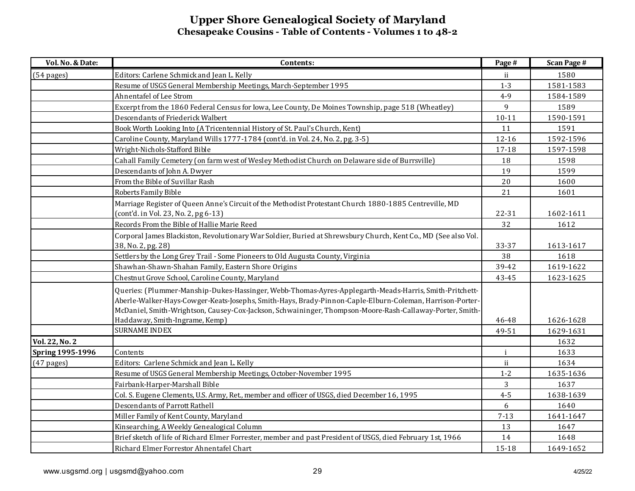| Vol. No. & Date:        | Contents:                                                                                                                                                                                                                                              | Page #    | <b>Scan Page #</b> |
|-------------------------|--------------------------------------------------------------------------------------------------------------------------------------------------------------------------------------------------------------------------------------------------------|-----------|--------------------|
| $(54 \text{ pages})$    | Editors: Carlene Schmick and Jean L. Kelly                                                                                                                                                                                                             | ii        | 1580               |
|                         | Resume of USGS General Membership Meetings, March-September 1995                                                                                                                                                                                       | $1-3$     | 1581-1583          |
|                         | Ahnentafel of Lee Strom                                                                                                                                                                                                                                | $4 - 9$   | 1584-1589          |
|                         | Excerpt from the 1860 Federal Census for Iowa, Lee County, De Moines Township, page 518 (Wheatley)                                                                                                                                                     | 9         | 1589               |
|                         | Descendants of Friederick Walbert                                                                                                                                                                                                                      | $10 - 11$ | 1590-1591          |
|                         | Book Worth Looking Into (A Tricentennial History of St. Paul's Church, Kent)                                                                                                                                                                           | 11        | 1591               |
|                         | Caroline County, Maryland Wills 1777-1784 (cont'd. in Vol. 24, No. 2, pg. 3-5)                                                                                                                                                                         | $12 - 16$ | 1592-1596          |
|                         | Wright-Nichols-Stafford Bible                                                                                                                                                                                                                          | $17 - 18$ | 1597-1598          |
|                         | Cahall Family Cemetery (on farm west of Wesley Methodist Church on Delaware side of Burrsville)                                                                                                                                                        | 18        | 1598               |
|                         | Descendants of John A. Dwyer                                                                                                                                                                                                                           | 19        | 1599               |
|                         | From the Bible of Suvillar Rash                                                                                                                                                                                                                        | 20        | 1600               |
|                         | Roberts Family Bible                                                                                                                                                                                                                                   | 21        | 1601               |
|                         | Marriage Register of Queen Anne's Circuit of the Methodist Protestant Church 1880-1885 Centreville, MD<br>(cont'd. in Vol. 23, No. 2, pg 6-13)                                                                                                         | 22-31     | 1602-1611          |
|                         | Records From the Bible of Hallie Marie Reed                                                                                                                                                                                                            | 32        | 1612               |
|                         | Corporal James Blackiston, Revolutionary War Soldier, Buried at Shrewsbury Church, Kent Co., MD (See also Vol.                                                                                                                                         | 33-37     | 1613-1617          |
|                         | 38, No. 2, pg. 28)<br>Settlers by the Long Grey Trail - Some Pioneers to Old Augusta County, Virginia                                                                                                                                                  | 38        | 1618               |
|                         | Shawhan-Shawn-Shahan Family, Eastern Shore Origins                                                                                                                                                                                                     | 39-42     | 1619-1622          |
|                         | Chestnut Grove School, Caroline County, Maryland                                                                                                                                                                                                       | $43 - 45$ | 1623-1625          |
|                         | Queries: (Plummer-Manship-Dukes-Hassinger, Webb-Thomas-Ayres-Applegarth-Meads-Harris, Smith-Pritchett-                                                                                                                                                 |           |                    |
|                         | Aberle-Walker-Hays-Cowger-Keats-Josephs, Smith-Hays, Brady-Pinnon-Caple-Elburn-Coleman, Harrison-Porter-<br>McDaniel, Smith-Wrightson, Causey-Cox-Jackson, Schwaininger, Thompson-Moore-Rash-Callaway-Porter, Smith-<br>Haddaway, Smith-Ingrame, Kemp) | 46-48     | 1626-1628          |
|                         | <b>SURNAME INDEX</b>                                                                                                                                                                                                                                   | 49-51     | 1629-1631          |
| <b>Vol. 22, No. 2</b>   |                                                                                                                                                                                                                                                        |           | 1632               |
| <b>Spring 1995-1996</b> | Contents                                                                                                                                                                                                                                               |           | 1633               |
| $(47$ pages)            | Editors: Carlene Schmick and Jean L. Kelly                                                                                                                                                                                                             | ii        | 1634               |
|                         | Resume of USGS General Membership Meetings, October-November 1995                                                                                                                                                                                      | $1 - 2$   | 1635-1636          |
|                         | Fairbank-Harper-Marshall Bible                                                                                                                                                                                                                         | 3         | 1637               |
|                         | Col. S. Eugene Clements, U.S. Army, Ret., member and officer of USGS, died December 16, 1995                                                                                                                                                           | $4 - 5$   | 1638-1639          |
|                         | Descendants of Parrott Rathell                                                                                                                                                                                                                         | 6         | 1640               |
|                         | Miller Family of Kent County, Maryland                                                                                                                                                                                                                 | $7 - 13$  | 1641-1647          |
|                         | Kinsearching, A Weekly Genealogical Column                                                                                                                                                                                                             | 13        | 1647               |
|                         | Brief sketch of life of Richard Elmer Forrester, member and past President of USGS, died February 1st, 1966                                                                                                                                            | 14        | 1648               |
|                         | Richard Elmer Forrestor Ahnentafel Chart                                                                                                                                                                                                               | 15-18     | 1649-1652          |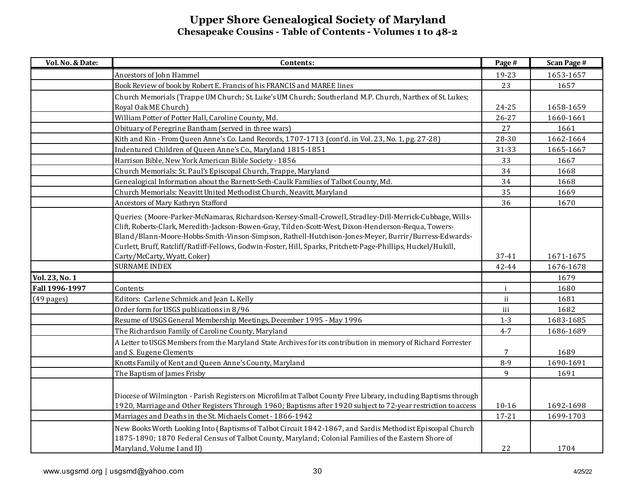| Vol. No. & Date: | Contents:                                                                                                                                                                                                                                                                                                                                                                                                                                  | Page #                 | <b>Scan Page #</b>     |
|------------------|--------------------------------------------------------------------------------------------------------------------------------------------------------------------------------------------------------------------------------------------------------------------------------------------------------------------------------------------------------------------------------------------------------------------------------------------|------------------------|------------------------|
|                  | Ancestors of John Hammel                                                                                                                                                                                                                                                                                                                                                                                                                   | 19-23                  | 1653-1657              |
|                  | Book Review of book by Robert E. Francis of his FRANCIS and MAREE lines                                                                                                                                                                                                                                                                                                                                                                    | 23                     | 1657                   |
|                  | Church Memorials (Trappe UM Church; St. Luke's UM Church; Southerland M.P. Church, Narthex of St. Lukes;                                                                                                                                                                                                                                                                                                                                   |                        |                        |
|                  | Royal Oak ME Church)                                                                                                                                                                                                                                                                                                                                                                                                                       | 24-25                  | 1658-1659              |
|                  | William Potter of Potter Hall, Caroline County, Md.                                                                                                                                                                                                                                                                                                                                                                                        | $26 - 27$              | 1660-1661              |
|                  | Obituary of Peregrine Bantham (served in three wars)                                                                                                                                                                                                                                                                                                                                                                                       | 27                     | 1661                   |
|                  | Kith and Kin - From Queen Anne's Co. Land Records, 1707-1713 (cont'd. in Vol. 23, No. 1, pg. 27-28)                                                                                                                                                                                                                                                                                                                                        | 28-30                  | 1662-1664              |
|                  | Indentured Children of Queen Anne's Co., Maryland 1815-1851                                                                                                                                                                                                                                                                                                                                                                                | 31-33                  | 1665-1667              |
|                  | Harrison Bible, New York American Bible Society - 1856                                                                                                                                                                                                                                                                                                                                                                                     | 33                     | 1667                   |
|                  | Church Memorials: St. Paul's Episcopal Church, Trappe, Maryland                                                                                                                                                                                                                                                                                                                                                                            | 34                     | 1668                   |
|                  | Genealogical Information about the Barnett-Seth-Caulk Families of Talbot County, Md.                                                                                                                                                                                                                                                                                                                                                       | 34                     | 1668                   |
|                  | Church Memorials: Neavitt United Methodist Church, Neavitt, Maryland                                                                                                                                                                                                                                                                                                                                                                       | 35                     | 1669                   |
|                  | Ancestors of Mary Kathryn Stafford                                                                                                                                                                                                                                                                                                                                                                                                         | 36                     | 1670                   |
|                  | Queries: (Moore-Parker-McNamaras, Richardson-Kersey-Small-Crowell, Stradley-Dill-Merrick-Cubbage, Wills-<br>Clift, Roberts-Clark, Meredith-Jackson-Bowen-Gray, Tilden-Scott-West, Dixon-Henderson-Requa, Towers-<br>Bland/Blann-Moore-Hobbs-Smith-Vinson-Simpson, Rathell-Hutchison-Jones-Meyer, Burrir/Burress-Edwards-<br>Curlett, Bruff, Ratcliff/Ratliff-Fellows, Godwin-Foster, Hill, Sparks, Pritchett-Page-Phillips, Huckel/Hukill, |                        |                        |
|                  | Carty/McCarty, Wyatt, Coker)                                                                                                                                                                                                                                                                                                                                                                                                               | 37-41                  | 1671-1675              |
|                  | <b>SURNAME INDEX</b>                                                                                                                                                                                                                                                                                                                                                                                                                       | 42-44                  | 1676-1678              |
| Vol. 23, No. 1   |                                                                                                                                                                                                                                                                                                                                                                                                                                            |                        | 1679                   |
| Fall 1996-1997   | Contents                                                                                                                                                                                                                                                                                                                                                                                                                                   | $\mathbf{i}$           | 1680                   |
| $(49$ pages)     | Editors: Carlene Schmick and Jean L. Kelly                                                                                                                                                                                                                                                                                                                                                                                                 | ii.                    | 1681                   |
|                  | Order form for USGS publications in 8/96                                                                                                                                                                                                                                                                                                                                                                                                   | iii                    | 1682                   |
|                  | Resume of USGS General Membership Meetings, December 1995 - May 1996                                                                                                                                                                                                                                                                                                                                                                       | $1 - 3$                | 1683-1685              |
|                  | The Richardson Family of Caroline County, Maryland                                                                                                                                                                                                                                                                                                                                                                                         | $4 - 7$                | 1686-1689              |
|                  | A Letter to USGS Members from the Maryland State Archives for its contribution in memory of Richard Forrester<br>and S. Eugene Clements                                                                                                                                                                                                                                                                                                    | 7                      | 1689                   |
|                  | Knotts Family of Kent and Queen Anne's County, Maryland                                                                                                                                                                                                                                                                                                                                                                                    | $8-9$                  | 1690-1691              |
|                  | The Baptism of James Frisby                                                                                                                                                                                                                                                                                                                                                                                                                | 9                      | 1691                   |
|                  | Diocese of Wilmington - Parish Registers on Microfilm at Talbot County Free Library, including Baptisms through<br>1920, Marriage and Other Registers Through 1960; Baptisms after 1920 subject to 72-year restriction to access<br>Marriages and Deaths in the St. Michaels Comet - 1866-1942                                                                                                                                             | $10 - 16$<br>$17 - 21$ | 1692-1698<br>1699-1703 |
|                  | New Books Worth Looking Into (Baptisms of Talbot Circuit 1842-1867, and Sardis Methodist Episcopal Church<br>1875-1890; 1870 Federal Census of Talbot County, Maryland; Colonial Families of the Eastern Shore of<br>Maryland, Volume I and II)                                                                                                                                                                                            | 22                     | 1704                   |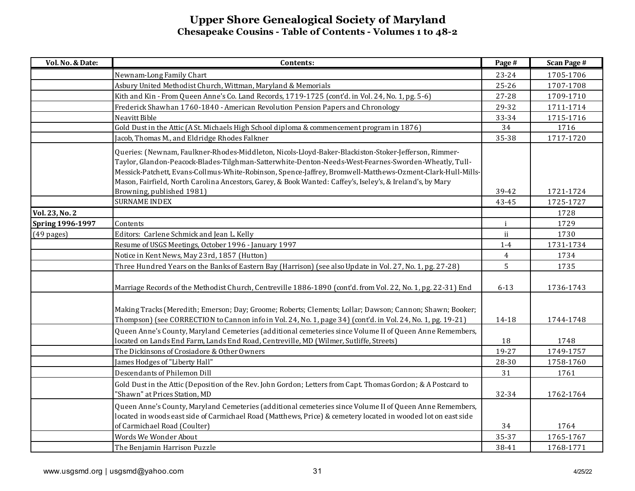| Vol. No. & Date:        | Contents:                                                                                                     | Page #       | <b>Scan Page #</b> |
|-------------------------|---------------------------------------------------------------------------------------------------------------|--------------|--------------------|
|                         | Newnam-Long Family Chart                                                                                      | 23-24        | 1705-1706          |
|                         | Asbury United Methodist Church, Wittman, Maryland & Memorials                                                 | $25 - 26$    | 1707-1708          |
|                         | Kith and Kin - From Queen Anne's Co. Land Records, 1719-1725 (cont'd. in Vol. 24, No. 1, pg. 5-6)             | 27-28        | 1709-1710          |
|                         | Frederick Shawhan 1760-1840 - American Revolution Pension Papers and Chronology                               | 29-32        | 1711-1714          |
|                         | Neavitt Bible                                                                                                 | 33-34        | 1715-1716          |
|                         | Gold Dust in the Attic (A St. Michaels High School diploma & commencement program in 1876)                    | 34           | 1716               |
|                         | Jacob, Thomas M., and Eldridge Rhodes Falkner                                                                 | 35-38        | 1717-1720          |
|                         | Queries: (Newnam, Faulkner-Rhodes-Middleton, Nicols-Lloyd-Baker-Blackiston-Stoker-Jefferson, Rimmer-          |              |                    |
|                         | Taylor, Glandon-Peacock-Blades-Tilghman-Satterwhite-Denton-Needs-West-Fearnes-Sworden-Wheatly, Tull-          |              |                    |
|                         | Messick-Patchett, Evans-Collmus-White-Robinson, Spence-Jaffrey, Bromwell-Matthews-Ozment-Clark-Hull-Mills-    |              |                    |
|                         | Mason, Fairfield, North Carolina Ancestors, Garey, & Book Wanted: Caffey's, Iseley's, & Ireland's, by Mary    |              |                    |
|                         | Browning, published 1981)                                                                                     | 39-42        | 1721-1724          |
|                         | <b>SURNAME INDEX</b>                                                                                          | 43-45        | 1725-1727          |
| Vol. 23, No. 2          |                                                                                                               |              | 1728               |
| <b>Spring 1996-1997</b> | Contents                                                                                                      | $\mathbf{i}$ | 1729               |
| $(49 \text{ pages})$    | Editors: Carlene Schmick and Jean L. Kelly                                                                    | ii           | 1730               |
|                         | Resume of USGS Meetings, October 1996 - January 1997                                                          | $1-4$        | 1731-1734          |
|                         | Notice in Kent News, May 23rd, 1857 (Hutton)                                                                  | 4            | 1734               |
|                         | Three Hundred Years on the Banks of Eastern Bay (Harrison) (see also Update in Vol. 27, No. 1, pg. 27-28)     | 5            | 1735               |
|                         |                                                                                                               |              |                    |
|                         | Marriage Records of the Methodist Church, Centreville 1886-1890 (cont'd. from Vol. 22, No. 1, pg. 22-31) End  | $6 - 13$     | 1736-1743          |
|                         |                                                                                                               |              |                    |
|                         | Making Tracks (Meredith; Emerson; Day; Groome; Roberts; Clements; Lollar; Dawson; Cannon; Shawn; Booker;      |              |                    |
|                         | Thompson) (see CORRECTION to Cannon info in Vol. 24, No. 1, page 34) (cont'd. in Vol. 24, No. 1, pg. 19-21)   | 14-18        | 1744-1748          |
|                         | Queen Anne's County, Maryland Cemeteries (additional cemeteries since Volume II of Queen Anne Remembers,      |              |                    |
|                         | located on Lands End Farm, Lands End Road, Centreville, MD (Wilmer, Sutliffe, Streets)                        | 18           | 1748               |
|                         | The Dickinsons of Crosiadore & Other Owners                                                                   | 19-27        | 1749-1757          |
|                         | James Hodges of "Liberty Hall"                                                                                | $28 - 30$    | 1758-1760          |
|                         | Descendants of Philemon Dill                                                                                  | 31           | 1761               |
|                         | Gold Dust in the Attic (Deposition of the Rev. John Gordon; Letters from Capt. Thomas Gordon; & A Postcard to |              |                    |
|                         | 'Shawn" at Prices Station, MD                                                                                 | 32-34        | 1762-1764          |
|                         | Queen Anne's County, Maryland Cemeteries (additional cemeteries since Volume II of Queen Anne Remembers,      |              |                    |
|                         | located in woods east side of Carmichael Road (Matthews, Price) & cemetery located in wooded lot on east side |              |                    |
|                         | of Carmichael Road (Coulter)                                                                                  | 34           | 1764               |
|                         | Words We Wonder About                                                                                         | 35-37        | 1765-1767          |
|                         | The Benjamin Harrison Puzzle                                                                                  | 38-41        | 1768-1771          |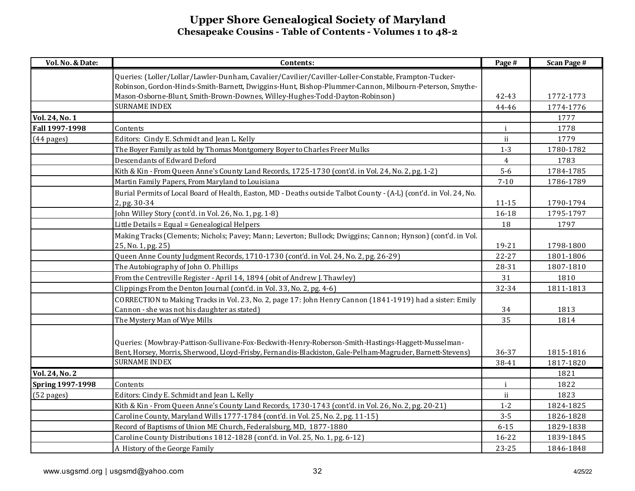| Vol. No. & Date:        | Contents:                                                                                                           | Page #       | <b>Scan Page #</b> |
|-------------------------|---------------------------------------------------------------------------------------------------------------------|--------------|--------------------|
|                         | Queries: (Loller/Lollar/Lawler-Dunham, Cavalier/Cavilier/Caviller-Loller-Constable, Frampton-Tucker-                |              |                    |
|                         | Robinson, Gordon-Hinds-Smith-Barnett, Dwiggins-Hunt, Bishop-Plummer-Cannon, Milbourn-Peterson, Smythe-              |              |                    |
|                         | Mason-Osborne-Blunt, Smith-Brown-Downes, Willey-Hughes-Todd-Dayton-Robinson)                                        | 42-43        | 1772-1773          |
|                         | <b>SURNAME INDEX</b>                                                                                                | 44-46        | 1774-1776          |
| Vol. 24, No. 1          |                                                                                                                     |              | 1777               |
| Fall 1997-1998          | Contents                                                                                                            | $\mathbf{i}$ | 1778               |
| $(44 \text{ pages})$    | Editors: Cindy E. Schmidt and Jean L. Kelly                                                                         | ii           | 1779               |
|                         | The Boyer Family as told by Thomas Montgomery Boyer to Charles Freer Mulks                                          | $1-3$        | 1780-1782          |
|                         | Descendants of Edward Deford                                                                                        | 4            | 1783               |
|                         | Kith & Kin - From Queen Anne's County Land Records, 1725-1730 (cont'd. in Vol. 24, No. 2, pg. 1-2)                  | $5-6$        | 1784-1785          |
|                         | Martin Family Papers, From Maryland to Louisiana                                                                    | $7 - 10$     | 1786-1789          |
|                         | Burial Permits of Local Board of Health, Easton, MD - Deaths outside Talbot County - (A-L) (cont'd. in Vol. 24, No. |              |                    |
|                         | 2, pg. 30-34                                                                                                        | $11 - 15$    | 1790-1794          |
|                         | John Willey Story (cont'd. in Vol. 26, No. 1, pg. 1-8)                                                              | 16-18        | 1795-1797          |
|                         | Little Details = Equal = Genealogical Helpers                                                                       | 18           | 1797               |
|                         | Making Tracks (Clements; Nichols; Pavey; Mann; Leverton; Bullock; Dwiggins; Cannon; Hynson) (cont'd. in Vol.        |              |                    |
|                         | 25, No. 1, pg. 25)                                                                                                  | 19-21        | 1798-1800          |
|                         | Queen Anne County Judgment Records, 1710-1730 (cont'd. in Vol. 24, No. 2, pg. 26-29)                                | $22 - 27$    | 1801-1806          |
|                         | The Autobiography of John O. Phillips                                                                               | 28-31        | 1807-1810          |
|                         | From the Centreville Register - April 14, 1894 (obit of Andrew J. Thawley)                                          | 31           | 1810               |
|                         | Clippings From the Denton Journal (cont'd. in Vol. 33, No. 2, pg. 4-6)                                              | 32-34        | 1811-1813          |
|                         | CORRECTION to Making Tracks in Vol. 23, No. 2, page 17: John Henry Cannon (1841-1919) had a sister: Emily           |              |                    |
|                         | Cannon - she was not his daughter as stated)                                                                        | 34           | 1813               |
|                         | The Mystery Man of Wye Mills                                                                                        | 35           | 1814               |
|                         |                                                                                                                     |              |                    |
|                         | Queries: (Mowbray-Pattison-Sullivane-Fox-Beckwith-Henry-Roberson-Smith-Hastings-Haggett-Musselman-                  |              |                    |
|                         | Bent, Horsey, Morris, Sherwood, Lloyd-Frisby, Fernandis-Blackiston, Gale-Pelham-Magruder, Barnett-Stevens)          | 36-37        | 1815-1816          |
|                         | <b>SURNAME INDEX</b>                                                                                                | 38-41        | 1817-1820          |
| <b>Vol. 24, No. 2</b>   |                                                                                                                     |              | 1821               |
| <b>Spring 1997-1998</b> | Contents                                                                                                            | $\mathbf{i}$ | 1822               |
| (52 pages)              | Editors: Cindy E. Schmidt and Jean L. Kelly                                                                         | ii           | 1823               |
|                         | Kith & Kin - From Queen Anne's County Land Records, 1730-1743 (cont'd. in Vol. 26, No. 2, pg. 20-21)                | $1-2$        | 1824-1825          |
|                         | Caroline County, Maryland Wills 1777-1784 (cont'd. in Vol. 25, No. 2, pg. 11-15)                                    | $3 - 5$      | 1826-1828          |
|                         | Record of Baptisms of Union ME Church, Federalsburg, MD, 1877-1880                                                  | $6 - 15$     | 1829-1838          |
|                         | Caroline County Distributions 1812-1828 (cont'd. in Vol. 25, No. 1, pg. 6-12)                                       | 16-22        | 1839-1845          |
|                         | A History of the George Family                                                                                      | $23 - 25$    | 1846-1848          |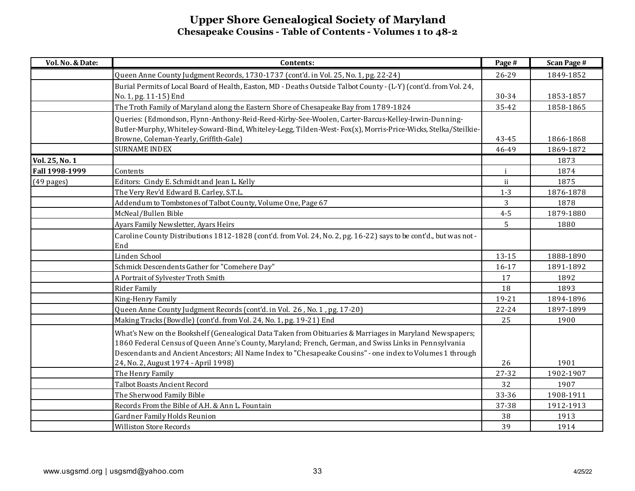| Queen Anne County Judgment Records, 1730-1737 (cont'd. in Vol. 25, No. 1, pg. 22-24)<br>26-29<br>Burial Permits of Local Board of Health, Easton, MD - Deaths Outside Talbot County - (L-Y) (cont'd. from Vol. 24,<br>No. 1, pg. 11-15) End<br>30-34<br>The Troth Family of Maryland along the Eastern Shore of Chesapeake Bay from 1789-1824<br>35-42 | 1849-1852<br>1853-1857<br>1858-1865<br>1866-1868 |
|--------------------------------------------------------------------------------------------------------------------------------------------------------------------------------------------------------------------------------------------------------------------------------------------------------------------------------------------------------|--------------------------------------------------|
|                                                                                                                                                                                                                                                                                                                                                        |                                                  |
|                                                                                                                                                                                                                                                                                                                                                        |                                                  |
|                                                                                                                                                                                                                                                                                                                                                        |                                                  |
|                                                                                                                                                                                                                                                                                                                                                        |                                                  |
| Queries: (Edmondson, Flynn-Anthony-Reid-Reed-Kirby-See-Woolen, Carter-Barcus-Kelley-Irwin-Dunning-<br>Butler-Murphy, Whiteley-Soward-Bind, Whiteley-Legg, Tilden-West-Fox(x), Morris-Price-Wicks, Stelka/Steilkie-                                                                                                                                     |                                                  |
| Browne, Coleman-Yearly, Griffith-Gale)<br>43-45                                                                                                                                                                                                                                                                                                        |                                                  |
| <b>SURNAME INDEX</b><br>46-49                                                                                                                                                                                                                                                                                                                          | 1869-1872                                        |
| Vol. 25, No. 1                                                                                                                                                                                                                                                                                                                                         | 1873                                             |
| Fall 1998-1999<br>Contents<br>i.                                                                                                                                                                                                                                                                                                                       | 1874                                             |
| ii<br>$(49 \text{ pages})$<br>Editors: Cindy E. Schmidt and Jean L. Kelly                                                                                                                                                                                                                                                                              | 1875                                             |
| The Very Rev'd Edward B. Carley, S.T.L.<br>$1 - 3$                                                                                                                                                                                                                                                                                                     | 1876-1878                                        |
| Addendum to Tombstones of Talbot County, Volume One, Page 67<br>3                                                                                                                                                                                                                                                                                      | 1878                                             |
| McNeal/Bullen Bible<br>$4 - 5$                                                                                                                                                                                                                                                                                                                         | 1879-1880                                        |
| Ayars Family Newsletter, Ayars Heirs<br>5                                                                                                                                                                                                                                                                                                              | 1880                                             |
| Caroline County Distributions 1812-1828 (cont'd. from Vol. 24, No. 2, pg. 16-22) says to be cont'd., but was not-                                                                                                                                                                                                                                      |                                                  |
| End                                                                                                                                                                                                                                                                                                                                                    |                                                  |
| Linden School<br>13-15                                                                                                                                                                                                                                                                                                                                 | 1888-1890                                        |
| Schmick Descendents Gather for "Comehere Day"<br>$16 - 17$                                                                                                                                                                                                                                                                                             | 1891-1892                                        |
| A Portrait of Sylvester Troth Smith<br>17                                                                                                                                                                                                                                                                                                              | 1892                                             |
| Rider Family<br>18                                                                                                                                                                                                                                                                                                                                     | 1893                                             |
| 19-21<br>King-Henry Family                                                                                                                                                                                                                                                                                                                             | 1894-1896                                        |
| Queen Anne County Judgment Records (cont'd. in Vol. 26, No. 1, pg. 17-20)<br>$22 - 24$                                                                                                                                                                                                                                                                 | 1897-1899                                        |
| Making Tracks (Bowdle) (cont'd. from Vol. 24, No. 1, pg. 19-21) End<br>25                                                                                                                                                                                                                                                                              | 1900                                             |
| What's New on the Bookshelf (Genealogical Data Taken from Obituaries & Marriages in Maryland Newspapers;                                                                                                                                                                                                                                               |                                                  |
| 1860 Federal Census of Queen Anne's County, Maryland; French, German, and Swiss Links in Pennsylvania                                                                                                                                                                                                                                                  |                                                  |
| Descendants and Ancient Ancestors; All Name Index to "Chesapeake Cousins" - one index to Volumes 1 through<br>24, No. 2, August 1974 - April 1998)<br>26<br>1901                                                                                                                                                                                       |                                                  |
| The Henry Family<br>27-32                                                                                                                                                                                                                                                                                                                              | 1902-1907                                        |
| Talbot Boasts Ancient Record<br>32                                                                                                                                                                                                                                                                                                                     | 1907                                             |
| The Sherwood Family Bible<br>33-36                                                                                                                                                                                                                                                                                                                     | 1908-1911                                        |
| Records From the Bible of A.H. & Ann L. Fountain<br>37-38                                                                                                                                                                                                                                                                                              | 1912-1913                                        |
| Gardner Family Holds Reunion<br>38                                                                                                                                                                                                                                                                                                                     | 1913                                             |
| 39<br><b>Williston Store Records</b>                                                                                                                                                                                                                                                                                                                   | 1914                                             |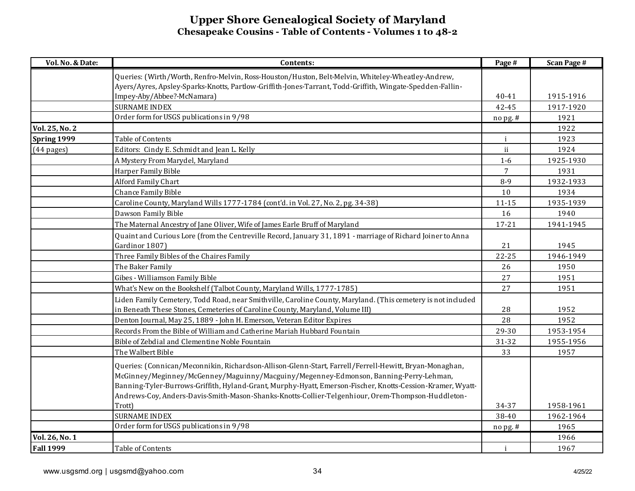| Vol. No. & Date:     | Contents:                                                                                                    | Page #         | <b>Scan Page #</b> |
|----------------------|--------------------------------------------------------------------------------------------------------------|----------------|--------------------|
|                      | Queries: (Wirth/Worth, Renfro-Melvin, Ross-Houston/Huston, Belt-Melvin, Whiteley-Wheatley-Andrew,            |                |                    |
|                      | Ayers/Ayres, Apsley-Sparks-Knotts, Partlow-Griffith-Jones-Tarrant, Todd-Griffith, Wingate-Spedden-Fallin-    |                |                    |
|                      | Impey-Aby/Abbee?-McNamara)                                                                                   | 40-41          | 1915-1916          |
|                      | <b>SURNAME INDEX</b>                                                                                         | 42-45          | 1917-1920          |
|                      | Order form for USGS publications in 9/98                                                                     | nopg.#         | 1921               |
| Vol. 25, No. 2       |                                                                                                              |                | 1922               |
| Spring 1999          | Table of Contents                                                                                            | $\mathbf{i}$   | 1923               |
| $(44 \text{ pages})$ | Editors: Cindy E. Schmidt and Jean L. Kelly                                                                  | ii             | 1924               |
|                      | A Mystery From Marydel, Maryland                                                                             | $1-6$          | 1925-1930          |
|                      | Harper Family Bible                                                                                          | $\overline{7}$ | 1931               |
|                      | Alford Family Chart                                                                                          | $8 - 9$        | 1932-1933          |
|                      | Chance Family Bible                                                                                          | 10             | 1934               |
|                      | Caroline County, Maryland Wills 1777-1784 (cont'd. in Vol. 27, No. 2, pg. 34-38)                             | $11 - 15$      | 1935-1939          |
|                      | Dawson Family Bible                                                                                          | 16             | 1940               |
|                      | The Maternal Ancestry of Jane Oliver, Wife of James Earle Bruff of Maryland                                  | $17 - 21$      | 1941-1945          |
|                      | Quaint and Curious Lore (from the Centreville Record, January 31, 1891 - marriage of Richard Joiner to Anna  |                |                    |
|                      | Gardinor 1807)                                                                                               | 21             | 1945               |
|                      | Three Family Bibles of the Chaires Family                                                                    | 22-25          | 1946-1949          |
|                      | The Baker Family                                                                                             | 26             | 1950               |
|                      | Gibes - Williamson Family Bible                                                                              | 27             | 1951               |
|                      | What's New on the Bookshelf (Talbot County, Maryland Wills, 1777-1785)                                       | 27             | 1951               |
|                      | Liden Family Cemetery, Todd Road, near Smithville, Caroline County, Maryland. (This cemetery is not included |                |                    |
|                      | in Beneath These Stones, Cemeteries of Caroline County, Maryland, Volume III)                                | 28             | 1952               |
|                      | Denton Journal, May 25, 1889 - John H. Emerson, Veteran Editor Expires                                       | 28             | 1952               |
|                      | Records From the Bible of William and Catherine Mariah Hubbard Fountain                                      | 29-30          | 1953-1954          |
|                      | Bible of Zebdial and Clementine Noble Fountain                                                               | 31-32          | 1955-1956          |
|                      | The Walbert Bible                                                                                            | 33             | 1957               |
|                      | Queries: (Connican/Meconnikin, Richardson-Allison-Glenn-Start, Farrell/Ferrell-Hewitt, Bryan-Monaghan,       |                |                    |
|                      | McGinney/Meginney/McGenney/Maguinny/Macguiny/Megenney-Edmonson, Banning-Perry-Lehman,                        |                |                    |
|                      | Banning-Tyler-Burrows-Griffith, Hyland-Grant, Murphy-Hyatt, Emerson-Fischer, Knotts-Cession-Kramer, Wyatt-   |                |                    |
|                      | Andrews-Coy, Anders-Davis-Smith-Mason-Shanks-Knotts-Collier-Telgenhiour, Orem-Thompson-Huddleton-            |                |                    |
|                      | Trott)                                                                                                       | 34-37          | 1958-1961          |
|                      | <b>SURNAME INDEX</b>                                                                                         | $38 - 40$      | 1962-1964          |
|                      | Order form for USGS publications in 9/98                                                                     | nopg.#         | 1965               |
| Vol. 26, No. 1       |                                                                                                              |                | 1966               |
| <b>Fall 1999</b>     | Table of Contents                                                                                            | $\mathbf{i}$   | 1967               |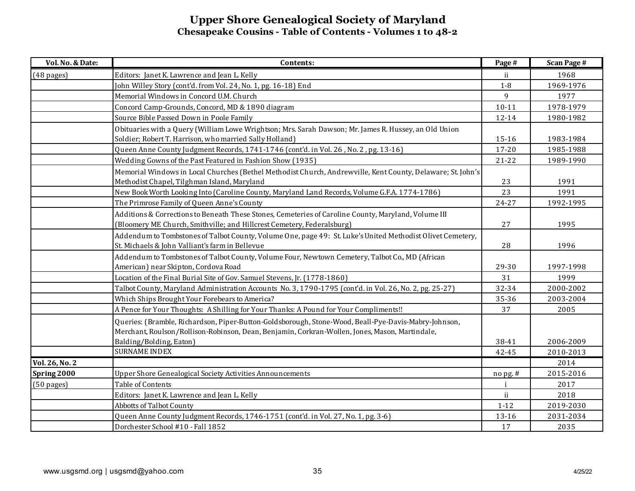| Vol. No. & Date:     | Contents:                                                                                                   | Page #       | <b>Scan Page #</b> |
|----------------------|-------------------------------------------------------------------------------------------------------------|--------------|--------------------|
| $(48 \text{ pages})$ | Editors: Janet K. Lawrence and Jean L. Kelly                                                                | ii           | 1968               |
|                      | John Willey Story (cont'd. from Vol. 24, No. 1, pg. 16-18) End                                              | $1-8$        | 1969-1976          |
|                      | Memorial Windows in Concord U.M. Church                                                                     | 9            | 1977               |
|                      | Concord Camp-Grounds, Concord, MD & 1890 diagram                                                            | $10 - 11$    | 1978-1979          |
|                      | Source Bible Passed Down in Poole Family                                                                    | 12-14        | 1980-1982          |
|                      | Obituaries with a Query (William Lowe Wrightson; Mrs. Sarah Dawson; Mr. James R. Hussey, an Old Union       |              |                    |
|                      | Soldier; Robert T. Harrison, who married Sally Holland)                                                     | 15-16        | 1983-1984          |
|                      | Queen Anne County Judgment Records, 1741-1746 (cont'd. in Vol. 26, No. 2, pg. 13-16)                        | $17 - 20$    | 1985-1988          |
|                      | Wedding Gowns of the Past Featured in Fashion Show (1935)                                                   | $21 - 22$    | 1989-1990          |
|                      | Memorial Windows in Local Churches (Bethel Methodist Church, Andrewville, Kent County, Delaware; St. John's |              |                    |
|                      | Methodist Chapel, Tilghman Island, Maryland                                                                 | 23           | 1991               |
|                      | New Book Worth Looking Into (Caroline County, Maryland Land Records, Volume G.F.A. 1774-1786)               | 23           | 1991               |
|                      | The Primrose Family of Queen Anne's County                                                                  | $24 - 27$    | 1992-1995          |
|                      | Additions & Corrections to Beneath These Stones, Cemeteries of Caroline County, Maryland, Volume III        |              |                    |
|                      | (Bloomery ME Church, Smithville; and Hillcrest Cemetery, Federalsburg)                                      | 27           | 1995               |
|                      | Addendum to Tombstones of Talbot County, Volume One, page 49: St. Luke's United Methodist Olivet Cemetery,  |              |                    |
|                      | St. Michaels & John Valliant's farm in Bellevue                                                             | 28           | 1996               |
|                      | Addendum to Tombstones of Talbot County, Volume Four, Newtown Cemetery, Talbot Co., MD (African             |              |                    |
|                      | American) near Skipton, Cordova Road                                                                        | 29-30        | 1997-1998          |
|                      | Location of the Final Burial Site of Gov. Samuel Stevens, Jr. (1778-1860)                                   | 31           | 1999               |
|                      | Talbot County, Maryland Administration Accounts No. 3, 1790-1795 (cont'd. in Vol. 26, No. 2, pg. 25-27)     | 32-34        | 2000-2002          |
|                      | Which Ships Brought Your Forebears to America?                                                              | 35-36        | 2003-2004          |
|                      | A Pence for Your Thoughts: A Shilling for Your Thanks: A Pound for Your Compliments!!                       | 37           | 2005               |
|                      | Queries: (Bramble, Richardson, Piper-Button-Goldsborough, Stone-Wood, Beall-Pye-Davis-Mabry-Johnson,        |              |                    |
|                      | Merchant, Roulson/Rollison-Robinson, Dean, Benjamin, Corkran-Wollen, Jones, Mason, Martindale,              |              |                    |
|                      | Balding/Bolding, Eaton)                                                                                     | 38-41        | 2006-2009          |
|                      | <b>SURNAME INDEX</b>                                                                                        | 42-45        | 2010-2013          |
| Vol. 26, No. 2       |                                                                                                             |              | 2014               |
| Spring 2000          | Upper Shore Genealogical Society Activities Announcements                                                   | $n$ opg.#    | 2015-2016          |
| $(50 \text{ pages})$ | Table of Contents                                                                                           | $\mathbf{1}$ | 2017               |
|                      | Editors: Janet K. Lawrence and Jean L. Kelly                                                                | ii.          | 2018               |
|                      | Abbotts of Talbot County                                                                                    | $1 - 12$     | 2019-2030          |
|                      | Queen Anne County Judgment Records, 1746-1751 (cont'd. in Vol. 27, No. 1, pg. 3-6)                          | $13 - 16$    | 2031-2034          |
|                      | Dorchester School #10 - Fall 1852                                                                           | 17           | 2035               |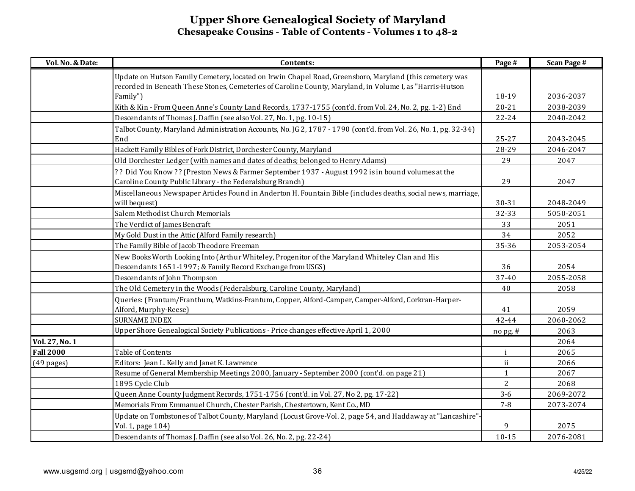| Vol. No. & Date: | Contents:                                                                                                                                                     | Page #         | <b>Scan Page #</b> |
|------------------|---------------------------------------------------------------------------------------------------------------------------------------------------------------|----------------|--------------------|
|                  | Update on Hutson Family Cemetery, located on Irwin Chapel Road, Greensboro, Maryland (this cemetery was                                                       |                |                    |
|                  | recorded in Beneath These Stones, Cemeteries of Caroline County, Maryland, in Volume I, as "Harris-Hutson                                                     |                |                    |
|                  | Family")                                                                                                                                                      | 18-19          | 2036-2037          |
|                  | Kith & Kin - From Queen Anne's County Land Records, 1737-1755 (cont'd. from Vol. 24, No. 2, pg. 1-2) End                                                      | $20 - 21$      | 2038-2039          |
|                  | Descendants of Thomas J. Daffin (see also Vol. 27, No. 1, pg. 10-15)                                                                                          | $22 - 24$      | 2040-2042          |
|                  | Talbot County, Maryland Administration Accounts, No. JG 2, 1787 - 1790 (cont'd. from Vol. 26, No. 1, pg. 32-34)<br>End                                        | 25-27          | 2043-2045          |
|                  | Hackett Family Bibles of Fork District, Dorchester County, Maryland                                                                                           | 28-29          | 2046-2047          |
|                  | Old Dorchester Ledger (with names and dates of deaths; belonged to Henry Adams)                                                                               | 29             | 2047               |
|                  | ?? Did You Know?? (Preston News & Farmer September 1937 - August 1992 is in bound volumes at the<br>Caroline County Public Library - the Federalsburg Branch) | 29             | 2047               |
|                  | Miscellaneous Newspaper Articles Found in Anderton H. Fountain Bible (includes deaths, social news, marriage,<br>will bequest)                                | $30 - 31$      | 2048-2049          |
|                  | Salem Methodist Church Memorials                                                                                                                              | 32-33          | 5050-2051          |
|                  | The Verdict of James Bencraft                                                                                                                                 | 33             | 2051               |
|                  | My Gold Dust in the Attic (Alford Family research)                                                                                                            | 34             | 2052               |
|                  | The Family Bible of Jacob Theodore Freeman                                                                                                                    | 35-36          | 2053-2054          |
|                  | New Books Worth Looking Into (Arthur Whiteley, Progenitor of the Maryland Whiteley Clan and His<br>Descendants 1651-1997; & Family Record Exchange from USGS) | 36             | 2054               |
|                  | Descendants of John Thompson                                                                                                                                  | 37-40          | 2055-2058          |
|                  | The Old Cemetery in the Woods (Federalsburg, Caroline County, Maryland)                                                                                       | 40             | 2058               |
|                  | Queries: (Frantum/Franthum, Watkins-Frantum, Copper, Alford-Camper, Camper-Alford, Corkran-Harper-<br>Alford, Murphy-Reese)                                   | 41             | 2059               |
|                  | <b>SURNAME INDEX</b>                                                                                                                                          | 42-44          | 2060-2062          |
|                  | Upper Shore Genealogical Society Publications - Price changes effective April 1, 2000                                                                         | nopg.#         | 2063               |
| Vol. 27, No. 1   |                                                                                                                                                               |                | 2064               |
| <b>Fall 2000</b> | Table of Contents                                                                                                                                             | $\mathbf{i}$   | 2065               |
| $(49$ pages)     | Editors: Jean L. Kelly and Janet K. Lawrence                                                                                                                  | ii.            | 2066               |
|                  | Resume of General Membership Meetings 2000, January - September 2000 (cont'd. on page 21)                                                                     | $\mathbf{1}$   | 2067               |
|                  | 1895 Cycle Club                                                                                                                                               | $\overline{2}$ | 2068               |
|                  | Queen Anne County Judgment Records, 1751-1756 (cont'd. in Vol. 27, No 2, pg. 17-22)                                                                           | $3-6$          | 2069-2072          |
|                  | Memorials From Emmanuel Church, Chester Parish, Chestertown, Kent Co., MD                                                                                     | $7 - 8$        | 2073-2074          |
|                  | Update on Tombstones of Talbot County, Maryland (Locust Grove-Vol. 2, page 54, and Haddaway at "Lancashire".<br>Vol. 1, page 104)                             | 9              | 2075               |
|                  | Descendants of Thomas J. Daffin (see also Vol. 26, No. 2, pg. 22-24)                                                                                          | $10 - 15$      | 2076-2081          |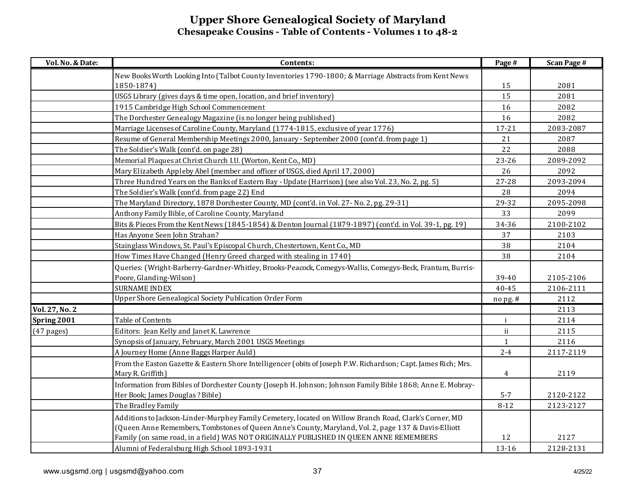| Vol. No. & Date: | Contents:                                                                                                      | Page #       | <b>Scan Page #</b> |
|------------------|----------------------------------------------------------------------------------------------------------------|--------------|--------------------|
|                  | New Books Worth Looking Into (Talbot County Inventories 1790-1800; & Marriage Abstracts from Kent News         |              |                    |
|                  | 1850-1874)                                                                                                     | 15           | 2081               |
|                  | USGS Library (gives days & time open, location, and brief inventory)                                           | 15           | 2081               |
|                  | 1915 Cambridge High School Commencement                                                                        | 16           | 2082               |
|                  | The Dorchester Genealogy Magazine (is no longer being published)                                               | 16           | 2082               |
|                  | Marriage Licenses of Caroline County, Maryland (1774-1815, exclusive of year 1776)                             | $17 - 21$    | 2083-2087          |
|                  | Resume of General Membership Meetings 2000, January - September 2000 (cont'd. from page 1)                     | 21           | 2087               |
|                  | The Soldier's Walk (cont'd. on page 28)                                                                        | 22           | 2088               |
|                  | Memorial Plaques at Christ Church I.U. (Worton, Kent Co., MD)                                                  | 23-26        | 2089-2092          |
|                  | Mary Elizabeth Appleby Abel (member and officer of USGS, died April 17, 2000)                                  | 26           | 2092               |
|                  | Three Hundred Years on the Banks of Eastern Bay - Update (Harrison) (see also Vol. 23, No. 2, pg. 5)           | $27 - 28$    | 2093-2094          |
|                  | The Soldier's Walk (cont'd. from page 22) End                                                                  | 28           | 2094               |
|                  | The Maryland Directory, 1878 Dorchester County, MD (cont'd. in Vol. 27 - No. 2, pg. 29-31)                     | 29-32        | 2095-2098          |
|                  | Anthony Family Bible, of Caroline County, Maryland                                                             | 33           | 2099               |
|                  | Bits & Pieces From the Kent News (1845-1854) & Denton Journal (1879-1897) (cont'd. in Vol. 39-1, pg. 19)       | 34-36        | 2100-2102          |
|                  | Has Anyone Seen John Strahan?                                                                                  | 37           | 2103               |
|                  | Stainglass Windows, St. Paul's Episcopal Church, Chestertown, Kent Co., MD                                     | 38           | 2104               |
|                  | How Times Have Changed (Henry Greed charged with stealing in 1740)                                             | 38           | 2104               |
|                  | Queries: (Wright-Barberry-Gardner-Whitley, Brooks-Peacock, Comegys-Wallis, Comegys-Beck, Frantum, Burris-      |              |                    |
|                  | Poore, Glanding-Wilson)                                                                                        | 39-40        | 2105-2106          |
|                  | <b>SURNAME INDEX</b>                                                                                           | 40-45        | 2106-2111          |
|                  | Upper Shore Genealogical Society Publication Order Form                                                        | nopg.#       | 2112               |
| Vol. 27, No. 2   |                                                                                                                |              | 2113               |
| Spring 2001      | Table of Contents                                                                                              | $\mathbf{i}$ | 2114               |
| $(47$ pages)     | Editors: Jean Kelly and Janet K. Lawrence                                                                      | ii.          | 2115               |
|                  | Synopsis of January, February, March 2001 USGS Meetings                                                        | $\mathbf{1}$ | 2116               |
|                  | A Journey Home (Anne Baggs Harper Auld)                                                                        | $2 - 4$      | 2117-2119          |
|                  | From the Easton Gazette & Eastern Shore Intelligencer (obits of Joseph P.W. Richardson; Capt. James Rich; Mrs. |              |                    |
|                  | Mary R. Griffith)                                                                                              | 4            | 2119               |
|                  | Information from Bibles of Dorchester County (Joseph H. Johnson; Johnson Family Bible 1868; Anne E. Mobray-    |              |                    |
|                  | Her Book; James Douglas? Bible)                                                                                | $5 - 7$      | 2120-2122          |
|                  | The Bradley Family                                                                                             | $8 - 12$     | 2123-2127          |
|                  | Additions to Jackson-Linder-Murphey Family Cemetery, located on Willow Branch Road, Clark's Corner, MD         |              |                    |
|                  | (Queen Anne Remembers, Tombstones of Queen Anne's County, Maryland, Vol. 2, page 137 & Davis-Elliott           |              |                    |
|                  | Family (on same road, in a field) WAS NOT ORIGINALLY PUBLISHED IN QUEEN ANNE REMEMBERS                         | 12           | 2127               |
|                  | Alumni of Federalsburg High School 1893-1931                                                                   | 13-16        | 2128-2131          |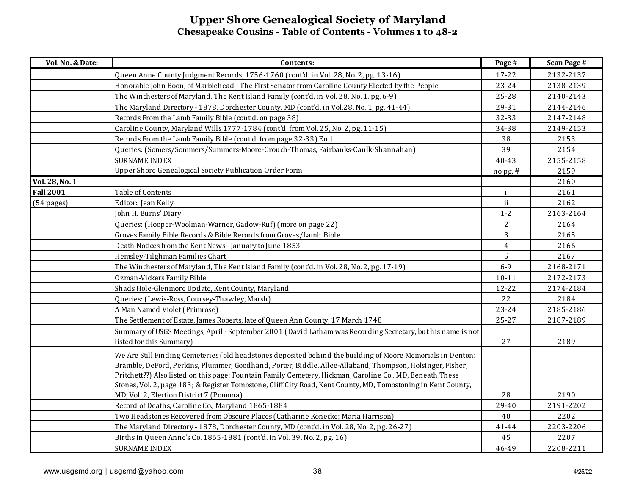| Vol. No. & Date: | Contents:                                                                                                                                                                                                                                                                                                                                                                                                                                              | Page #         | <b>Scan Page #</b> |
|------------------|--------------------------------------------------------------------------------------------------------------------------------------------------------------------------------------------------------------------------------------------------------------------------------------------------------------------------------------------------------------------------------------------------------------------------------------------------------|----------------|--------------------|
|                  | Queen Anne County Judgment Records, 1756-1760 (cont'd. in Vol. 28, No. 2, pg. 13-16)                                                                                                                                                                                                                                                                                                                                                                   | 17-22          | 2132-2137          |
|                  | Honorable John Boon, of Marblehead - The First Senator from Caroline County Elected by the People                                                                                                                                                                                                                                                                                                                                                      | $23 - 24$      | 2138-2139          |
|                  | The Winchesters of Maryland, The Kent Island Family (cont'd. in Vol. 28, No. 1, pg. 6-9)                                                                                                                                                                                                                                                                                                                                                               | $25 - 28$      | 2140-2143          |
|                  | The Maryland Directory - 1878, Dorchester County, MD (cont'd. in Vol.28, No. 1, pg. 41-44)                                                                                                                                                                                                                                                                                                                                                             | 29-31          | 2144-2146          |
|                  | Records From the Lamb Family Bible (cont'd. on page 38)                                                                                                                                                                                                                                                                                                                                                                                                | 32-33          | 2147-2148          |
|                  | Caroline County, Maryland Wills 1777-1784 (cont'd. from Vol. 25, No. 2, pg. 11-15)                                                                                                                                                                                                                                                                                                                                                                     | 34-38          | 2149-2153          |
|                  | Records From the Lamb Family Bible (cont'd. from page 32-33) End                                                                                                                                                                                                                                                                                                                                                                                       | 38             | 2153               |
|                  | Queries: (Somers/Sommers/Summers-Moore-Crouch-Thomas, Fairbanks-Caulk-Shannahan)                                                                                                                                                                                                                                                                                                                                                                       | 39             | 2154               |
|                  | <b>SURNAME INDEX</b>                                                                                                                                                                                                                                                                                                                                                                                                                                   | 40-43          | 2155-2158          |
|                  | Upper Shore Genealogical Society Publication Order Form                                                                                                                                                                                                                                                                                                                                                                                                | $nopg.$ #      | 2159               |
| Vol. 28, No. 1   |                                                                                                                                                                                                                                                                                                                                                                                                                                                        |                | 2160               |
| <b>Fall 2001</b> | Table of Contents                                                                                                                                                                                                                                                                                                                                                                                                                                      | $\mathbf{i}$   | 2161               |
| (54 pages)       | Editor: Jean Kelly                                                                                                                                                                                                                                                                                                                                                                                                                                     | ii             | 2162               |
|                  | John H. Burns' Diary                                                                                                                                                                                                                                                                                                                                                                                                                                   | $1 - 2$        | 2163-2164          |
|                  | Queries: (Hooper-Woolman-Warner, Gadow-Ruf) (more on page 22)                                                                                                                                                                                                                                                                                                                                                                                          | $\overline{a}$ | 2164               |
|                  | Groves Family Bible Records & Bible Records from Groves/Lamb Bible                                                                                                                                                                                                                                                                                                                                                                                     | 3              | 2165               |
|                  | Death Notices from the Kent News - January to June 1853                                                                                                                                                                                                                                                                                                                                                                                                | $\overline{4}$ | 2166               |
|                  | Hemsley-Tilghman Families Chart                                                                                                                                                                                                                                                                                                                                                                                                                        | 5              | 2167               |
|                  | The Winchesters of Maryland, The Kent Island Family (cont'd. in Vol. 28, No. 2, pg. 17-19)                                                                                                                                                                                                                                                                                                                                                             | $6 - 9$        | 2168-2171          |
|                  | Ozman-Vickers Family Bible                                                                                                                                                                                                                                                                                                                                                                                                                             | $10 - 11$      | 2172-2173          |
|                  | Shads Hole-Glenmore Update, Kent County, Maryland                                                                                                                                                                                                                                                                                                                                                                                                      | 12-22          | 2174-2184          |
|                  | Queries: (Lewis-Ross, Coursey-Thawley, Marsh)                                                                                                                                                                                                                                                                                                                                                                                                          | 22             | 2184               |
|                  | A Man Named Violet (Primrose)                                                                                                                                                                                                                                                                                                                                                                                                                          | $23 - 24$      | 2185-2186          |
|                  | The Settlement of Estate, James Roberts, late of Queen Ann County, 17 March 1748                                                                                                                                                                                                                                                                                                                                                                       | 25-27          | 2187-2189          |
|                  | Summary of USGS Meetings, April - September 2001 (David Latham was Recording Secretary, but his name is not<br>listed for this Summary)                                                                                                                                                                                                                                                                                                                | 27             | 2189               |
|                  | We Are Still Finding Cemeteries (old headstones deposited behind the building of Moore Memorials in Denton:<br>Bramble, DeFord, Perkins, Plummer, Goodhand, Porter, Biddle, Allee-Allaband, Thompson, Holsinger, Fisher,<br>Pritchett??) Also listed on this page: Fountain Family Cemetery, Hickman, Caroline Co., MD, Beneath These<br>Stones, Vol. 2, page 183; & Register Tombstone, Cliff City Road, Kent County, MD, Tombstoning in Kent County, |                |                    |
|                  | MD, Vol. 2, Election District 7 (Pomona)                                                                                                                                                                                                                                                                                                                                                                                                               | 28             | 2190               |
|                  | Record of Deaths, Caroline Co., Maryland 1865-1884                                                                                                                                                                                                                                                                                                                                                                                                     | 29-40          | 2191-2202          |
|                  | Two Headstones Recovered from Obscure Places (Catharine Konecke; Maria Harrison)                                                                                                                                                                                                                                                                                                                                                                       | 40             | 2202               |
|                  | The Maryland Directory - 1878, Dorchester County, MD (cont'd. in Vol. 28, No. 2, pg. 26-27)                                                                                                                                                                                                                                                                                                                                                            | 41-44          | 2203-2206          |
|                  | Births in Queen Anne's Co. 1865-1881 (cont'd. in Vol. 39, No. 2, pg. 16)                                                                                                                                                                                                                                                                                                                                                                               | 45             | 2207               |
|                  | <b>SURNAME INDEX</b>                                                                                                                                                                                                                                                                                                                                                                                                                                   | 46-49          | 2208-2211          |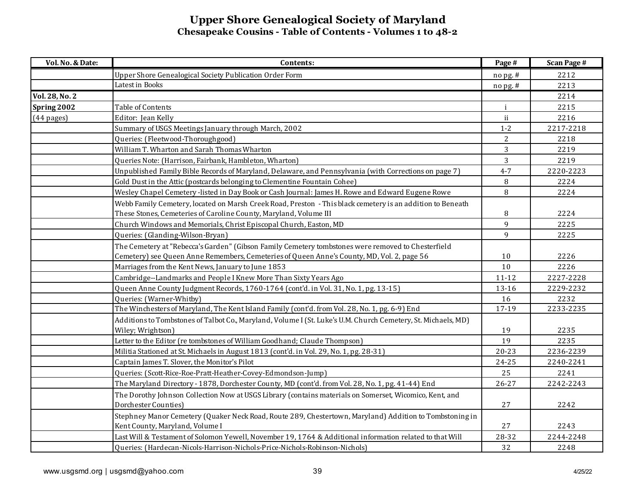| Vol. No. & Date: | Contents:                                                                                                     | Page #       | <b>Scan Page #</b> |
|------------------|---------------------------------------------------------------------------------------------------------------|--------------|--------------------|
|                  | Upper Shore Genealogical Society Publication Order Form                                                       | no pg. #     | 2212               |
|                  | Latest in Books                                                                                               | $n$ opg.#    | 2213               |
| Vol. 28, No. 2   |                                                                                                               |              | 2214               |
| Spring 2002      | Table of Contents                                                                                             | $\mathbf{i}$ | 2215               |
| $(44$ pages)     | Editor: Jean Kelly                                                                                            | ii           | 2216               |
|                  | Summary of USGS Meetings January through March, 2002                                                          | $1 - 2$      | 2217-2218          |
|                  | Queries: (Fleetwood-Thoroughgood)                                                                             | 2            | 2218               |
|                  | William T. Wharton and Sarah Thomas Wharton                                                                   | 3            | 2219               |
|                  | Queries Note: (Harrison, Fairbank, Hambleton, Wharton)                                                        | 3            | 2219               |
|                  | Unpublished Family Bible Records of Maryland, Delaware, and Pennsylvania (with Corrections on page 7)         | $4 - 7$      | 2220-2223          |
|                  | Gold Dust in the Attic (postcards belonging to Clementine Fountain Cohee)                                     | 8            | 2224               |
|                  | Wesley Chapel Cemetery -listed in Day Book or Cash Journal: James H. Rowe and Edward Eugene Rowe              | 8            | 2224               |
|                  | Webb Family Cemetery, located on Marsh Creek Road, Preston - This black cemetery is an addition to Beneath    |              |                    |
|                  | These Stones, Cemeteries of Caroline County, Maryland, Volume III                                             | 8            | 2224               |
|                  | Church Windows and Memorials, Christ Episcopal Church, Easton, MD                                             | 9            | 2225               |
|                  | Queries: (Glanding-Wilson-Bryan)                                                                              | 9            | 2225               |
|                  | The Cemetery at "Rebecca's Garden" (Gibson Family Cemetery tombstones were removed to Chesterfield            |              |                    |
|                  | Cemetery) see Queen Anne Remembers, Cemeteries of Queen Anne's County, MD, Vol. 2, page 56                    | 10           | 2226               |
|                  | Marriages from the Kent News, January to June 1853                                                            | 10           | 2226               |
|                  | Cambridge--Landmarks and People I Knew More Than Sixty Years Ago                                              | $11 - 12$    | 2227-2228          |
|                  | Queen Anne County Judgment Records, 1760-1764 (cont'd. in Vol. 31, No. 1, pg. 13-15)                          | 13-16        | 2229-2232          |
|                  | Queries: (Warner-Whitby)                                                                                      | 16           | 2232               |
|                  | The Winchesters of Maryland, The Kent Island Family (cont'd. from Vol. 28, No. 1, pg. 6-9) End                | 17-19        | 2233-2235          |
|                  | Additions to Tombstones of Talbot Co., Maryland, Volume I (St. Luke's U.M. Church Cemetery, St. Michaels, MD) |              |                    |
|                  | Wiley; Wrightson)                                                                                             | 19           | 2235               |
|                  | Letter to the Editor (re tombstones of William Goodhand; Claude Thompson)                                     | 19           | 2235               |
|                  | Militia Stationed at St. Michaels in August 1813 (cont'd. in Vol. 29, No. 1, pg. 28-31)                       | $20 - 23$    | 2236-2239          |
|                  | Captain James T. Slover, the Monitor's Pilot                                                                  | 24-25        | 2240-2241          |
|                  | Queries: (Scott-Rice-Roe-Pratt-Heather-Covey-Edmondson-Jump)                                                  | 25           | 2241               |
|                  | The Maryland Directory - 1878, Dorchester County, MD (cont'd. from Vol. 28, No. 1, pg. 41-44) End             | $26 - 27$    | 2242-2243          |
|                  | The Dorothy Johnson Collection Now at USGS Library (contains materials on Somerset, Wicomico, Kent, and       |              |                    |
|                  | Dorchester Counties)                                                                                          | 27           | 2242               |
|                  | Stephney Manor Cemetery (Quaker Neck Road, Route 289, Chestertown, Maryland) Addition to Tombstoning in       |              |                    |
|                  | Kent County, Maryland, Volume I                                                                               | 27           | 2243               |
|                  | Last Will & Testament of Solomon Yewell, November 19, 1764 & Additional information related to that Will      | 28-32        | 2244-2248          |
|                  | Queries: (Hardecan-Nicols-Harrison-Nichols-Price-Nichols-Robinson-Nichols)                                    | 32           | 2248               |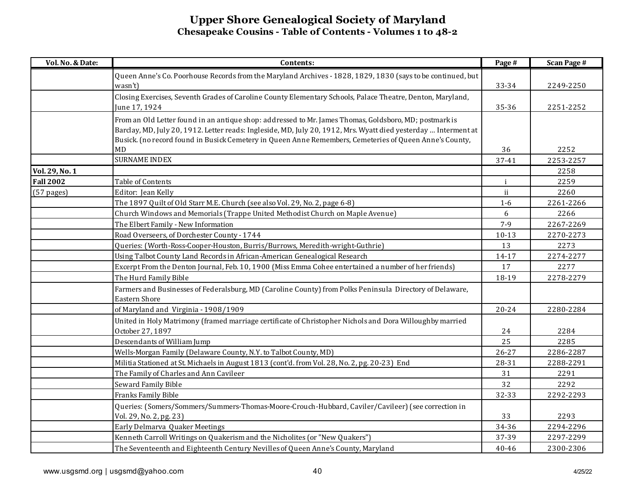| Vol. No. & Date: | Contents:                                                                                                                 | Page #       | <b>Scan Page #</b> |
|------------------|---------------------------------------------------------------------------------------------------------------------------|--------------|--------------------|
|                  | Queen Anne's Co. Poorhouse Records from the Maryland Archives - 1828, 1829, 1830 (says to be continued, but               |              |                    |
|                  | wasn't)                                                                                                                   | 33-34        | 2249-2250          |
|                  | Closing Exercises, Seventh Grades of Caroline County Elementary Schools, Palace Theatre, Denton, Maryland,                |              |                    |
|                  | June 17, 1924                                                                                                             | 35-36        | 2251-2252          |
|                  | From an Old Letter found in an antique shop: addressed to Mr. James Thomas, Goldsboro, MD; postmark is                    |              |                    |
|                  | Barclay, MD, July 20, 1912. Letter reads: Ingleside, MD, July 20, 1912, Mrs. Wyatt died yesterday  Interment at           |              |                    |
|                  | Busick. (no record found in Busick Cemetery in Queen Anne Remembers, Cemeteries of Queen Anne's County,                   |              |                    |
|                  | <b>MD</b>                                                                                                                 | 36           | 2252               |
|                  | <b>SURNAME INDEX</b>                                                                                                      | 37-41        | 2253-2257          |
| Vol. 29, No. 1   |                                                                                                                           |              | 2258               |
| <b>Fall 2002</b> | Table of Contents                                                                                                         | $\mathbf{i}$ | 2259               |
| $(57$ pages)     | Editor: Jean Kelly                                                                                                        | ii           | 2260               |
|                  | The 1897 Quilt of Old Starr M.E. Church (see also Vol. 29, No. 2, page 6-8)                                               | $1-6$        | 2261-2266          |
|                  | Church Windows and Memorials (Trappe United Methodist Church on Maple Avenue)                                             | 6            | 2266               |
|                  | The Elbert Family - New Information                                                                                       | $7 - 9$      | 2267-2269          |
|                  | Road Overseers, of Dorchester County - 1744                                                                               | $10 - 13$    | 2270-2273          |
|                  | Queries: (Worth-Ross-Cooper-Houston, Burris/Burrows, Meredith-wright-Guthrie)                                             | 13           | 2273               |
|                  | Using Talbot County Land Records in African-American Genealogical Research                                                | $14 - 17$    | 2274-2277          |
|                  | Excerpt From the Denton Journal, Feb. 10, 1900 (Miss Emma Cohee entertained a number of her friends)                      | 17           | 2277               |
|                  | The Hurd Family Bible                                                                                                     | 18-19        | 2278-2279          |
|                  | Farmers and Businesses of Federalsburg, MD (Caroline County) from Polks Peninsula Directory of Delaware,<br>Eastern Shore |              |                    |
|                  | of Maryland and Virginia - 1908/1909                                                                                      | $20 - 24$    | 2280-2284          |
|                  | United in Holy Matrimony (framed marriage certificate of Christopher Nichols and Dora Willoughby married                  |              |                    |
|                  | October 27, 1897                                                                                                          | 24           | 2284               |
|                  | Descendants of William Jump                                                                                               | 25           | 2285               |
|                  | Wells-Morgan Family (Delaware County, N.Y. to Talbot County, MD)                                                          | $26 - 27$    | 2286-2287          |
|                  | Militia Stationed at St. Michaels in August 1813 (cont'd. from Vol. 28, No. 2, pg. 20-23) End                             | 28-31        | 2288-2291          |
|                  | The Family of Charles and Ann Cavileer                                                                                    | 31           | 2291               |
|                  | Seward Family Bible                                                                                                       | 32           | 2292               |
|                  | Franks Family Bible                                                                                                       | 32-33        | 2292-2293          |
|                  | Queries: (Somers/Sommers/Summers-Thomas-Moore-Crouch-Hubbard, Caviler/Cavileer) (see correction in                        |              |                    |
|                  | Vol. 29, No. 2, pg. 23)                                                                                                   | 33           | 2293               |
|                  | Early Delmarva Quaker Meetings                                                                                            | 34-36        | 2294-2296          |
|                  | Kenneth Carroll Writings on Quakerism and the Nicholites (or "New Quakers")                                               | 37-39        | 2297-2299          |
|                  | The Seventeenth and Eighteenth Century Nevilles of Queen Anne's County, Maryland                                          | 40-46        | 2300-2306          |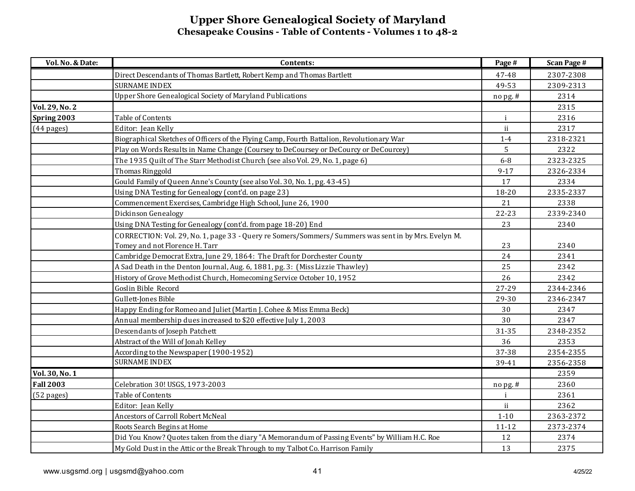| Vol. No. & Date:      | Contents:                                                                                            | Page #       | <b>Scan Page #</b> |
|-----------------------|------------------------------------------------------------------------------------------------------|--------------|--------------------|
|                       | Direct Descendants of Thomas Bartlett, Robert Kemp and Thomas Bartlett                               | 47-48        | 2307-2308          |
|                       | <b>SURNAME INDEX</b>                                                                                 | 49-53        | 2309-2313          |
|                       | Upper Shore Genealogical Society of Maryland Publications                                            | no pg. #     | 2314               |
| <b>Vol. 29, No. 2</b> |                                                                                                      |              | 2315               |
| Spring 2003           | Table of Contents                                                                                    | $\mathbf{i}$ | 2316               |
| $(44 \text{ pages})$  | Editor: Jean Kelly                                                                                   | ii           | 2317               |
|                       | Biographical Sketches of Officers of the Flying Camp, Fourth Battalion, Revolutionary War            | $1-4$        | 2318-2321          |
|                       | Play on Words Results in Name Change (Coursey to DeCoursey or DeCourcy or DeCourcey)                 | 5            | 2322               |
|                       | The 1935 Quilt of The Starr Methodist Church (see also Vol. 29, No. 1, page 6)                       | $6-8$        | 2323-2325          |
|                       | Thomas Ringgold                                                                                      | $9 - 17$     | 2326-2334          |
|                       | Gould Family of Queen Anne's County (see also Vol. 30, No. 1, pg. 43-45)                             | 17           | 2334               |
|                       | Using DNA Testing for Genealogy (cont'd. on page 23)                                                 | 18-20        | 2335-2337          |
|                       | Commencement Exercises, Cambridge High School, June 26, 1900                                         | 21           | 2338               |
|                       | Dickinson Genealogy                                                                                  | $22 - 23$    | 2339-2340          |
|                       | Using DNA Testing for Genealogy (cont'd. from page 18-20) End                                        | 23           | 2340               |
|                       | CORRECTION: Vol. 29, No. 1, page 33 - Query re Somers/Sommers/ Summers was sent in by Mrs. Evelyn M. |              |                    |
|                       | Tomey and not Florence H. Tarr                                                                       | 23           | 2340               |
|                       | Cambridge Democrat Extra, June 29, 1864: The Draft for Dorchester County                             | 24           | 2341               |
|                       | A Sad Death in the Denton Journal, Aug. 6, 1881, pg. 3: (Miss Lizzie Thawley)                        | 25           | 2342               |
|                       | History of Grove Methodist Church, Homecoming Service October 10, 1952                               | 26           | 2342               |
|                       | Goslin Bible Record                                                                                  | 27-29        | 2344-2346          |
|                       | Gullett-Jones Bible                                                                                  | 29-30        | 2346-2347          |
|                       | Happy Ending for Romeo and Juliet (Martin J. Cohee & Miss Emma Beck)                                 | 30           | 2347               |
|                       | Annual membership dues increased to \$20 effective July 1, 2003                                      | 30           | 2347               |
|                       | Descendants of Joseph Patchett                                                                       | 31-35        | 2348-2352          |
|                       | Abstract of the Will of Jonah Kelley                                                                 | 36           | 2353               |
|                       | According to the Newspaper (1900-1952)                                                               | 37-38        | 2354-2355          |
|                       | <b>SURNAME INDEX</b>                                                                                 | 39-41        | 2356-2358          |
| Vol. 30, No. 1        |                                                                                                      |              | 2359               |
| <b>Fall 2003</b>      | Celebration 30! USGS, 1973-2003                                                                      | nopg.#       | 2360               |
| (52 pages)            | Table of Contents                                                                                    | $\mathbf{i}$ | 2361               |
|                       | Editor: Jean Kelly                                                                                   | ii           | 2362               |
|                       | Ancestors of Carroll Robert McNeal                                                                   | $1 - 10$     | 2363-2372          |
|                       | Roots Search Begins at Home                                                                          | $11 - 12$    | 2373-2374          |
|                       | Did You Know? Quotes taken from the diary "A Memorandum of Passing Events" by William H.C. Roe       | 12           | 2374               |
|                       | My Gold Dust in the Attic or the Break Through to my Talbot Co. Harrison Family                      | 13           | 2375               |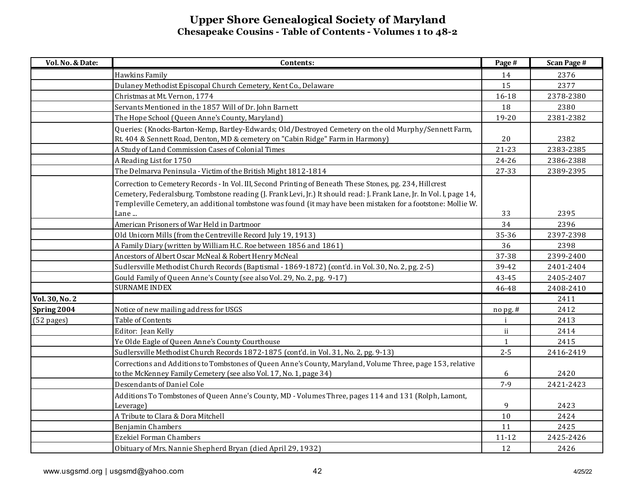| Vol. No. & Date:     | Contents:                                                                                                                                                                                                                                                                                                                                           | Page #       | <b>Scan Page #</b> |
|----------------------|-----------------------------------------------------------------------------------------------------------------------------------------------------------------------------------------------------------------------------------------------------------------------------------------------------------------------------------------------------|--------------|--------------------|
|                      | Hawkins Family                                                                                                                                                                                                                                                                                                                                      | 14           | 2376               |
|                      | Dulaney Methodist Episcopal Church Cemetery, Kent Co., Delaware                                                                                                                                                                                                                                                                                     | 15           | 2377               |
|                      | Christmas at Mt. Vernon, 1774                                                                                                                                                                                                                                                                                                                       | 16-18        | 2378-2380          |
|                      | Servants Mentioned in the 1857 Will of Dr. John Barnett                                                                                                                                                                                                                                                                                             | 18           | 2380               |
|                      | The Hope School (Queen Anne's County, Maryland)                                                                                                                                                                                                                                                                                                     | 19-20        | 2381-2382          |
|                      | Queries: (Knocks-Barton-Kemp, Bartley-Edwards; Old/Destroyed Cemetery on the old Murphy/Sennett Farm,                                                                                                                                                                                                                                               |              |                    |
|                      | Rt. 404 & Sennett Road, Denton, MD & cemetery on "Cabin Ridge" Farm in Harmony)                                                                                                                                                                                                                                                                     | 20           | 2382               |
|                      | A Study of Land Commission Cases of Colonial Times                                                                                                                                                                                                                                                                                                  | $21 - 23$    | 2383-2385          |
|                      | A Reading List for 1750                                                                                                                                                                                                                                                                                                                             | 24-26        | 2386-2388          |
|                      | The Delmarva Peninsula - Victim of the British Might 1812-1814                                                                                                                                                                                                                                                                                      | 27-33        | 2389-2395          |
|                      | Correction to Cemetery Records - In Vol. III, Second Printing of Beneath These Stones, pg. 234, Hillcrest<br>Cemetery, Federalsburg. Tombstone reading (J. Frank Levi, Jr.) It should read: J. Frank Lane, Jr. In Vol. I, page 14,<br>Templeville Cemetery, an additional tombstone was found (it may have been mistaken for a footstone: Mollie W. |              |                    |
|                      | Lane                                                                                                                                                                                                                                                                                                                                                | 33           | 2395               |
|                      | American Prisoners of War Held in Dartmoor                                                                                                                                                                                                                                                                                                          | 34           | 2396               |
|                      | Old Unicorn Mills (from the Centreville Record July 19, 1913)                                                                                                                                                                                                                                                                                       | 35-36        | 2397-2398          |
|                      | A Family Diary (written by William H.C. Roe between 1856 and 1861)                                                                                                                                                                                                                                                                                  | 36           | 2398               |
|                      | Ancestors of Albert Oscar McNeal & Robert Henry McNeal                                                                                                                                                                                                                                                                                              | 37-38        | 2399-2400          |
|                      | Sudlersville Methodist Church Records (Baptismal - 1869-1872) (cont'd. in Vol. 30, No. 2, pg. 2-5)                                                                                                                                                                                                                                                  | 39-42        | 2401-2404          |
|                      | Gould Family of Queen Anne's County (see also Vol. 29, No. 2, pg. 9-17)                                                                                                                                                                                                                                                                             | 43-45        | 2405-2407          |
|                      | <b>SURNAME INDEX</b>                                                                                                                                                                                                                                                                                                                                | 46-48        | 2408-2410          |
| Vol. 30, No. 2       |                                                                                                                                                                                                                                                                                                                                                     |              | 2411               |
| Spring 2004          | Notice of new mailing address for USGS                                                                                                                                                                                                                                                                                                              | $n$ o pg. #  | 2412               |
| $(52 \text{ pages})$ | Table of Contents                                                                                                                                                                                                                                                                                                                                   | j            | 2413               |
|                      | Editor: Jean Kelly                                                                                                                                                                                                                                                                                                                                  | ii           | 2414               |
|                      | Ye Olde Eagle of Queen Anne's County Courthouse                                                                                                                                                                                                                                                                                                     | $\mathbf{1}$ | 2415               |
|                      | Sudlersville Methodist Church Records 1872-1875 (cont'd. in Vol. 31, No. 2, pg. 9-13)                                                                                                                                                                                                                                                               | $2 - 5$      | 2416-2419          |
|                      | Corrections and Additions to Tombstones of Queen Anne's County, Maryland, Volume Three, page 153, relative<br>to the McKenney Family Cemetery (see also Vol. 17, No. 1, page 34)                                                                                                                                                                    | 6            | 2420               |
|                      | Descendants of Daniel Cole                                                                                                                                                                                                                                                                                                                          | $7 - 9$      | 2421-2423          |
|                      | Additions To Tombstones of Queen Anne's County, MD - Volumes Three, pages 114 and 131 (Rolph, Lamont,<br>Leverage)                                                                                                                                                                                                                                  | 9            | 2423               |
|                      | A Tribute to Clara & Dora Mitchell                                                                                                                                                                                                                                                                                                                  | 10           | 2424               |
|                      | Benjamin Chambers                                                                                                                                                                                                                                                                                                                                   | 11           | 2425               |
|                      | <b>Ezekiel Forman Chambers</b>                                                                                                                                                                                                                                                                                                                      | $11 - 12$    | 2425-2426          |
|                      | Obituary of Mrs. Nannie Shepherd Bryan (died April 29, 1932)                                                                                                                                                                                                                                                                                        | 12           | 2426               |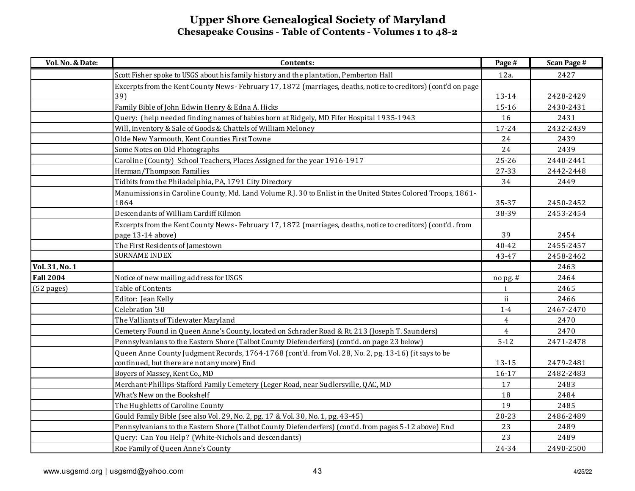| Vol. No. & Date: | Contents:                                                                                                       | Page #         | <b>Scan Page #</b> |
|------------------|-----------------------------------------------------------------------------------------------------------------|----------------|--------------------|
|                  | Scott Fisher spoke to USGS about his family history and the plantation, Pemberton Hall                          | 12a.           | 2427               |
|                  | Excerpts from the Kent County News - February 17, 1872 (marriages, deaths, notice to creditors) (cont'd on page |                |                    |
|                  | 39)                                                                                                             | 13-14          | 2428-2429          |
|                  | Family Bible of John Edwin Henry & Edna A. Hicks                                                                | 15-16          | 2430-2431          |
|                  | Query: (help needed finding names of babies born at Ridgely, MD Fifer Hospital 1935-1943                        | 16             | 2431               |
|                  | Will, Inventory & Sale of Goods & Chattels of William Meloney                                                   | 17-24          | 2432-2439          |
|                  | Olde New Yarmouth, Kent Counties First Towne                                                                    | 24             | 2439               |
|                  | Some Notes on Old Photographs                                                                                   | 24             | 2439               |
|                  | Caroline (County) School Teachers, Places Assigned for the year 1916-1917                                       | 25-26          | 2440-2441          |
|                  | Herman/Thompson Families                                                                                        | 27-33          | 2442-2448          |
|                  | Tidbits from the Philadelphia, PA, 1791 City Directory                                                          | 34             | 2449               |
|                  | Manumissions in Caroline County, Md. Land Volume R.J. 30 to Enlist in the United States Colored Troops, 1861-   |                |                    |
|                  | 1864                                                                                                            | 35-37          | 2450-2452          |
|                  | Descendants of William Cardiff Kilmon                                                                           | 38-39          | 2453-2454          |
|                  | Excerpts from the Kent County News - February 17, 1872 (marriages, deaths, notice to creditors) (cont'd. from   |                |                    |
|                  | page 13-14 above)                                                                                               | 39             | 2454               |
|                  | The First Residents of Jamestown                                                                                | $40 - 42$      | 2455-2457          |
|                  | <b>SURNAME INDEX</b>                                                                                            | 43-47          | 2458-2462          |
| Vol. 31, No. 1   |                                                                                                                 |                | 2463               |
| <b>Fall 2004</b> | Notice of new mailing address for USGS                                                                          | nopg.#         | 2464               |
| (52 pages)       | Table of Contents                                                                                               | i              | 2465               |
|                  | Editor: Jean Kelly                                                                                              | ii.            | 2466               |
|                  | Celebration '30                                                                                                 | $1-4$          | 2467-2470          |
|                  | The Valliants of Tidewater Maryland                                                                             | $\overline{4}$ | 2470               |
|                  | Cemetery Found in Queen Anne's County, located on Schrader Road & Rt. 213 (Joseph T. Saunders)                  | $\overline{4}$ | 2470               |
|                  | Pennsylvanians to the Eastern Shore (Talbot County Diefenderfers) (cont'd. on page 23 below)                    | $5 - 12$       | 2471-2478          |
|                  | Queen Anne County Judgment Records, 1764-1768 (cont'd. from Vol. 28, No. 2, pg. 13-16) (it says to be           |                |                    |
|                  | continued, but there are not any more) End                                                                      | 13-15          | 2479-2481          |
|                  | Boyers of Massey, Kent Co., MD                                                                                  | $16 - 17$      | 2482-2483          |
|                  | Merchant-Phillips-Stafford Family Cemetery (Leger Road, near Sudlersville, QAC, MD                              | 17             | 2483               |
|                  | What's New on the Bookshelf                                                                                     | 18             | 2484               |
|                  | The Hughletts of Caroline County                                                                                | 19             | 2485               |
|                  | Gould Family Bible (see also Vol. 29, No. 2, pg. 17 & Vol. 30, No. 1, pg. 43-45)                                | $20 - 23$      | 2486-2489          |
|                  | Pennsylvanians to the Eastern Shore (Talbot County Diefenderfers) (cont'd. from pages 5-12 above) End           | 23             | 2489               |
|                  | Query: Can You Help? (White-Nichols and descendants)                                                            | 23             | 2489               |
|                  | Roe Family of Queen Anne's County                                                                               | 24-34          | 2490-2500          |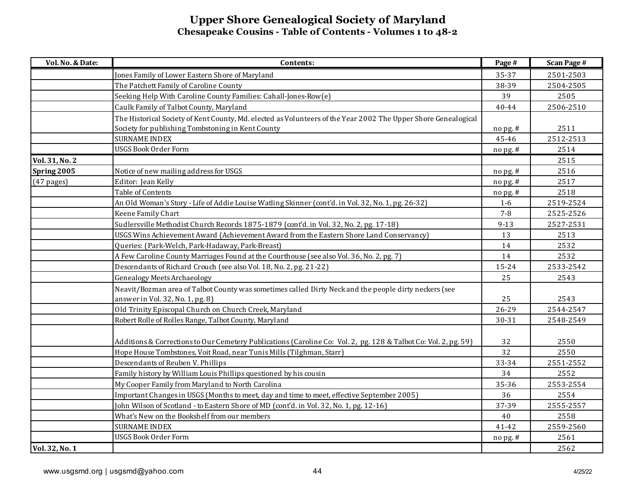| Vol. No. & Date: | Contents:                                                                                                       | Page #    | <b>Scan Page #</b> |
|------------------|-----------------------------------------------------------------------------------------------------------------|-----------|--------------------|
|                  | Jones Family of Lower Eastern Shore of Maryland                                                                 | 35-37     | 2501-2503          |
|                  | The Patchett Family of Caroline County                                                                          | 38-39     | 2504-2505          |
|                  | Seeking Help With Caroline County Families: Cahall-Jones-Row(e)                                                 | 39        | 2505               |
|                  | Caulk Family of Talbot County, Maryland                                                                         | $40 - 44$ | 2506-2510          |
|                  | The Historical Society of Kent County, Md. elected as Volunteers of the Year 2002 The Upper Shore Genealogical  |           |                    |
|                  | Society for publishing Tombstoning in Kent County                                                               | nopg.#    | 2511               |
|                  | <b>SURNAME INDEX</b>                                                                                            | 45-46     | 2512-2513          |
|                  | <b>USGS Book Order Form</b>                                                                                     | nopg.#    | 2514               |
| Vol. 31, No. 2   |                                                                                                                 |           | 2515               |
| Spring 2005      | Notice of new mailing address for USGS                                                                          | $nopg.$ # | 2516               |
| $(47$ pages)     | Editor: Jean Kelly                                                                                              | nopg.#    | 2517               |
|                  | Table of Contents                                                                                               | $n$ opg.# | 2518               |
|                  | An Old Woman's Story - Life of Addie Louise Watling Skinner (cont'd. in Vol. 32, No. 1, pg. 26-32)              | $1-6$     | 2519-2524          |
|                  | Keene Family Chart                                                                                              | $7 - 8$   | 2525-2526          |
|                  | Sudlersville Methodist Church Records 1875-1879 (cont'd. in Vol. 32, No. 2, pg. 17-18)                          | $9 - 13$  | 2527-2531          |
|                  | USGS Wins Achievement Award (Achievement Award from the Eastern Shore Land Conservancy)                         | 13        | 2513               |
|                  | Queries: (Park-Welch, Park-Hadaway, Park-Breast)                                                                | 14        | 2532               |
|                  | A Few Caroline County Marriages Found at the Courthouse (see also Vol. 36, No. 2, pg. 7)                        | 14        | 2532               |
|                  | Descendants of Richard Crouch (see also Vol. 18, No. 2, pg. 21-22)                                              | 15-24     | 2533-2542          |
|                  | <b>Genealogy Meets Archaeology</b>                                                                              | 25        | 2543               |
|                  | Neavit/Bozman area of Talbot County was sometimes called Dirty Neck and the people dirty neckers (see           | 25        | 2543               |
|                  | answer in Vol. 32, No. 1, pg. 8)<br>Old Trinity Episcopal Church on Church Creek, Maryland                      | 26-29     | 2544-2547          |
|                  |                                                                                                                 | 30-31     | 2548-2549          |
|                  | Robert Rolle of Rolles Range, Talbot County, Maryland                                                           |           |                    |
|                  | Additions & Corrections to Our Cemetery Publications (Caroline Co: Vol. 2, pg. 128 & Talbot Co: Vol. 2, pg. 59) | 32        | 2550               |
|                  | Hope House Tombstones, Voit Road, near Tunis Mills (Tilghman, Starr)                                            | 32        | 2550               |
|                  | Descendants of Reuben V. Phillips                                                                               | 33-34     | 2551-2552          |
|                  | Family history by William Louis Phillips questioned by his cousin                                               | 34        | 2552               |
|                  | My Cooper Family from Maryland to North Carolina                                                                | 35-36     | 2553-2554          |
|                  | Important Changes in USGS (Months to meet, day and time to meet, effective September 2005)                      | 36        | 2554               |
|                  | John Wilson of Scotland - to Eastern Shore of MD (cont'd. in Vol. 32, No. 1, pg. 12-16)                         | 37-39     | 2555-2557          |
|                  | What's New on the Bookshelf from our members                                                                    | 40        | 2558               |
|                  | <b>SURNAME INDEX</b>                                                                                            | 41-42     | 2559-2560          |
|                  | <b>USGS Book Order Form</b>                                                                                     | nopg.#    | 2561               |
| Vol. 32, No. 1   |                                                                                                                 |           | 2562               |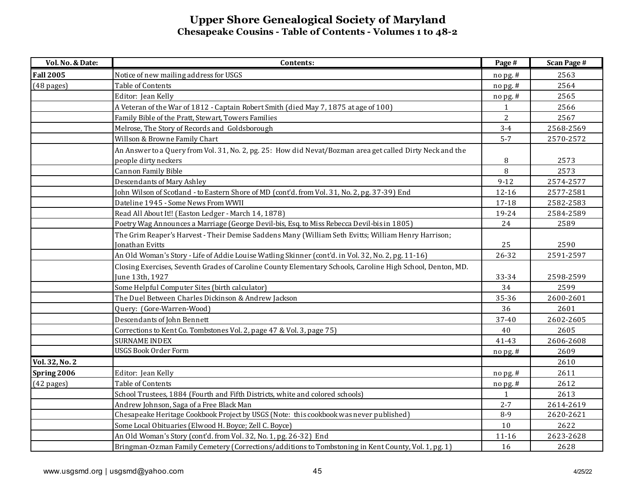| Vol. No. & Date:     | Contents:                                                                                                  | Page #       | <b>Scan Page #</b> |
|----------------------|------------------------------------------------------------------------------------------------------------|--------------|--------------------|
| <b>Fall 2005</b>     | Notice of new mailing address for USGS                                                                     | no pg. #     | 2563               |
| $(48 \text{ pages})$ | Table of Contents                                                                                          | no pg. #     | 2564               |
|                      | Editor: Jean Kelly                                                                                         | nopg.#       | 2565               |
|                      | A Veteran of the War of 1812 - Captain Robert Smith (died May 7, 1875 at age of 100)                       | $\mathbf{1}$ | 2566               |
|                      | Family Bible of the Pratt, Stewart, Towers Families                                                        | 2            | 2567               |
|                      | Melrose, The Story of Records and Goldsborough                                                             | $3 - 4$      | 2568-2569          |
|                      | Willson & Browne Family Chart                                                                              | $5 - 7$      | 2570-2572          |
|                      | An Answer to a Query from Vol. 31, No. 2, pg. 25: How did Nevat/Bozman area get called Dirty Neck and the  |              |                    |
|                      | people dirty neckers                                                                                       | 8            | 2573               |
|                      | Cannon Family Bible                                                                                        | 8            | 2573               |
|                      | Descendants of Mary Ashley                                                                                 | $9-12$       | 2574-2577          |
|                      | John Wilson of Scotland - to Eastern Shore of MD (cont'd. from Vol. 31, No. 2, pg. 37-39) End              | 12-16        | 2577-2581          |
|                      | Dateline 1945 - Some News From WWII                                                                        | 17-18        | 2582-2583          |
|                      | Read All About It!! (Easton Ledger - March 14, 1878)                                                       | 19-24        | 2584-2589          |
|                      | Poetry Wag Announces a Marriage (George Devil-bis, Esq. to Miss Rebecca Devil-bis in 1805)                 | 24           | 2589               |
|                      | The Grim Reaper's Harvest - Their Demise Saddens Many (William Seth Evitts; William Henry Harrison;        |              |                    |
|                      | Jonathan Evitts                                                                                            | 25           | 2590               |
|                      | An Old Woman's Story - Life of Addie Louise Watling Skinner (cont'd. in Vol. 32, No. 2, pg. 11-16)         | 26-32        | 2591-2597          |
|                      | Closing Exercises, Seventh Grades of Caroline County Elementary Schools, Caroline High School, Denton, MD. |              |                    |
|                      | June 13th, 1927                                                                                            | 33-34        | 2598-2599          |
|                      | Some Helpful Computer Sites (birth calculator)                                                             | 34           | 2599               |
|                      | The Duel Between Charles Dickinson & Andrew Jackson                                                        | 35-36        | 2600-2601          |
|                      | Query: (Gore-Warren-Wood)                                                                                  | 36           | 2601               |
|                      | Descendants of John Bennett                                                                                | 37-40        | 2602-2605          |
|                      | Corrections to Kent Co. Tombstones Vol. 2, page 47 & Vol. 3, page 75)                                      | 40           | 2605               |
|                      | <b>SURNAME INDEX</b>                                                                                       | 41-43        | 2606-2608          |
|                      | <b>USGS Book Order Form</b>                                                                                | $no$ pg. $#$ | 2609               |
| Vol. 32, No. 2       |                                                                                                            |              | 2610               |
| Spring 2006          | Editor: Jean Kelly                                                                                         | nopg.#       | 2611               |
| $(42$ pages)         | Table of Contents                                                                                          | nopg.#       | 2612               |
|                      | School Trustees, 1884 (Fourth and Fifth Districts, white and colored schools)                              | $\mathbf{1}$ | 2613               |
|                      | Andrew Johnson, Saga of a Free Black Man                                                                   | $2 - 7$      | 2614-2619          |
|                      | Chesapeake Heritage Cookbook Project by USGS (Note: this cookbook was never published)                     | $8-9$        | 2620-2621          |
|                      | Some Local Obituaries (Elwood H. Boyce; Zell C. Boyce)                                                     | 10           | 2622               |
|                      | An Old Woman's Story (cont'd. from Vol. 32, No. 1, pg. 26-32) End                                          | 11-16        | 2623-2628          |
|                      | Bringman-Ozman Family Cemetery (Corrections/additions to Tombstoning in Kent County, Vol. 1, pg. 1)        | 16           | 2628               |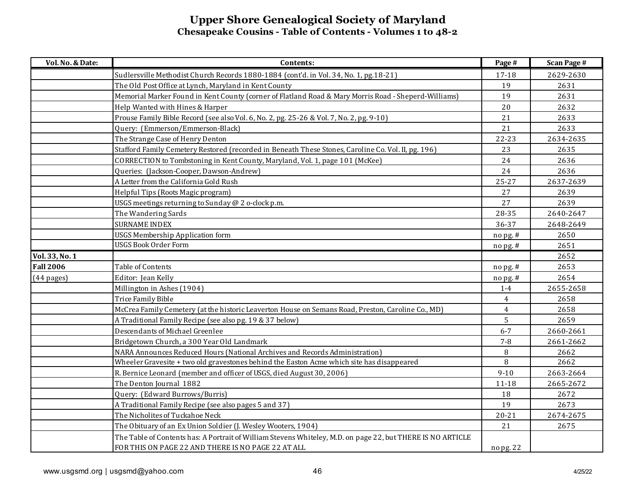| Vol. No. & Date:     | Contents:                                                                                                   | Page #                              | <b>Scan Page #</b> |
|----------------------|-------------------------------------------------------------------------------------------------------------|-------------------------------------|--------------------|
|                      | Sudlersville Methodist Church Records 1880-1884 (cont'd. in Vol. 34, No. 1, pg.18-21)                       | 17-18                               | 2629-2630          |
|                      | The Old Post Office at Lynch, Maryland in Kent County                                                       | 19                                  | 2631               |
|                      | Memorial Marker Found in Kent County (corner of Flatland Road & Mary Morris Road - Sheperd-Williams)        | 19                                  | 2631               |
|                      | Help Wanted with Hines & Harper                                                                             | 20                                  | 2632               |
|                      | Prouse Family Bible Record (see also Vol. 6, No. 2, pg. 25-26 & Vol. 7, No. 2, pg. 9-10)                    | 21                                  | 2633               |
|                      | Query: (Emmerson/Emmerson-Black)                                                                            | 21                                  | 2633               |
|                      | The Strange Case of Henry Denton                                                                            | 22-23                               | 2634-2635          |
|                      | Stafford Family Cemetery Restored (recorded in Beneath These Stones, Caroline Co. Vol. II, pg. 196)         | 23                                  | 2635               |
|                      | CORRECTION to Tombstoning in Kent County, Maryland, Vol. 1, page 101 (McKee)                                | 24                                  | 2636               |
|                      | Queries: (Jackson-Cooper, Dawson-Andrew)                                                                    | 24                                  | 2636               |
|                      | A Letter from the California Gold Rush                                                                      | $25 - 27$                           | 2637-2639          |
|                      | Helpful Tips (Roots Magic program)                                                                          | 27                                  | 2639               |
|                      | USGS meetings returning to Sunday @ 2 o-clock p.m.                                                          | 27                                  | 2639               |
|                      | The Wandering Sards                                                                                         | 28-35                               | 2640-2647          |
|                      | <b>SURNAME INDEX</b>                                                                                        | 36-37                               | 2648-2649          |
|                      | <b>USGS Membership Application form</b>                                                                     | no pg. #                            | 2650               |
|                      | <b>USGS Book Order Form</b>                                                                                 | $no$ pg. #                          | 2651               |
| Vol. 33, No. 1       |                                                                                                             |                                     | 2652               |
| <b>Fall 2006</b>     | Table of Contents                                                                                           | no pg. #                            | 2653               |
| $(44 \text{ pages})$ | Editor: Jean Kelly                                                                                          | $\frac{\text{no} \, \text{pg.}}{n}$ | 2654               |
|                      | Millington in Ashes (1904)                                                                                  | $1 - 4$                             | 2655-2658          |
|                      | Trice Family Bible                                                                                          | $\overline{4}$                      | 2658               |
|                      | McCrea Family Cemetery (at the historic Leaverton House on Semans Road, Preston, Caroline Co., MD)          | $\overline{4}$                      | 2658               |
|                      | A Traditional Family Recipe (see also pg. 19 & 37 below)                                                    | 5                                   | 2659               |
|                      | Descendants of Michael Greenlee                                                                             | $6 - 7$                             | 2660-2661          |
|                      | Bridgetown Church, a 300 Year Old Landmark                                                                  | $7 - 8$                             | 2661-2662          |
|                      | NARA Announces Reduced Hours (National Archives and Records Administration)                                 | 8                                   | 2662               |
|                      | Wheeler Gravesite + two old gravestones behind the Easton Acme which site has disappeared                   | 8                                   | 2662               |
|                      | R. Bernice Leonard (member and officer of USGS, died August 30, 2006)                                       | $9 - 10$                            | 2663-2664          |
|                      | The Denton Journal 1882                                                                                     | $11 - 18$                           | 2665-2672          |
|                      | Query: (Edward Burrows/Burris)                                                                              | 18                                  | 2672               |
|                      | A Traditional Family Recipe (see also pages 5 and 37)                                                       | 19                                  | 2673               |
|                      | The Nicholites of Tuckahoe Neck                                                                             | $20 - 21$                           | 2674-2675          |
|                      | The Obituary of an Ex Union Soldier (J. Wesley Wooters, 1904)                                               | 21                                  | 2675               |
|                      | The Table of Contents has: A Portrait of William Stevens Whiteley, M.D. on page 22, but THERE IS NO ARTICLE |                                     |                    |
|                      | FOR THIS ON PAGE 22 AND THERE IS NO PAGE 22 AT ALL                                                          | no pg. 22                           |                    |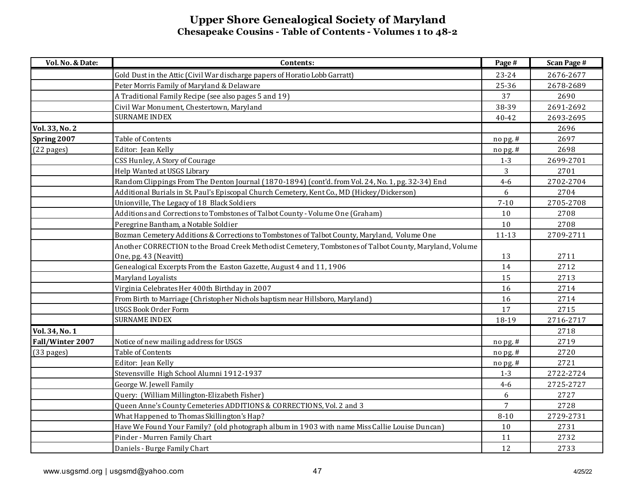| Vol. No. & Date: | Contents:                                                                                               | Page #         | <b>Scan Page #</b> |
|------------------|---------------------------------------------------------------------------------------------------------|----------------|--------------------|
|                  | Gold Dust in the Attic (Civil War discharge papers of Horatio Lobb Garratt)                             | $23 - 24$      | 2676-2677          |
|                  | Peter Morris Family of Maryland & Delaware                                                              | 25-36          | 2678-2689          |
|                  | A Traditional Family Recipe (see also pages 5 and 19)                                                   | 37             | 2690               |
|                  | Civil War Monument, Chestertown, Maryland                                                               | 38-39          | 2691-2692          |
|                  | <b>SURNAME INDEX</b>                                                                                    | $40 - 42$      | 2693-2695          |
| Vol. 33, No. 2   |                                                                                                         |                | 2696               |
| Spring 2007      | Table of Contents                                                                                       | no pg. #       | 2697               |
| $(22$ pages)     | Editor: Jean Kelly                                                                                      | no pg. #       | 2698               |
|                  | CSS Hunley, A Story of Courage                                                                          | $1 - 3$        | 2699-2701          |
|                  | Help Wanted at USGS Library                                                                             | 3              | 2701               |
|                  | Random Clippings From The Denton Journal (1870-1894) (cont'd. from Vol. 24, No. 1, pg. 32-34) End       | $4 - 6$        | 2702-2704          |
|                  | Additional Burials in St. Paul's Episcopal Church Cemetery, Kent Co., MD (Hickey/Dickerson)             | 6              | 2704               |
|                  | Unionville, The Legacy of 18 Black Soldiers                                                             | $7 - 10$       | 2705-2708          |
|                  | Additions and Corrections to Tombstones of Talbot County - Volume One (Graham)                          | 10             | 2708               |
|                  | Peregrine Bantham, a Notable Soldier                                                                    | $10$           | 2708               |
|                  | Bozman Cemetery Additions & Corrections to Tombstones of Talbot County, Maryland, Volume One            | $11 - 13$      | 2709-2711          |
|                  | Another CORRECTION to the Broad Creek Methodist Cemetery, Tombstones of Talbot County, Maryland, Volume |                |                    |
|                  | One, pg. 43 (Neavitt)                                                                                   | 13             | 2711               |
|                  | Genealogical Excerpts From the Easton Gazette, August 4 and 11, 1906                                    | 14             | 2712               |
|                  | Maryland Loyalists                                                                                      | 15             | 2713               |
|                  | Virginia Celebrates Her 400th Birthday in 2007                                                          | 16             | 2714               |
|                  | From Birth to Marriage (Christopher Nichols baptism near Hillsboro, Maryland)                           | 16             | 2714               |
|                  | <b>USGS Book Order Form</b>                                                                             | 17             | 2715               |
|                  | <b>SURNAME INDEX</b>                                                                                    | 18-19          | 2716-2717          |
| Vol. 34, No. 1   |                                                                                                         |                | 2718               |
| Fall/Winter 2007 | Notice of new mailing address for USGS                                                                  | nopg.#         | 2719               |
| (33 pages)       | Table of Contents                                                                                       | no pg. #       | 2720               |
|                  | Editor: Jean Kelly                                                                                      | $no$ pg. #     | 2721               |
|                  | Stevensville High School Alumni 1912-1937                                                               | $1 - 3$        | 2722-2724          |
|                  | George W. Jewell Family                                                                                 | $4-6$          | 2725-2727          |
|                  | Query: (William Millington-Elizabeth Fisher)                                                            | 6              | 2727               |
|                  | Queen Anne's County Cemeteries ADDITIONS & CORRECTIONS, Vol. 2 and 3                                    | $\overline{7}$ | 2728               |
|                  | What Happened to Thomas Skillington's Hap?                                                              | $8 - 10$       | 2729-2731          |
|                  | Have We Found Your Family? (old photograph album in 1903 with name Miss Callie Louise Duncan)           | 10             | 2731               |
|                  | Pinder - Murren Family Chart                                                                            | 11             | 2732               |
|                  | Daniels - Burge Family Chart                                                                            | 12             | 2733               |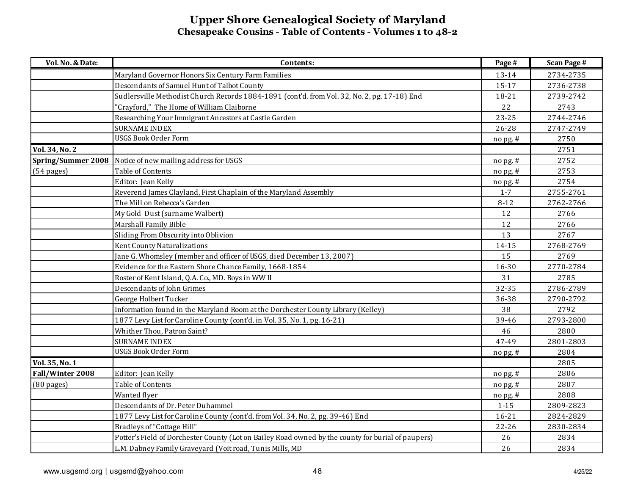| Vol. No. & Date:          | Contents:                                                                                          | Page #     | <b>Scan Page #</b> |
|---------------------------|----------------------------------------------------------------------------------------------------|------------|--------------------|
|                           | Maryland Governor Honors Six Century Farm Families                                                 | 13-14      | 2734-2735          |
|                           | Descendants of Samuel Hunt of Talbot County                                                        | 15-17      | 2736-2738          |
|                           | Sudlersville Methodist Church Records 1884-1891 (cont'd. from Vol. 32, No. 2, pg. 17-18) End       | 18-21      | 2739-2742          |
|                           | 'Crayford," The Home of William Claiborne                                                          | 22         | 2743               |
|                           | Researching Your Immigrant Ancestors at Castle Garden                                              | $23 - 25$  | 2744-2746          |
|                           | <b>SURNAME INDEX</b>                                                                               | 26-28      | 2747-2749          |
|                           | <b>USGS Book Order Form</b>                                                                        | nopg.#     | 2750               |
| Vol. 34, No. 2            |                                                                                                    |            | 2751               |
| <b>Spring/Summer 2008</b> | Notice of new mailing address for USGS                                                             | no pg. #   | 2752               |
| $(54 \text{ pages})$      | Table of Contents                                                                                  | $no$ pg. # | 2753               |
|                           | Editor: Jean Kelly                                                                                 | nopg.#     | 2754               |
|                           | Reverend James Clayland, First Chaplain of the Maryland Assembly                                   | $1 - 7$    | 2755-2761          |
|                           | The Mill on Rebecca's Garden                                                                       | $8 - 12$   | 2762-2766          |
|                           | My Gold Dust (surname Walbert)                                                                     | 12         | 2766               |
|                           | Marshall Family Bible                                                                              | 12         | 2766               |
|                           | Sliding From Obscurity into Oblivion                                                               | 13         | 2767               |
|                           | Kent County Naturalizations                                                                        | 14-15      | 2768-2769          |
|                           | Jane G. Whomsley (member and officer of USGS, died December 13, 2007)                              | 15         | 2769               |
|                           | Evidence for the Eastern Shore Chance Family, 1668-1854                                            | 16-30      | 2770-2784          |
|                           | Roster of Kent Island, Q.A. Co., MD. Boys in WW II                                                 | 31         | 2785               |
|                           | Descendants of John Grimes                                                                         | 32-35      | 2786-2789          |
|                           | George Holbert Tucker                                                                              | 36-38      | 2790-2792          |
|                           | Information found in the Maryland Room at the Dorchester County Library (Kelley)                   | 38         | 2792               |
|                           | 1877 Levy List for Caroline County (cont'd. in Vol. 35, No. 1, pg. 16-21)                          | 39-46      | 2793-2800          |
|                           | Whither Thou, Patron Saint?                                                                        | 46         | 2800               |
|                           | <b>SURNAME INDEX</b>                                                                               | 47-49      | 2801-2803          |
|                           | <b>USGS Book Order Form</b>                                                                        | no pg. #   | 2804               |
| Vol. 35, No. 1            |                                                                                                    |            | 2805               |
| Fall/Winter 2008          | Editor: Jean Kelly                                                                                 | nopg.#     | 2806               |
| $(80$ pages)              | <b>Table of Contents</b>                                                                           | nopg.#     | 2807               |
|                           | Wanted flyer                                                                                       | nopg.#     | 2808               |
|                           | Descendants of Dr. Peter Duhammel                                                                  | $1 - 15$   | 2809-2823          |
|                           | 1877 Levy List for Caroline County (cont'd. from Vol. 34, No. 2, pg. 39-46) End                    | $16 - 21$  | 2824-2829          |
|                           | Bradleys of "Cottage Hill"                                                                         | 22-26      | 2830-2834          |
|                           | Potter's Field of Dorchester County (Lot on Bailey Road owned by the county for burial of paupers) | 26         | 2834               |
|                           | L.M. Dabney Family Graveyard (Voit road, Tunis Mills, MD                                           | 26         | 2834               |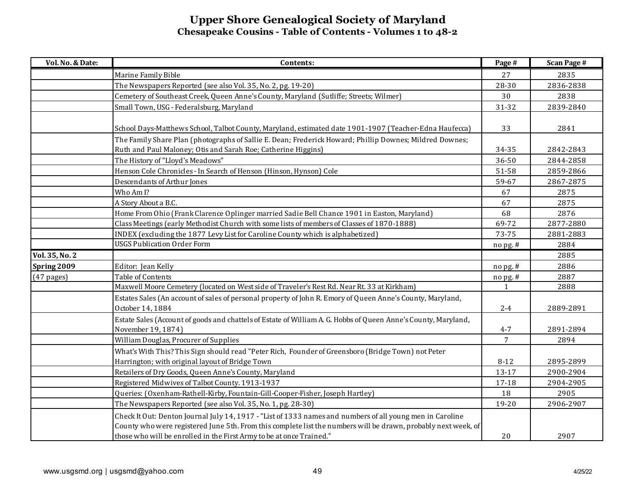| Vol. No. & Date: | Contents:                                                                                                                            | Page #         | <b>Scan Page #</b> |
|------------------|--------------------------------------------------------------------------------------------------------------------------------------|----------------|--------------------|
|                  | Marine Family Bible                                                                                                                  | 27             | 2835               |
|                  | The Newspapers Reported (see also Vol. 35, No. 2, pg. 19-20)                                                                         | 28-30          | 2836-2838          |
|                  | Cemetery of Southeast Creek, Queen Anne's County, Maryland (Sutliffe; Streets; Wilmer)                                               | 30             | 2838               |
|                  | Small Town, USG - Federalsburg, Maryland                                                                                             | 31-32          | 2839-2840          |
|                  |                                                                                                                                      |                |                    |
|                  | School Days-Matthews School, Talbot County, Maryland, estimated date 1901-1907 (Teacher-Edna Haufecca)                               | 33             | 2841               |
|                  | The Family Share Plan (photographs of Sallie E. Dean; Frederick Howard; Phillip Downes; Mildred Downes;                              |                |                    |
|                  | Ruth and Paul Maloney; Otis and Sarah Roe; Catherine Higgins)                                                                        | 34-35          | 2842-2843          |
|                  | The History of "Lloyd's Meadows"                                                                                                     | 36-50          | 2844-2858          |
|                  | Henson Cole Chronicles - In Search of Henson (Hinson, Hynson) Cole                                                                   | 51-58          | 2859-2866          |
|                  | Descendants of Arthur Jones                                                                                                          | 59-67          | 2867-2875          |
|                  | Who Am I?                                                                                                                            | 67             | 2875               |
|                  | A Story About a B.C.                                                                                                                 | 67             | 2875               |
|                  | Home From Ohio (Frank Clarence Oplinger married Sadie Bell Chance 1901 in Easton, Maryland)                                          | 68             | 2876               |
|                  | Class Meetings (early Methodist Church with some lists of members of Classes of 1870-1888)                                           | 69-72          | 2877-2880          |
|                  | INDEX (excluding the 1877 Levy List for Caroline County which is alphabetized)                                                       | 73-75          | 2881-2883          |
|                  | <b>USGS Publication Order Form</b>                                                                                                   | nopg.#         | 2884               |
| Vol. 35, No. 2   |                                                                                                                                      |                | 2885               |
| Spring 2009      | Editor: Jean Kelly                                                                                                                   | nopg.#         | 2886               |
| $(47$ pages)     | Table of Contents                                                                                                                    | nopg.#         | 2887               |
|                  | Maxwell Moore Cemetery (located on West side of Traveler's Rest Rd. Near Rt. 33 at Kirkham)                                          | $\mathbf{1}$   | 2888               |
|                  | Estates Sales (An account of sales of personal property of John R. Emory of Queen Anne's County, Maryland,<br>October 14, 1884       | $2 - 4$        | 2889-2891          |
|                  |                                                                                                                                      |                |                    |
|                  | Estate Sales (Account of goods and chattels of Estate of William A. G. Hobbs of Queen Anne's County, Maryland,<br>November 19, 1874) | $4 - 7$        | 2891-2894          |
|                  | William Douglas, Procurer of Supplies                                                                                                | $\overline{7}$ | 2894               |
|                  | What's With This? This Sign should read "Peter Rich, Founder of Greensboro (Bridge Town) not Peter                                   |                |                    |
|                  | Harrington; with original layout of Bridge Town                                                                                      | $8 - 12$       | 2895-2899          |
|                  | Retailers of Dry Goods, Queen Anne's County, Maryland                                                                                | 13-17          | 2900-2904          |
|                  | Registered Midwives of Talbot County. 1913-1937                                                                                      | 17-18          | 2904-2905          |
|                  | Queries: (Oxenham-Rathell-Kirby, Fountain-Gill-Cooper-Fisher, Joseph Hartley)                                                        | 18             | 2905               |
|                  | The Newspapers Reported (see also Vol. 35, No. 1, pg. 28-30)                                                                         | 19-20          | 2906-2907          |
|                  | Check It Out: Denton Journal July 14, 1917 - "List of 1333 names and numbers of all young men in Caroline                            |                |                    |
|                  | County who were registered June 5th. From this complete list the numbers will be drawn, probably next week, of                       |                |                    |
|                  | those who will be enrolled in the First Army to be at once Trained."                                                                 | 20             | 2907               |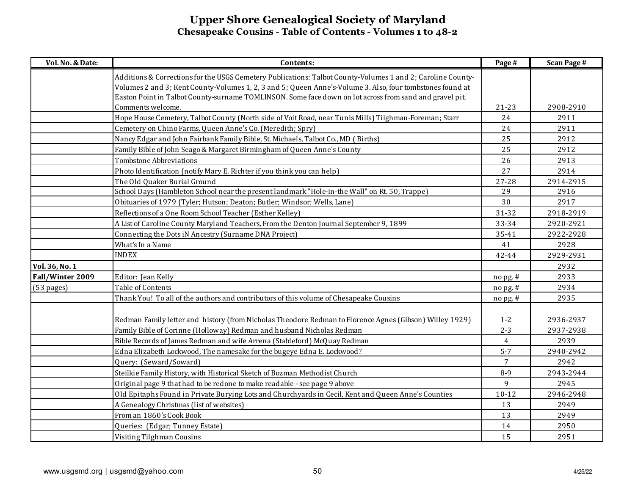| Vol. No. & Date: | Contents:                                                                                                                                                                                                                                                                                                                           | Page #    | <b>Scan Page #</b> |
|------------------|-------------------------------------------------------------------------------------------------------------------------------------------------------------------------------------------------------------------------------------------------------------------------------------------------------------------------------------|-----------|--------------------|
|                  | Additions & Corrections for the USGS Cemetery Publications: Talbot County-Volumes 1 and 2; Caroline County-<br>Volumes 2 and 3; Kent County-Volumes 1, 2, 3 and 5; Queen Anne's-Volume 3. Also, four tombstones found at<br>Easton Point in Talbot County-surname TOMLINSON. Some face down on lot across from sand and gravel pit. |           |                    |
|                  | Comments welcome.                                                                                                                                                                                                                                                                                                                   | $21 - 23$ | 2908-2910          |
|                  | Hope House Cemetery, Talbot County (North side of Voit Road, near Tunis Mills) Tilghman-Foreman; Starr                                                                                                                                                                                                                              | 24        | 2911               |
|                  | Cemetery on Chino Farms, Queen Anne's Co. (Meredith; Spry)                                                                                                                                                                                                                                                                          | 24        | 2911               |
|                  | Nancy Edgar and John Fairbank Family Bible, St. Michaels, Talbot Co., MD ( Births)                                                                                                                                                                                                                                                  | 25        | 2912               |
|                  | Family Bible of John Seago & Margaret Birmingham of Queen Anne's County                                                                                                                                                                                                                                                             | 25        | 2912               |
|                  | <b>Tombstone Abbreviations</b>                                                                                                                                                                                                                                                                                                      | 26        | 2913               |
|                  | Photo Identification (notify Mary E. Richter if you think you can help)                                                                                                                                                                                                                                                             | 27        | 2914               |
|                  | The Old Quaker Burial Ground                                                                                                                                                                                                                                                                                                        | 27-28     | 2914-2915          |
|                  | School Days (Hambleton School near the present landmark "Hole-in-the Wall" on Rt. 50, Trappe)                                                                                                                                                                                                                                       | 29        | 2916               |
|                  | Obituaries of 1979 (Tyler; Hutson; Deaton; Butler; Windsor; Wells, Lane)                                                                                                                                                                                                                                                            | 30        | 2917               |
|                  | Reflections of a One Room School Teacher (Esther Kelley)                                                                                                                                                                                                                                                                            | 31-32     | 2918-2919          |
|                  | A List of Caroline County Maryland Teachers, From the Denton Journal September 9, 1899                                                                                                                                                                                                                                              | 33-34     | 2920-2921          |
|                  | Connecting the Dots iN Ancestry (Surname DNA Project)                                                                                                                                                                                                                                                                               | 35-41     | 2922-2928          |
|                  | What's In a Name                                                                                                                                                                                                                                                                                                                    | 41        | 2928               |
|                  | <b>INDEX</b>                                                                                                                                                                                                                                                                                                                        | 42-44     | 2929-2931          |
| Vol. 36, No. 1   |                                                                                                                                                                                                                                                                                                                                     |           | 2932               |
| Fall/Winter 2009 | Editor: Jean Kelly                                                                                                                                                                                                                                                                                                                  | nopg.#    | 2933               |
| (53 pages)       | Table of Contents                                                                                                                                                                                                                                                                                                                   | no pg. #  | 2934               |
|                  | Thank You! To all of the authors and contributors of this volume of Chesapeake Cousins                                                                                                                                                                                                                                              | $n$ opg.# | 2935               |
|                  | Redman Family letter and history (from Nicholas Theodore Redman to Florence Agnes (Gibson) Willey 1929)                                                                                                                                                                                                                             | $1 - 2$   | 2936-2937          |
|                  | Family Bible of Corinne (Holloway) Redman and husband Nicholas Redman                                                                                                                                                                                                                                                               | $2 - 3$   | 2937-2938          |
|                  | Bible Records of James Redman and wife Arrena (Stableford) McQuay Redman                                                                                                                                                                                                                                                            | 4         | 2939               |
|                  | Edna Elizabeth Lockwood, The namesake for the bugeye Edna E. Lockwood?                                                                                                                                                                                                                                                              | $5 - 7$   | 2940-2942          |
|                  | Query: (Seward/Soward)                                                                                                                                                                                                                                                                                                              | 7         | 2942               |
|                  | Steilkie Family History, with Historical Sketch of Bozman Methodist Church                                                                                                                                                                                                                                                          | $8-9$     | 2943-2944          |
|                  | Original page 9 that had to be redone to make readable - see page 9 above                                                                                                                                                                                                                                                           | 9         | 2945               |
|                  | Old Epitaphs Found in Private Burying Lots and Churchyards in Cecil, Kent and Queen Anne's Counties                                                                                                                                                                                                                                 | $10 - 12$ | 2946-2948          |
|                  | A Genealogy Christmas (list of websites)                                                                                                                                                                                                                                                                                            | 13        | 2949               |
|                  | From an 1860's Cook Book                                                                                                                                                                                                                                                                                                            | 13        | 2949               |
|                  | Queries: (Edgar; Tunney Estate)                                                                                                                                                                                                                                                                                                     | 14        | 2950               |
|                  | Visiting Tilghman Cousins                                                                                                                                                                                                                                                                                                           | 15        | 2951               |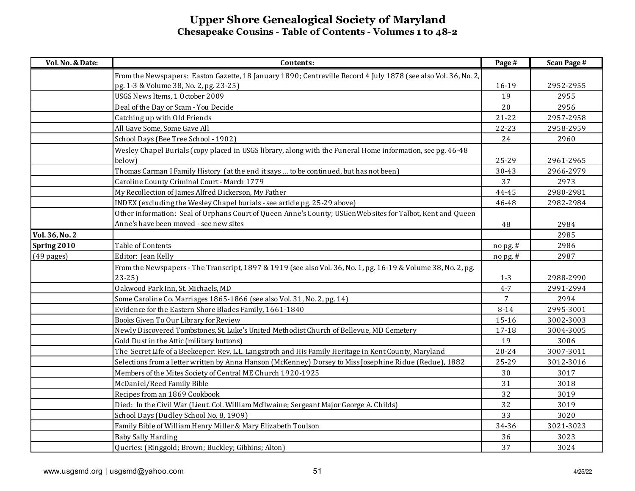| Vol. No. & Date: | Contents:                                                                                                      | Page #         | <b>Scan Page #</b> |
|------------------|----------------------------------------------------------------------------------------------------------------|----------------|--------------------|
|                  | From the Newspapers: Easton Gazette, 18 January 1890; Centreville Record 4 July 1878 (see also Vol. 36, No. 2, |                |                    |
|                  | pg. 1-3 & Volume 38, No. 2, pg. 23-25)                                                                         | 16-19          | 2952-2955          |
|                  | USGS News Items, 1 October 2009                                                                                | 19             | 2955               |
|                  | Deal of the Day or Scam - You Decide                                                                           | 20             | 2956               |
|                  | Catching up with Old Friends                                                                                   | $21 - 22$      | 2957-2958          |
|                  | All Gave Some, Some Gave All                                                                                   | 22-23          | 2958-2959          |
|                  | School Days (Bee Tree School - 1902)                                                                           | 24             | 2960               |
|                  | Wesley Chapel Burials (copy placed in USGS library, along with the Funeral Home information, see pg. 46-48     |                |                    |
|                  | below)                                                                                                         | 25-29          | 2961-2965          |
|                  | Thomas Carman I Family History (at the end it says  to be continued, but has not been)                         | 30-43          | 2966-2979          |
|                  | Caroline County Criminal Court - March 1779                                                                    | 37             | 2973               |
|                  | My Recollection of James Alfred Dickerson, My Father                                                           | 44-45          | 2980-2981          |
|                  | INDEX (excluding the Wesley Chapel burials - see article pg. 25-29 above)                                      | 46-48          | 2982-2984          |
|                  | Other information: Seal of Orphans Court of Queen Anne's County; USGenWeb sites for Talbot, Kent and Queen     |                |                    |
|                  | Anne's have been moved - see new sites                                                                         | 48             | 2984               |
| Vol. 36, No. 2   |                                                                                                                |                | 2985               |
| Spring 2010      | Table of Contents                                                                                              | nopg.#         | 2986               |
| $(49$ pages)     | Editor: Jean Kelly                                                                                             | nopg.#         | 2987               |
|                  | From the Newspapers - The Transcript, 1897 & 1919 (see also Vol. 36, No. 1, pg. 16-19 & Volume 38, No. 2, pg.  |                |                    |
|                  | $23-25$                                                                                                        | $1 - 3$        | 2988-2990          |
|                  | Oakwood Park Inn, St. Michaels, MD                                                                             | $4 - 7$        | 2991-2994          |
|                  | Some Caroline Co. Marriages 1865-1866 (see also Vol. 31, No. 2, pg. 14)                                        | $\overline{7}$ | 2994               |
|                  | Evidence for the Eastern Shore Blades Family, 1661-1840                                                        | $8 - 14$       | 2995-3001          |
|                  | Books Given To Our Library for Review                                                                          | 15-16          | 3002-3003          |
|                  | Newly Discovered Tombstones, St. Luke's United Methodist Church of Bellevue, MD Cemetery                       | $17 - 18$      | 3004-3005          |
|                  | Gold Dust in the Attic (military buttons)                                                                      | 19             | 3006               |
|                  | The Secret Life of a Beekeeper: Rev. L.L. Langstroth and His Family Heritage in Kent County, Maryland          | $20 - 24$      | 3007-3011          |
|                  | Selections from a letter written by Anna Hanson (McKenney) Dorsey to Miss Josephine Ridue (Redue), 1882        | 25-29          | 3012-3016          |
|                  | Members of the Mites Society of Central ME Church 1920-1925                                                    | $30\,$         | 3017               |
|                  | McDaniel/Reed Family Bible                                                                                     | 31             | 3018               |
|                  | Recipes from an 1869 Cookbook                                                                                  | 32             | 3019               |
|                  | Died: In the Civil War (Lieut. Col. William McIlwaine; Sergeant Major George A. Childs)                        | 32             | 3019               |
|                  | School Days (Dudley School No. 8, 1909)                                                                        | 33             | 3020               |
|                  | Family Bible of William Henry Miller & Mary Elizabeth Toulson                                                  | 34-36          | 3021-3023          |
|                  | <b>Baby Sally Harding</b>                                                                                      | 36             | 3023               |
|                  | Queries: (Ringgold; Brown; Buckley; Gibbins; Alton)                                                            | 37             | 3024               |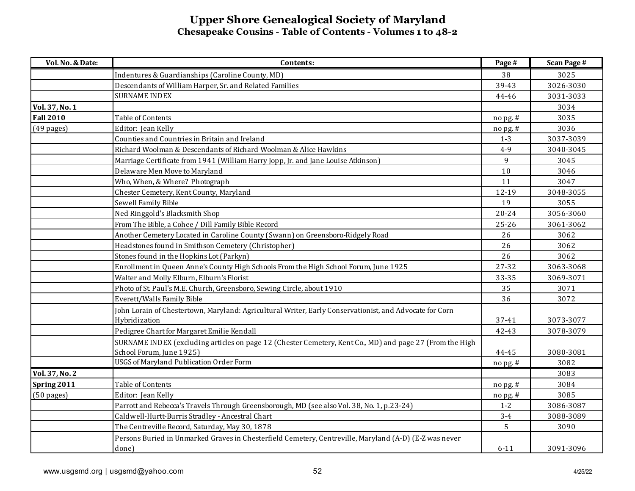| Vol. No. & Date:                    | Contents:                                                                                                                                      | Page #            | <b>Scan Page #</b> |
|-------------------------------------|------------------------------------------------------------------------------------------------------------------------------------------------|-------------------|--------------------|
|                                     | Indentures & Guardianships (Caroline County, MD)                                                                                               | 38                | 3025               |
|                                     | Descendants of William Harper, Sr. and Related Families                                                                                        | 39-43             | 3026-3030          |
|                                     | <b>SURNAME INDEX</b>                                                                                                                           | 44-46             | 3031-3033          |
| Vol. 37, No. 1                      |                                                                                                                                                |                   | 3034               |
| <b>Fall 2010</b>                    | Table of Contents                                                                                                                              | nopg.#            | 3035               |
| $(49$ pages)                        | Editor: Jean Kelly                                                                                                                             | $n$ opg.#         | 3036               |
|                                     | Counties and Countries in Britain and Ireland                                                                                                  | $1 - 3$           | 3037-3039          |
|                                     | Richard Woolman & Descendants of Richard Woolman & Alice Hawkins                                                                               | $4 - 9$           | 3040-3045          |
|                                     | Marriage Certificate from 1941 (William Harry Jopp, Jr. and Jane Louise Atkinson)                                                              | 9                 | 3045               |
|                                     | Delaware Men Move to Maryland                                                                                                                  | $10$              | 3046               |
|                                     | Who, When, & Where? Photograph                                                                                                                 | 11                | 3047               |
|                                     | Chester Cemetery, Kent County, Maryland                                                                                                        | 12-19             | 3048-3055          |
|                                     | Sewell Family Bible                                                                                                                            | 19                | 3055               |
|                                     | Ned Ringgold's Blacksmith Shop                                                                                                                 | $20 - 24$         | 3056-3060          |
|                                     | From The Bible, a Cohee / Dill Family Bible Record                                                                                             | $25 - 26$         | 3061-3062          |
|                                     | Another Cemetery Located in Caroline County (Swann) on Greensboro-Ridgely Road                                                                 | 26                | 3062               |
|                                     | Headstones found in Smithson Cemetery (Christopher)                                                                                            | 26                | 3062               |
|                                     | Stones found in the Hopkins Lot (Parkyn)                                                                                                       | 26                | 3062               |
|                                     | Enrollment in Queen Anne's County High Schools From the High School Forum, June 1925                                                           | 27-32             | 3063-3068          |
|                                     | Walter and Molly Elburn, Elburn's Florist                                                                                                      | 33-35             | 3069-3071          |
|                                     | Photo of St. Paul's M.E. Church, Greensboro, Sewing Circle, about 1910                                                                         | 35                | 3071               |
|                                     | Everett/Walls Family Bible                                                                                                                     | 36                | 3072               |
|                                     | John Lorain of Chestertown, Maryland: Agricultural Writer, Early Conservationist, and Advocate for Corn                                        |                   |                    |
|                                     | Hybridization                                                                                                                                  | 37-41             | 3073-3077          |
|                                     | Pedigree Chart for Margaret Emilie Kendall                                                                                                     | 42-43             | 3078-3079          |
|                                     | SURNAME INDEX (excluding articles on page 12 (Chester Cemetery, Kent Co., MD) and page 27 (From the High                                       |                   |                    |
|                                     | School Forum, June 1925)<br><b>USGS of Maryland Publication Order Form</b>                                                                     | 44-45             | 3080-3081          |
| Vol. 37, No. 2                      |                                                                                                                                                | nopg.#            | 3082<br>3083       |
|                                     | Table of Contents                                                                                                                              |                   | 3084               |
| Spring 2011<br>$(50 \text{ pages})$ | Editor: Jean Kelly                                                                                                                             | nopg.#            | 3085               |
|                                     |                                                                                                                                                | nopg.#<br>$1 - 2$ | 3086-3087          |
|                                     | Parrott and Rebecca's Travels Through Greensborough, MD (see also Vol. 38, No. 1, p.23-24)<br>Caldwell-Hurtt-Burris Stradley - Ancestral Chart | $3 - 4$           | 3088-3089          |
|                                     |                                                                                                                                                |                   |                    |
|                                     | The Centreville Record, Saturday, May 30, 1878                                                                                                 | 5                 | 3090               |
|                                     | Persons Buried in Unmarked Graves in Chesterfield Cemetery, Centreville, Maryland (A-D) (E-Z was never<br>done)                                | $6 - 11$          | 3091-3096          |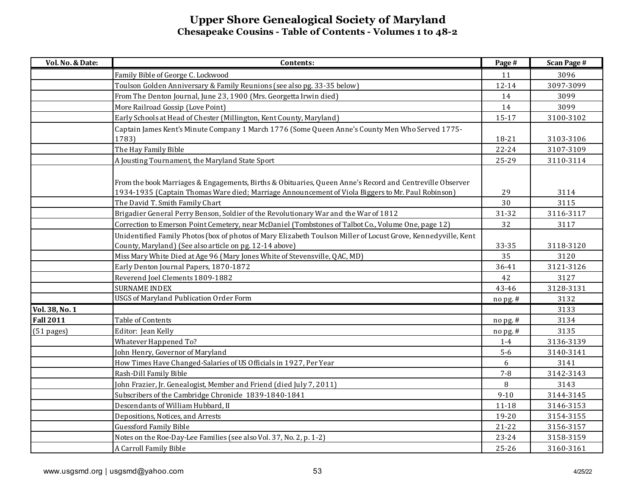| Vol. No. & Date: | Contents:                                                                                                                                                                                                                                        | Page #     | <b>Scan Page #</b> |
|------------------|--------------------------------------------------------------------------------------------------------------------------------------------------------------------------------------------------------------------------------------------------|------------|--------------------|
|                  | Family Bible of George C. Lockwood                                                                                                                                                                                                               | 11         | 3096               |
|                  | Toulson Golden Anniversary & Family Reunions (see also pg. 33-35 below)                                                                                                                                                                          | $12 - 14$  | 3097-3099          |
|                  | From The Denton Journal, June 23, 1900 (Mrs. Georgetta Irwin died)                                                                                                                                                                               | 14         | 3099               |
|                  | More Railroad Gossip (Love Point)                                                                                                                                                                                                                | 14         | 3099               |
|                  | Early Schools at Head of Chester (Millington, Kent County, Maryland)                                                                                                                                                                             | $15 - 17$  | 3100-3102          |
|                  | Captain James Kent's Minute Company 1 March 1776 (Some Queen Anne's County Men Who Served 1775-                                                                                                                                                  |            |                    |
|                  | 1783)                                                                                                                                                                                                                                            | 18-21      | 3103-3106          |
|                  | The Hay Family Bible                                                                                                                                                                                                                             | $22 - 24$  | 3107-3109          |
|                  | A Jousting Tournament, the Maryland State Sport                                                                                                                                                                                                  | 25-29      | 3110-3114          |
|                  | From the book Marriages & Engagements, Births & Obituaries, Queen Anne's Record and Centreville Observer<br>1934-1935 (Captain Thomas Ware died; Marriage Announcement of Viola Biggers to Mr. Paul Robinson)<br>The David T. Smith Family Chart | 29<br>30   | 3114<br>3115       |
|                  | Brigadier General Perry Benson, Soldier of the Revolutionary War and the War of 1812                                                                                                                                                             | 31-32      | 3116-3117          |
|                  | Correction to Emerson Point Cemetery, near McDaniel (Tombstones of Talbot Co., Volume One, page 12)                                                                                                                                              | 32         | 3117               |
|                  | Unidentified Family Photos (box of photos of Mary Elizabeth Toulson Miller of Locust Grove, Kennedyville, Kent                                                                                                                                   |            |                    |
|                  | County, Maryland) (See also article on pg. 12-14 above)                                                                                                                                                                                          | 33-35      | 3118-3120          |
|                  | Miss Mary White Died at Age 96 (Mary Jones White of Stevensville, QAC, MD)                                                                                                                                                                       | 35         | 3120               |
|                  | Early Denton Journal Papers, 1870-1872                                                                                                                                                                                                           | 36-41      | 3121-3126          |
|                  | Reverend Joel Clements 1809-1882                                                                                                                                                                                                                 | 42         | 3127               |
|                  | <b>SURNAME INDEX</b>                                                                                                                                                                                                                             | 43-46      | 3128-3131          |
|                  | <b>USGS of Maryland Publication Order Form</b>                                                                                                                                                                                                   | nopg.#     | 3132               |
| Vol. 38, No. 1   |                                                                                                                                                                                                                                                  |            | 3133               |
| <b>Fall 2011</b> | Table of Contents                                                                                                                                                                                                                                | no pg. #   | 3134               |
| $(51$ pages)     | Editor: Jean Kelly                                                                                                                                                                                                                               | $no$ pg. # | 3135               |
|                  | Whatever Happened To?                                                                                                                                                                                                                            | $1-4$      | 3136-3139          |
|                  | John Henry, Governor of Maryland                                                                                                                                                                                                                 | $5-6$      | 3140-3141          |
|                  | How Times Have Changed-Salaries of US Officials in 1927, Per Year                                                                                                                                                                                | 6          | 3141               |
|                  | Rash-Dill Family Bible                                                                                                                                                                                                                           | $7 - 8$    | 3142-3143          |
|                  | John Frazier, Jr. Genealogist, Member and Friend (died July 7, 2011)                                                                                                                                                                             | 8          | 3143               |
|                  | Subscribers of the Cambridge Chronicle 1839-1840-1841                                                                                                                                                                                            | $9 - 10$   | 3144-3145          |
|                  | Descendants of William Hubbard, II                                                                                                                                                                                                               | $11 - 18$  | 3146-3153          |
|                  | Depositions, Notices, and Arrests                                                                                                                                                                                                                | 19-20      | 3154-3155          |
|                  | <b>Guessford Family Bible</b>                                                                                                                                                                                                                    | $21 - 22$  | 3156-3157          |
|                  | Notes on the Roe-Day-Lee Families (see also Vol. 37, No. 2, p. 1-2)                                                                                                                                                                              | 23-24      | 3158-3159          |
|                  | A Carroll Family Bible                                                                                                                                                                                                                           | $25 - 26$  | 3160-3161          |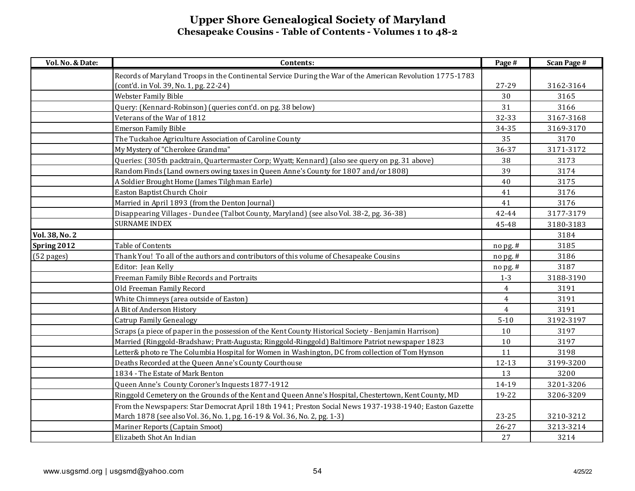| Vol. No. & Date: | Contents:                                                                                                 | Page #         | <b>Scan Page #</b> |
|------------------|-----------------------------------------------------------------------------------------------------------|----------------|--------------------|
|                  | Records of Maryland Troops in the Continental Service During the War of the American Revolution 1775-1783 |                |                    |
|                  | (cont'd. in Vol. 39, No. 1, pg. 22-24)                                                                    | 27-29          | 3162-3164          |
|                  | Webster Family Bible                                                                                      | 30             | 3165               |
|                  | Query: (Kennard-Robinson) (queries cont'd. on pg. 38 below)                                               | 31             | 3166               |
|                  | Veterans of the War of 1812                                                                               | 32-33          | 3167-3168          |
|                  | <b>Emerson Family Bible</b>                                                                               | 34-35          | 3169-3170          |
|                  | The Tuckahoe Agriculture Association of Caroline County                                                   | 35             | 3170               |
|                  | My Mystery of "Cherokee Grandma"                                                                          | 36-37          | 3171-3172          |
|                  | Queries: (305th packtrain, Quartermaster Corp; Wyatt; Kennard) (also see query on pg. 31 above)           | 38             | 3173               |
|                  | Random Finds (Land owners owing taxes in Queen Anne's County for 1807 and/or 1808)                        | 39             | 3174               |
|                  | A Soldier Brought Home (James Tilghman Earle)                                                             | 40             | 3175               |
|                  | Easton Baptist Church Choir                                                                               | 41             | 3176               |
|                  | Married in April 1893 (from the Denton Journal)                                                           | 41             | 3176               |
|                  | Disappearing Villages - Dundee (Talbot County, Maryland) (see also Vol. 38-2, pg. 36-38)                  | 42-44          | 3177-3179          |
|                  | <b>SURNAME INDEX</b>                                                                                      | 45-48          | 3180-3183          |
| Vol. 38, No. 2   |                                                                                                           |                | 3184               |
| Spring 2012      | Table of Contents                                                                                         | nopg.#         | 3185               |
| (52 pages)       | Thank You! To all of the authors and contributors of this volume of Chesapeake Cousins                    | no pg. #       | 3186               |
|                  | Editor: Jean Kelly                                                                                        | nopg.#         | 3187               |
|                  | Freeman Family Bible Records and Portraits                                                                | $1-3$          | 3188-3190          |
|                  | Old Freeman Family Record                                                                                 | $\overline{4}$ | 3191               |
|                  | White Chimneys (area outside of Easton)                                                                   | $\overline{4}$ | 3191               |
|                  | A Bit of Anderson History                                                                                 | $\overline{4}$ | 3191               |
|                  | <b>Catrup Family Genealogy</b>                                                                            | $5 - 10$       | 3192-3197          |
|                  | Scraps (a piece of paper in the possession of the Kent County Historical Society - Benjamin Harrison)     | 10             | 3197               |
|                  | Married (Ringgold-Bradshaw; Pratt-Augusta; Ringgold-Ringgold) Baltimore Patriot newspaper 1823            | $10\,$         | 3197               |
|                  | Letter& photo re The Columbia Hospital for Women in Washington, DC from collection of Tom Hynson          | 11             | 3198               |
|                  | Deaths Recorded at the Queen Anne's County Courthouse                                                     | $12 - 13$      | 3199-3200          |
|                  | 1834 - The Estate of Mark Benton                                                                          | 13             | 3200               |
|                  | Queen Anne's County Coroner's Inquests 1877-1912                                                          | 14-19          | 3201-3206          |
|                  | Ringgold Cemetery on the Grounds of the Kent and Queen Anne's Hospital, Chestertown, Kent County, MD      | 19-22          | 3206-3209          |
|                  | From the Newspapers: Star Democrat April 18th 1941; Preston Social News 1937-1938-1940; Easton Gazette    |                |                    |
|                  | March 1878 (see also Vol. 36, No. 1, pg. 16-19 & Vol. 36, No. 2, pg. 1-3)                                 | 23-25          | 3210-3212          |
|                  | Mariner Reports (Captain Smoot)                                                                           | $26 - 27$      | 3213-3214          |
|                  | Elizabeth Shot An Indian                                                                                  | 27             | 3214               |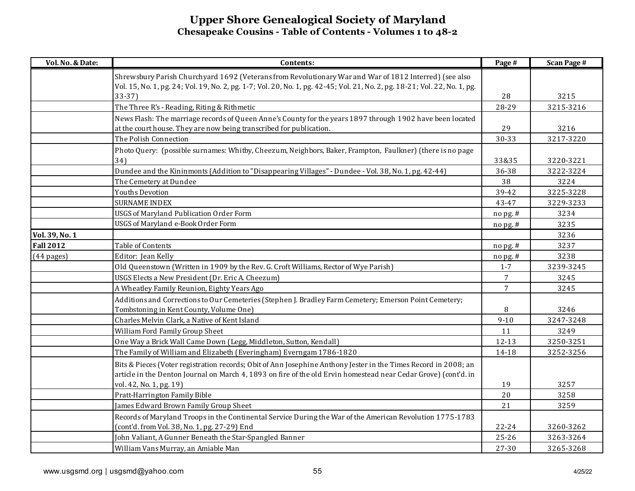| Vol. No. & Date: | Contents:                                                                                                                  | Page #          | <b>Scan Page #</b> |
|------------------|----------------------------------------------------------------------------------------------------------------------------|-----------------|--------------------|
|                  | Shrewsbury Parish Churchyard 1692 (Veterans from Revolutionary War and War of 1812 Interred) (see also                     |                 |                    |
|                  | Vol. 15, No. 1, pg. 24; Vol. 19, No. 2, pg. 1-7; Vol. 20, No. 1, pg. 42-45; Vol. 21, No. 2, pg. 18-21; Vol. 22, No. 1, pg. |                 |                    |
|                  | $33-37$                                                                                                                    | 28              | 3215               |
|                  | The Three R's - Reading, Riting & Rithmetic                                                                                | 28-29           | 3215-3216          |
|                  | News Flash: The marriage records of Queen Anne's County for the years 1897 through 1902 have been located                  |                 |                    |
|                  | at the court house. They are now being transcribed for publication.                                                        | 29              | 3216               |
|                  | The Polish Connection                                                                                                      | 30-33           | 3217-3220          |
|                  | Photo Query: (possible surnames: Whitby, Cheezum, Neighbors, Baker, Frampton, Faulkner) (there is no page                  |                 |                    |
|                  | 34)                                                                                                                        | 33&35           | 3220-3221          |
|                  | Dundee and the Kininmonts (Addition to "Disappearing Villages" - Dundee - Vol. 38, No. 1, pg. 42-44)                       | 36-38           | 3222-3224          |
|                  | The Cemetery at Dundee                                                                                                     | 38              | 3224               |
|                  | <b>Youths Devotion</b>                                                                                                     | 39-42           | 3225-3228          |
|                  | <b>SURNAME INDEX</b>                                                                                                       | 43-47           | 3229-3233          |
|                  | <b>USGS of Maryland Publication Order Form</b>                                                                             | nopg.#          | 3234               |
|                  | USGS of Maryland e-Book Order Form                                                                                         | nopg.#          | 3235               |
| Vol. 39, No. 1   |                                                                                                                            |                 | 3236               |
| <b>Fall 2012</b> | Table of Contents                                                                                                          | nopg.#          | 3237               |
| $(44$ pages)     | Editor: Jean Kelly                                                                                                         | nopg.#          | 3238               |
|                  | Old Queenstown (Written in 1909 by the Rev. G. Croft Williams, Rector of Wye Parish)                                       | $1 - 7$         | 3239-3245          |
|                  | USGS Elects a New President (Dr. Eric A. Cheezum)                                                                          | $7\overline{ }$ | 3245               |
|                  | A Wheatley Family Reunion, Eighty Years Ago                                                                                | $\overline{7}$  | 3245               |
|                  | Additions and Corrections to Our Cemeteries (Stephen J. Bradley Farm Cemetery; Emerson Point Cemetery;                     |                 |                    |
|                  | Tombstoning in Kent County, Volume One)                                                                                    | 8               | 3246               |
|                  | Charles Melvin Clark, a Native of Kent Island                                                                              | $9 - 10$        | 3247-3248          |
|                  | William Ford Family Group Sheet                                                                                            | 11              | 3249               |
|                  | One Way a Brick Wall Came Down (Legg, Middleton, Sutton, Kendall)                                                          | 12-13           | 3250-3251          |
|                  | The Family of William and Elizabeth (Everingham) Everngam 1786-1820                                                        | 14-18           | 3252-3256          |
|                  | Bits & Pieces (Voter registration records; Obit of Ann Josephine Anthony Jester in the Times Record in 2008; an            |                 |                    |
|                  | article in the Denton Journal on March 4, 1893 on fire of the old Ervin homestead near Cedar Grove) (cont'd. in            |                 |                    |
|                  | vol. 42, No. 1, pg. 19)                                                                                                    | 19              | 3257               |
|                  | Pratt-Harrington Family Bible                                                                                              | 20              | 3258               |
|                  | James Edward Brown Family Group Sheet                                                                                      | 21              | 3259               |
|                  | Records of Maryland Troops in the Continental Service During the War of the American Revolution 1775-1783                  |                 |                    |
|                  | (cont'd. from Vol. 38, No. 1, pg. 27-29) End                                                                               | $22 - 24$       | 3260-3262          |
|                  | John Valiant, A Gunner Beneath the Star-Spangled Banner                                                                    | $25 - 26$       | 3263-3264          |
|                  | William Vans Murray, an Amiable Man                                                                                        | 27-30           | 3265-3268          |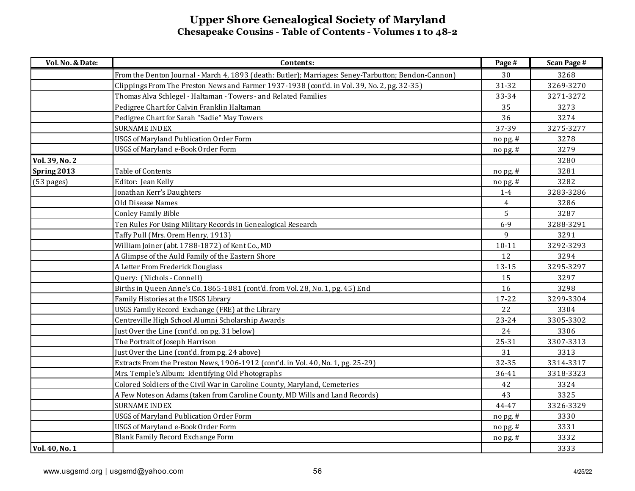| Vol. No. & Date: | Contents:                                                                                           | Page #         | <b>Scan Page #</b> |
|------------------|-----------------------------------------------------------------------------------------------------|----------------|--------------------|
|                  | From the Denton Journal - March 4, 1893 (death: Butler); Marriages: Seney-Tarbutton; Bendon-Cannon) | 30             | 3268               |
|                  | Clippings From The Preston News and Farmer 1937-1938 (cont'd. in Vol. 39, No. 2, pg. 32-35)         | 31-32          | 3269-3270          |
|                  | Thomas Alva Schlegel - Haltaman - Towers - and Related Families                                     | 33-34          | 3271-3272          |
|                  | Pedigree Chart for Calvin Franklin Haltaman                                                         | 35             | 3273               |
|                  | Pedigree Chart for Sarah "Sadie" May Towers                                                         | 36             | 3274               |
|                  | <b>SURNAME INDEX</b>                                                                                | 37-39          | 3275-3277          |
|                  | <b>USGS of Maryland Publication Order Form</b>                                                      | $no$ pg. #     | 3278               |
|                  | USGS of Maryland e-Book Order Form                                                                  | no pg. #       | 3279               |
| Vol. 39, No. 2   |                                                                                                     |                | 3280               |
| Spring 2013      | Table of Contents                                                                                   | $no$ pg. #     | 3281               |
| (53 pages)       | Editor: Jean Kelly                                                                                  | $n$ opg.#      | 3282               |
|                  | Jonathan Kerr's Daughters                                                                           | $1-4$          | 3283-3286          |
|                  | Old Disease Names                                                                                   | $\overline{4}$ | 3286               |
|                  | <b>Conley Family Bible</b>                                                                          | 5              | 3287               |
|                  | Ten Rules For Using Military Records in Genealogical Research                                       | $6 - 9$        | 3288-3291          |
|                  | Taffy Pull (Mrs. Orem Henry, 1913)                                                                  | 9              | 3291               |
|                  | William Joiner (abt. 1788-1872) of Kent Co., MD                                                     | $10 - 11$      | 3292-3293          |
|                  | A Glimpse of the Auld Family of the Eastern Shore                                                   | 12             | 3294               |
|                  | A Letter From Frederick Douglass                                                                    | 13-15          | 3295-3297          |
|                  | Query: (Nichols - Connell)                                                                          | 15             | 3297               |
|                  | Births in Queen Anne's Co. 1865-1881 (cont'd. from Vol. 28, No. 1, pg. 45) End                      | 16             | 3298               |
|                  | Family Histories at the USGS Library                                                                | $17 - 22$      | 3299-3304          |
|                  | USGS Family Record Exchange (FRE) at the Library                                                    | 22             | 3304               |
|                  | Centreville High School Alumni Scholarship Awards                                                   | $23 - 24$      | 3305-3302          |
|                  | Just Over the Line (cont'd. on pg. 31 below)                                                        | 24             | 3306               |
|                  | The Portrait of Joseph Harrison                                                                     | 25-31          | 3307-3313          |
|                  | Just Over the Line (cont'd. from pg. 24 above)                                                      | 31             | 3313               |
|                  | Extracts From the Preston News, 1906-1912 (cont'd. in Vol. 40, No. 1, pg. 25-29)                    | 32-35          | 3314-3317          |
|                  | Mrs. Temple's Album: Identifying Old Photographs                                                    | 36-41          | 3318-3323          |
|                  | Colored Soldiers of the Civil War in Caroline County, Maryland, Cemeteries                          | 42             | 3324               |
|                  | A Few Notes on Adams (taken from Caroline County, MD Wills and Land Records)                        | 43             | 3325               |
|                  | <b>SURNAME INDEX</b>                                                                                | 44-47          | 3326-3329          |
|                  | <b>USGS of Maryland Publication Order Form</b>                                                      | no pg. #       | 3330               |
|                  | <b>USGS of Maryland e-Book Order Form</b>                                                           | $no$ pg. #     | 3331               |
|                  | Blank Family Record Exchange Form                                                                   | no pg. #       | 3332               |
| Vol. 40, No. 1   |                                                                                                     |                | 3333               |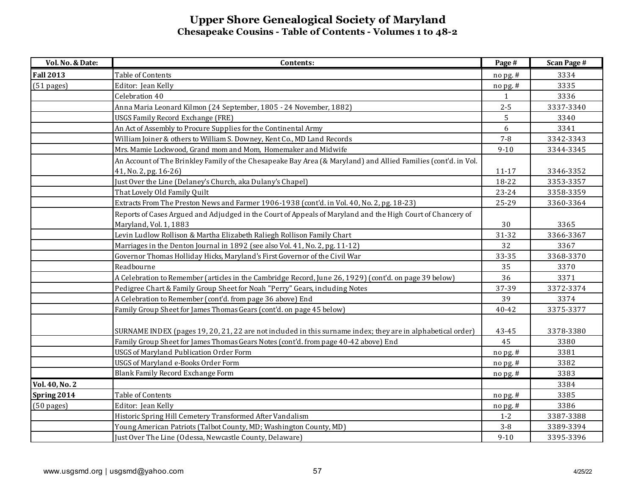| Vol. No. & Date:     | Contents:                                                                                                      | Page #    | <b>Scan Page #</b> |
|----------------------|----------------------------------------------------------------------------------------------------------------|-----------|--------------------|
| <b>Fall 2013</b>     | Table of Contents                                                                                              | nopg.#    | 3334               |
| (51 pages)           | Editor: Jean Kelly                                                                                             | nopg.#    | 3335               |
|                      | Celebration 40                                                                                                 | 1         | 3336               |
|                      | Anna Maria Leonard Kilmon (24 September, 1805 - 24 November, 1882)                                             | $2 - 5$   | 3337-3340          |
|                      | USGS Family Record Exchange (FRE)                                                                              | 5         | 3340               |
|                      | An Act of Assembly to Procure Supplies for the Continental Army                                                | 6         | 3341               |
|                      | William Joiner & others to William S. Downey, Kent Co., MD Land Records                                        | $7 - 8$   | 3342-3343          |
|                      | Mrs. Mamie Lockwood, Grand mom and Mom, Homemaker and Midwife                                                  | $9 - 10$  | 3344-3345          |
|                      | An Account of The Brinkley Family of the Chesapeake Bay Area (& Maryland) and Allied Families (cont'd. in Vol. |           |                    |
|                      | 41, No. 2, pg. 16-26)                                                                                          | $11 - 17$ | 3346-3352          |
|                      | Just Over the Line (Delaney's Church, aka Dulany's Chapel)                                                     | 18-22     | 3353-3357          |
|                      | That Lovely Old Family Quilt                                                                                   | 23-24     | 3358-3359          |
|                      | Extracts From The Preston News and Farmer 1906-1938 (cont'd. in Vol. 40, No. 2, pg. 18-23)                     | 25-29     | 3360-3364          |
|                      | Reports of Cases Argued and Adjudged in the Court of Appeals of Maryland and the High Court of Chancery of     |           |                    |
|                      | Maryland, Vol. 1, 1883                                                                                         | 30        | 3365               |
|                      | Levin Ludlow Rollison & Martha Elizabeth Raliegh Rollison Family Chart                                         | 31-32     | 3366-3367          |
|                      | Marriages in the Denton Journal in 1892 (see also Vol. 41, No. 2, pg. 11-12)                                   | 32        | 3367               |
|                      | Governor Thomas Holliday Hicks, Maryland's First Governor of the Civil War                                     | 33-35     | 3368-3370          |
|                      | Readbourne                                                                                                     | 35        | 3370               |
|                      | A Celebration to Remember (articles in the Cambridge Record, June 26, 1929) (cont'd. on page 39 below)         | 36        | 3371               |
|                      | Pedigree Chart & Family Group Sheet for Noah "Perry" Gears, including Notes                                    | 37-39     | 3372-3374          |
|                      | A Celebration to Remember (cont'd. from page 36 above) End                                                     | 39        | 3374               |
|                      | Family Group Sheet for James Thomas Gears (cont'd. on page 45 below)                                           | 40-42     | 3375-3377          |
|                      |                                                                                                                |           |                    |
|                      | SURNAME INDEX (pages 19, 20, 21, 22 are not included in this surname index; they are in alphabetical order)    | 43-45     | 3378-3380          |
|                      | Family Group Sheet for James Thomas Gears Notes (cont'd. from page 40-42 above) End                            | 45        | 3380               |
|                      | <b>USGS of Maryland Publication Order Form</b>                                                                 | no pg. #  | 3381               |
|                      | USGS of Maryland e-Books Order Form                                                                            | nopg.#    | 3382               |
|                      | Blank Family Record Exchange Form                                                                              | no pg. #  | 3383               |
| Vol. 40, No. 2       |                                                                                                                |           | 3384               |
| Spring 2014          | Table of Contents                                                                                              | no pg. #  | 3385               |
| $(50 \text{ pages})$ | Editor: Jean Kelly                                                                                             | nopg.#    | 3386               |
|                      | Historic Spring Hill Cemetery Transformed After Vandalism                                                      | $1 - 2$   | 3387-3388          |
|                      | Young American Patriots (Talbot County, MD; Washington County, MD)                                             | $3 - 8$   | 3389-3394          |
|                      | Just Over The Line (Odessa, Newcastle County, Delaware)                                                        | $9 - 10$  | 3395-3396          |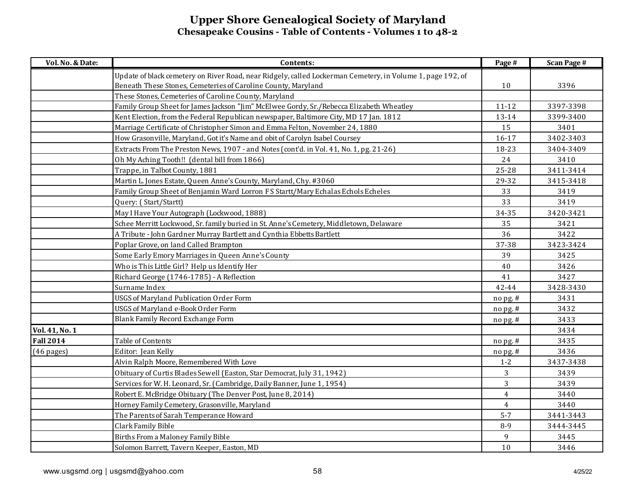| Vol. No. & Date: | Contents:                                                                                                  | Page #         | <b>Scan Page #</b> |
|------------------|------------------------------------------------------------------------------------------------------------|----------------|--------------------|
|                  | Update of black cemetery on River Road, near Ridgely, called Lockerman Cemetery, in Volume 1, page 192, of |                |                    |
|                  | Beneath These Stones, Cemeteries of Caroline County, Maryland                                              | 10             | 3396               |
|                  | These Stones, Cemeteries of Caroline County, Maryland                                                      |                |                    |
|                  | Family Group Sheet for James Jackson "Jim" McElwee Gordy, Sr./Rebecca Elizabeth Wheatley                   | $11 - 12$      | 3397-3398          |
|                  | Kent Election, from the Federal Republican newspaper, Baltimore City, MD 17 Jan. 1812                      | 13-14          | 3399-3400          |
|                  | Marriage Certificate of Christopher Simon and Emma Felton, November 24, 1880                               | 15             | 3401               |
|                  | How Grasonville, Maryland, Got it's Name and obit of Carolyn Isabel Coursey                                | $16 - 17$      | 3402-3403          |
|                  | Extracts From The Preston News, 1907 - and Notes (cont'd. in Vol. 41, No. 1, pg. 21-26)                    | 18-23          | 3404-3409          |
|                  | Oh My Aching Tooth!! (dental bill from 1866)                                                               | 24             | 3410               |
|                  | Trappe, in Talbot County, 1881                                                                             | 25-28          | 3411-3414          |
|                  | Martin L. Jones Estate, Queen Anne's County, Maryland, Chy. #3060                                          | 29-32          | 3415-3418          |
|                  | Family Group Sheet of Benjamin Ward Lorron F S Startt/Mary Echalas Echols Echeles                          | 33             | 3419               |
|                  | Query: (Start/Startt)                                                                                      | 33             | 3419               |
|                  | May I Have Your Autograph (Lockwood, 1888)                                                                 | 34-35          | 3420-3421          |
|                  | Schee Merritt Lockwood, Sr. family buried in St. Anne's Cemetery, Middletown, Delaware                     | 35             | 3421               |
|                  | A Tribute - John Gardner Murray Bartlett and Cynthia Ebbetts Bartlett                                      | 36             | 3422               |
|                  | Poplar Grove, on land Called Brampton                                                                      | 37-38          | 3423-3424          |
|                  | Some Early Emory Marriages in Queen Anne's County                                                          | 39             | 3425               |
|                  | Who is This Little Girl? Help us Identify Her                                                              | 40             | 3426               |
|                  | Richard George (1746-1785) - A Reflection                                                                  | 41             | 3427               |
|                  | Surname Index                                                                                              | 42-44          | 3428-3430          |
|                  | <b>USGS of Maryland Publication Order Form</b>                                                             | no pg. #       | 3431               |
|                  | USGS of Maryland e-Book Order Form                                                                         | no pg. #       | 3432               |
|                  | Blank Family Record Exchange Form                                                                          | $nopg.$ #      | 3433               |
| Vol. 41, No. 1   |                                                                                                            |                | 3434               |
| <b>Fall 2014</b> | Table of Contents                                                                                          | no pg. #       | 3435               |
| (46 pages)       | Editor: Jean Kelly                                                                                         | nopg.#         | 3436               |
|                  | Alvin Ralph Moore, Remembered With Love                                                                    | $1 - 2$        | 3437-3438          |
|                  | Obituary of Curtis Blades Sewell (Easton, Star Democrat, July 31, 1942)                                    | 3              | 3439               |
|                  | Services for W. H. Leonard, Sr. (Cambridge, Daily Banner, June 1, 1954)                                    | 3              | 3439               |
|                  | Robert E. McBridge Obituary (The Denver Post, June 8, 2014)                                                | $\overline{4}$ | 3440               |
|                  | Horney Family Cemetery, Grasonville, Maryland                                                              | $\overline{4}$ | 3440               |
|                  | The Parents of Sarah Temperance Howard                                                                     | $5 - 7$        | 3441-3443          |
|                  | Clark Family Bible                                                                                         | $8 - 9$        | 3444-3445          |
|                  | Births From a Maloney Family Bible                                                                         | 9              | 3445               |
|                  | Solomon Barrett, Tavern Keeper, Easton, MD                                                                 | 10             | 3446               |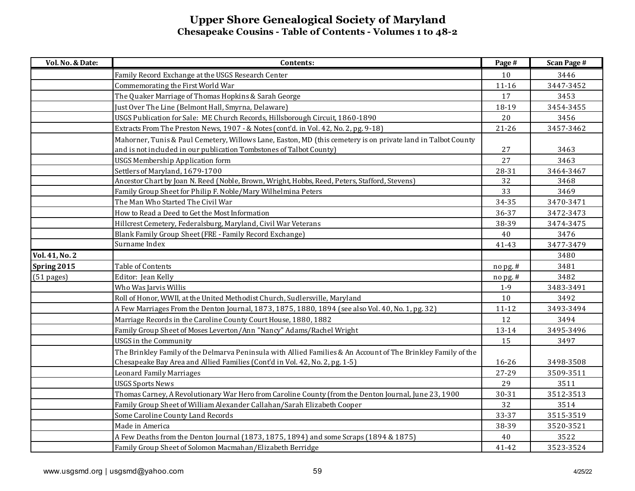| Vol. No. & Date: | Contents:                                                                                                     | Page #     | <b>Scan Page #</b> |
|------------------|---------------------------------------------------------------------------------------------------------------|------------|--------------------|
|                  | Family Record Exchange at the USGS Research Center                                                            | 10         | 3446               |
|                  | Commemorating the First World War                                                                             | $11 - 16$  | 3447-3452          |
|                  | The Quaker Marriage of Thomas Hopkins & Sarah George                                                          | 17         | 3453               |
|                  | Just Over The Line (Belmont Hall, Smyrna, Delaware)                                                           | 18-19      | 3454-3455          |
|                  | USGS Publication for Sale: ME Church Records, Hillsborough Circuit, 1860-1890                                 | 20         | 3456               |
|                  | Extracts From The Preston News, 1907 - & Notes (cont'd. in Vol. 42, No. 2, pg. 9-18)                          | $21 - 26$  | 3457-3462          |
|                  | Mahorner, Tunis & Paul Cemetery, Willows Lane, Easton, MD (this cemetery is on private land in Talbot County  |            |                    |
|                  | and is not included in our publication Tombstones of Talbot County)                                           | 27         | 3463               |
|                  | <b>USGS Membership Application form</b>                                                                       | 27         | 3463               |
|                  | Settlers of Maryland, 1679-1700                                                                               | 28-31      | 3464-3467          |
|                  | Ancestor Chart by Joan N. Reed (Noble, Brown, Wright, Hobbs, Reed, Peters, Stafford, Stevens)                 | 32         | 3468               |
|                  | Family Group Sheet for Philip F. Noble/Mary Wilhelmina Peters                                                 | 33         | 3469               |
|                  | The Man Who Started The Civil War                                                                             | 34-35      | 3470-3471          |
|                  | How to Read a Deed to Get the Most Information                                                                | 36-37      | 3472-3473          |
|                  | Hillcrest Cemetery, Federalsburg, Maryland, Civil War Veterans                                                | 38-39      | 3474-3475          |
|                  | Blank Family Group Sheet (FRE - Family Record Exchange)                                                       | 40         | 3476               |
|                  | Surname Index                                                                                                 | 41-43      | 3477-3479          |
| Vol. 41, No. 2   |                                                                                                               |            | 3480               |
| Spring 2015      | Table of Contents                                                                                             | $no$ pg. # | 3481               |
| $(51$ pages)     | Editor: Jean Kelly                                                                                            | nopg.#     | 3482               |
|                  | Who Was Jarvis Willis                                                                                         | $1-9$      | 3483-3491          |
|                  | Roll of Honor, WWII, at the United Methodist Church, Sudlersville, Maryland                                   | 10         | 3492               |
|                  | A Few Marriages From the Denton Journal, 1873, 1875, 1880, 1894 (see also Vol. 40, No. 1, pg. 32)             | $11 - 12$  | 3493-3494          |
|                  | Marriage Records in the Caroline County Court House, 1880, 1882                                               | 12         | 3494               |
|                  | Family Group Sheet of Moses Leverton/Ann "Nancy" Adams/Rachel Wright                                          | 13-14      | 3495-3496          |
|                  | <b>USGS</b> in the Community                                                                                  | 15         | 3497               |
|                  | The Brinkley Family of the Delmarva Peninsula with Allied Families & An Account of The Brinkley Family of the |            |                    |
|                  | Chesapeake Bay Area and Allied Families (Cont'd in Vol. 42, No. 2, pg. 1-5)                                   | 16-26      | 3498-3508          |
|                  | Leonard Family Marriages                                                                                      | 27-29      | 3509-3511          |
|                  | <b>USGS Sports News</b>                                                                                       | 29         | 3511               |
|                  | Thomas Carney, A Revolutionary War Hero from Caroline County (from the Denton Journal, June 23, 1900          | 30-31      | 3512-3513          |
|                  | Family Group Sheet of William Alexander Callahan/Sarah Elizabeth Cooper                                       | 32         | 3514               |
|                  | Some Caroline County Land Records                                                                             | 33-37      | 3515-3519          |
|                  | Made in America                                                                                               | 38-39      | 3520-3521          |
|                  | A Few Deaths from the Denton Journal (1873, 1875, 1894) and some Scraps (1894 & 1875)                         | 40         | 3522               |
|                  | Family Group Sheet of Solomon Macmahan/Elizabeth Berridge                                                     | 41-42      | 3523-3524          |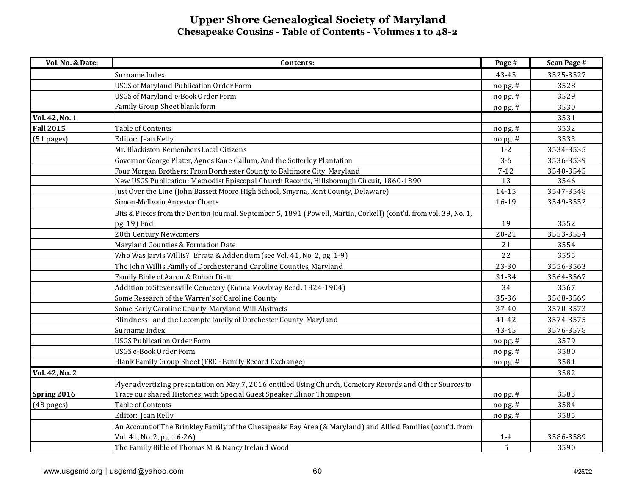| Vol. No. & Date: | Contents:                                                                                                        | Page #     | <b>Scan Page #</b> |
|------------------|------------------------------------------------------------------------------------------------------------------|------------|--------------------|
|                  | Surname Index                                                                                                    | 43-45      | 3525-3527          |
|                  | <b>USGS of Maryland Publication Order Form</b>                                                                   | nopg.#     | 3528               |
|                  | USGS of Maryland e-Book Order Form                                                                               | no pg. #   | 3529               |
|                  | Family Group Sheet blank form                                                                                    | nopg.#     | 3530               |
| Vol. 42, No. 1   |                                                                                                                  |            | 3531               |
| <b>Fall 2015</b> | Table of Contents                                                                                                | $no$ pg. # | 3532               |
| $(51$ pages)     | Editor: Jean Kelly                                                                                               | nopg.#     | 3533               |
|                  | Mr. Blackiston Remembers Local Citizens                                                                          | $1 - 2$    | 3534-3535          |
|                  | Governor George Plater, Agnes Kane Callum, And the Sotterley Plantation                                          | $3 - 6$    | 3536-3539          |
|                  | Four Morgan Brothers: From Dorchester County to Baltimore City, Maryland                                         | $7 - 12$   | 3540-3545          |
|                  | New USGS Publication: Methodist Episcopal Church Records, Hillsborough Circuit, 1860-1890                        | 13         | 3546               |
|                  | Just Over the Line (John Bassett Moore High School, Smyrna, Kent County, Delaware)                               | 14-15      | 3547-3548          |
|                  | Simon-McIlvain Ancestor Charts                                                                                   | 16-19      | 3549-3552          |
|                  | Bits & Pieces from the Denton Journal, September 5, 1891 (Powell, Martin, Corkell) (cont'd. from vol. 39, No. 1, |            |                    |
|                  | pg. 19) End                                                                                                      | 19         | 3552               |
|                  | 20th Century Newcomers                                                                                           | $20 - 21$  | 3553-3554          |
|                  | Maryland Counties & Formation Date                                                                               | 21         | 3554               |
|                  | Who Was Jarvis Willis? Errata & Addendum (see Vol. 41, No. 2, pg. 1-9)                                           | 22         | 3555               |
|                  | The John Willis Family of Dorchester and Caroline Counties, Maryland                                             | 23-30      | 3556-3563          |
|                  | Family Bible of Aaron & Rohah Diett                                                                              | 31-34      | 3564-3567          |
|                  | Addition to Stevensville Cemetery (Emma Mowbray Reed, 1824-1904)                                                 | 34         | 3567               |
|                  | Some Research of the Warren's of Caroline County                                                                 | 35-36      | 3568-3569          |
|                  | Some Early Caroline County, Maryland Will Abstracts                                                              | 37-40      | 3570-3573          |
|                  | Blindness - and the Lecompte family of Dorchester County, Maryland                                               | 41-42      | 3574-3575          |
|                  | Surname Index                                                                                                    | 43-45      | 3576-3578          |
|                  | <b>USGS Publication Order Form</b>                                                                               | nopg.#     | 3579               |
|                  | USGS e-Book Order Form                                                                                           | nopg.#     | 3580               |
|                  | Blank Family Group Sheet (FRE - Family Record Exchange)                                                          | nopg.#     | 3581               |
| Vol. 42, No. 2   |                                                                                                                  |            | 3582               |
|                  | Flyer advertizing presentation on May 7, 2016 entitled Using Church, Cemetery Records and Other Sources to       |            |                    |
| Spring 2016      | Trace our shared Histories, with Special Guest Speaker Elinor Thompson                                           | nopg.#     | 3583               |
| $(48$ pages)     | Table of Contents                                                                                                | nopg.#     | 3584               |
|                  | Editor: Jean Kelly                                                                                               | no pg. #   | 3585               |
|                  | An Account of The Brinkley Family of the Chesapeake Bay Area (& Maryland) and Allied Families (cont'd. from      |            |                    |
|                  | Vol. 41, No. 2, pg. 16-26)                                                                                       | $1 - 4$    | 3586-3589          |
|                  | The Family Bible of Thomas M. & Nancy Ireland Wood                                                               | 5          | 3590               |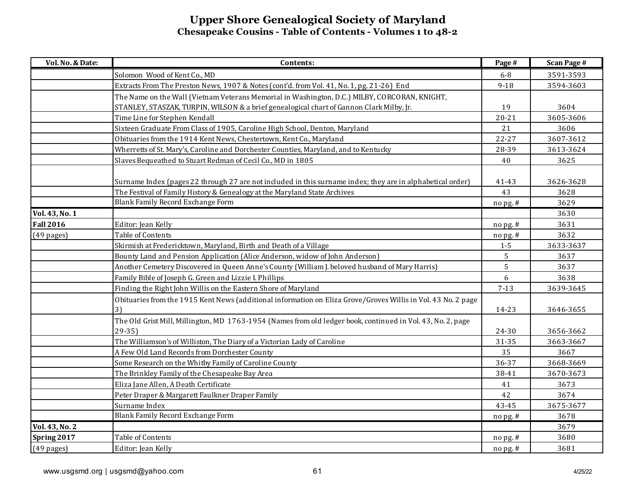| Vol. No. & Date:     | Contents:                                                                                                                | Page #    | <b>Scan Page #</b> |
|----------------------|--------------------------------------------------------------------------------------------------------------------------|-----------|--------------------|
|                      | Solomon Wood of Kent Co., MD                                                                                             | $6-8$     | 3591-3593          |
|                      | Extracts From The Preston News, 1907 & Notes (cont'd. from Vol. 41, No. 1, pg. 21-26) End                                | $9 - 18$  | 3594-3603          |
|                      | The Name on the Wall (Vietnam Veterans Memorial in Washington, D.C.) MILBY, CORCORAN, KNIGHT,                            |           |                    |
|                      | STANLEY, STASZAK, TURPIN, WILSON & a brief genealogical chart of Gannon Clark Milby, Jr.                                 | 19        | 3604               |
|                      | Time Line for Stephen Kendall                                                                                            | $20 - 21$ | 3605-3606          |
|                      | Sixteen Graduate From Class of 1905, Caroline High School, Denton, Maryland                                              | 21        | 3606               |
|                      | Obituaries from the 1914 Kent News, Chestertown, Kent Co., Maryland                                                      | $22 - 27$ | 3607-3612          |
|                      | Wherretts of St. Mary's, Caroline and Dorchester Counties, Maryland, and to Kentucky                                     | 28-39     | 3613-3624          |
|                      | Slaves Bequeathed to Stuart Redman of Cecil Co., MD in 1805                                                              | 40        | 3625               |
|                      | Surname Index (pages 22 through 27 are not included in this surname index; they are in alphabetical order)               | 41-43     | 3626-3628          |
|                      | The Festival of Family History & Genealogy at the Maryland State Archives<br>Blank Family Record Exchange Form           | 43        | 3628               |
|                      |                                                                                                                          | nopg.#    | 3629               |
| Vol. 43, No. 1       |                                                                                                                          |           | 3630               |
| <b>Fall 2016</b>     | Editor: Jean Kelly                                                                                                       | no pg. #  | 3631               |
| $(49$ pages)         | Table of Contents                                                                                                        | nopg.#    | 3632               |
|                      | Skirmish at Fredericktown, Maryland, Birth and Death of a Village                                                        | $1-5$     | 3633-3637          |
|                      | Bounty Land and Pension Application (Alice Anderson, widow of John Anderson)                                             | 5         | 3637               |
|                      | Another Cemetery Discovered in Queen Anne's County (William J. beloved husband of Mary Harris)                           | 5         | 3637               |
|                      | Family Bible of Joseph G. Green and Lizzie I. Phillips                                                                   | 6         | 3638               |
|                      | Finding the Right John Willis on the Eastern Shore of Maryland                                                           | $7 - 13$  | 3639-3645          |
|                      | Obituaries from the 1915 Kent News (additional information on Eliza Grove/Groves Willis in Vol. 43 No. 2 page<br>3)      | 14-23     | 3646-3655          |
|                      | The Old Grist Mill, Millington, MD 1763-1954 (Names from old ledger book, continued in Vol. 43, No. 2, page<br>$29 - 35$ | 24-30     | 3656-3662          |
|                      | The Williamson's of Williston, The Diary of a Victorian Lady of Caroline                                                 | 31-35     | 3663-3667          |
|                      | A Few Old Land Records from Dorchester County                                                                            | 35        | 3667               |
|                      | Some Research on the Whitby Family of Caroline County                                                                    | 36-37     | 3668-3669          |
|                      | The Brinkley Family of the Chesapeake Bay Area                                                                           | 38-41     | 3670-3673          |
|                      | Eliza Jane Allen, A Death Certificate                                                                                    | 41        | 3673               |
|                      | Peter Draper & Margarett Faulkner Draper Family                                                                          | 42        | 3674               |
|                      | Surname Index                                                                                                            | 43-45     | 3675-3677          |
|                      | Blank Family Record Exchange Form                                                                                        | $nopg.$ # | 3678               |
| Vol. 43, No. 2       |                                                                                                                          |           | 3679               |
| Spring 2017          | Table of Contents                                                                                                        | nopg.#    | 3680               |
| $(49 \text{ pages})$ | Editor: Jean Kelly                                                                                                       | no pg. #  | 3681               |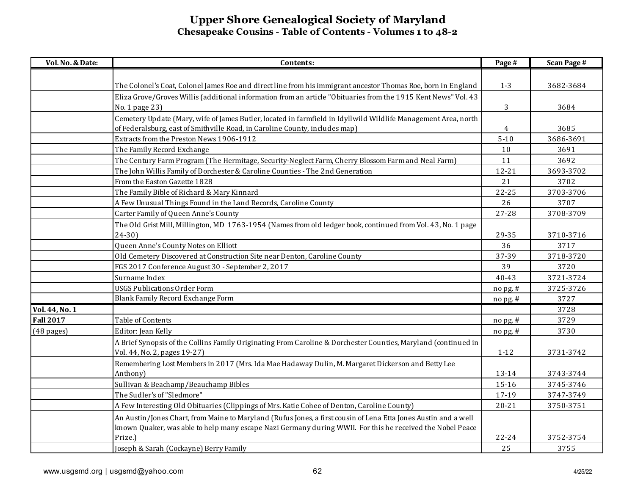| Vol. No. & Date:     | Contents:                                                                                                       | Page #    | <b>Scan Page #</b> |
|----------------------|-----------------------------------------------------------------------------------------------------------------|-----------|--------------------|
|                      |                                                                                                                 |           |                    |
|                      | The Colonel's Coat, Colonel James Roe and direct line from his immigrant ancestor Thomas Roe, born in England   | $1 - 3$   | 3682-3684          |
|                      | Eliza Grove/Groves Willis (additional information from an article "Obituaries from the 1915 Kent News" Vol. 43  |           |                    |
|                      | No. 1 page 23)                                                                                                  | 3         | 3684               |
|                      | Cemetery Update (Mary, wife of James Butler, located in farmfield in Idyllwild Wildlife Management Area, north  |           |                    |
|                      | of Federalsburg, east of Smithville Road, in Caroline County, includes map)                                     | 4         | 3685               |
|                      | Extracts from the Preston News 1906-1912                                                                        | $5 - 10$  | 3686-3691          |
|                      | The Family Record Exchange                                                                                      | $10$      | 3691               |
|                      | The Century Farm Program (The Hermitage, Security-Neglect Farm, Cherry Blossom Farm and Neal Farm)              | 11        | 3692               |
|                      | The John Willis Family of Dorchester & Caroline Counties - The 2nd Generation                                   | $12 - 21$ | 3693-3702          |
|                      | From the Easton Gazette 1828                                                                                    | 21        | 3702               |
|                      | The Family Bible of Richard & Mary Kinnard                                                                      | $22 - 25$ | 3703-3706          |
|                      | A Few Unusual Things Found in the Land Records, Caroline County                                                 | 26        | 3707               |
|                      | Carter Family of Queen Anne's County                                                                            | 27-28     | 3708-3709          |
|                      | The Old Grist Mill, Millington, MD 1763-1954 (Names from old ledger book, continued from Vol. 43, No. 1 page    |           |                    |
|                      | $24 - 30$                                                                                                       | 29-35     | 3710-3716          |
|                      | Queen Anne's County Notes on Elliott                                                                            | 36        | 3717               |
|                      | Old Cemetery Discovered at Construction Site near Denton, Caroline County                                       | 37-39     | 3718-3720          |
|                      | FGS 2017 Conference August 30 - September 2, 2017                                                               | 39        | 3720               |
|                      | Surname Index                                                                                                   | 40-43     | 3721-3724          |
|                      | <b>USGS Publications Order Form</b>                                                                             | no pg. #  | 3725-3726          |
|                      | Blank Family Record Exchange Form                                                                               | nopg.#    | 3727               |
| Vol. 44, No. 1       |                                                                                                                 |           | 3728               |
| <b>Fall 2017</b>     | Table of Contents                                                                                               | no pg. #  | 3729               |
| $(48 \text{ pages})$ | Editor: Jean Kelly                                                                                              | nopg.#    | 3730               |
|                      | A Brief Synopsis of the Collins Family Originating From Caroline & Dorchester Counties, Maryland (continued in  |           |                    |
|                      | Vol. 44, No. 2, pages 19-27)                                                                                    | $1 - 12$  | 3731-3742          |
|                      | Remembering Lost Members in 2017 (Mrs. Ida Mae Hadaway Dulin, M. Margaret Dickerson and Betty Lee               |           |                    |
|                      | Anthony)                                                                                                        | 13-14     | 3743-3744          |
|                      | Sullivan & Beachamp/Beauchamp Bibles                                                                            | 15-16     | 3745-3746          |
|                      | The Sudler's of "Sledmore"                                                                                      | 17-19     | 3747-3749          |
|                      | A Few Interesting Old Obituaries (Clippings of Mrs. Katie Cohee of Denton, Caroline County)                     | $20 - 21$ | 3750-3751          |
|                      | An Austin/Jones Chart, from Maine to Maryland (Rufus Jones, a first cousin of Lena Etta Jones Austin and a well |           |                    |
|                      | known Quaker, was able to help many escape Nazi Germany during WWII. For this he received the Nobel Peace       |           |                    |
|                      | Prize.)                                                                                                         | $22 - 24$ | 3752-3754          |
|                      | Joseph & Sarah (Cockayne) Berry Family                                                                          | 25        | 3755               |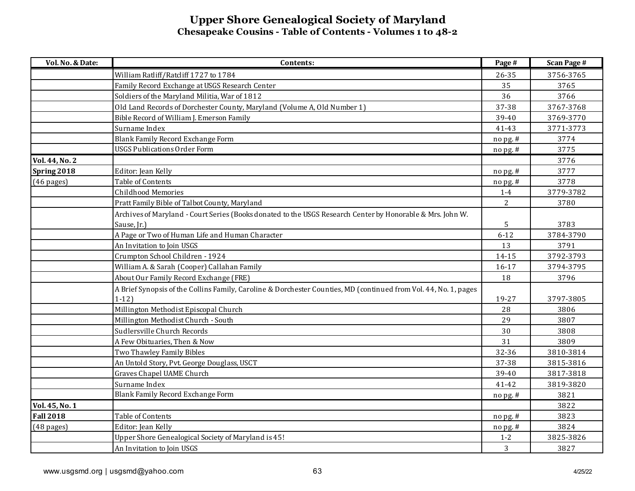| Vol. No. & Date:     | Contents:                                                                                                                   | Page #         | <b>Scan Page #</b> |
|----------------------|-----------------------------------------------------------------------------------------------------------------------------|----------------|--------------------|
|                      | William Ratliff/Ratcliff 1727 to 1784                                                                                       | 26-35          | 3756-3765          |
|                      | Family Record Exchange at USGS Research Center                                                                              | 35             | 3765               |
|                      | Soldiers of the Maryland Militia, War of 1812                                                                               | 36             | 3766               |
|                      | Old Land Records of Dorchester County, Maryland (Volume A, Old Number 1)                                                    | 37-38          | 3767-3768          |
|                      | Bible Record of William J. Emerson Family                                                                                   | 39-40          | 3769-3770          |
|                      | Surname Index                                                                                                               | 41-43          | 3771-3773          |
|                      | Blank Family Record Exchange Form                                                                                           | nopg.#         | 3774               |
|                      | <b>USGS Publications Order Form</b>                                                                                         | no pg. #       | 3775               |
| Vol. 44, No. 2       |                                                                                                                             |                | 3776               |
| Spring 2018          | Editor: Jean Kelly                                                                                                          | no pg. #       | 3777               |
| $(46 \text{ pages})$ | Table of Contents                                                                                                           | nopg.#         | 3778               |
|                      | Childhood Memories                                                                                                          | $1-4$          | 3779-3782          |
|                      | Pratt Family Bible of Talbot County, Maryland                                                                               | $\overline{2}$ | 3780               |
|                      | Archives of Maryland - Court Series (Books donated to the USGS Research Center by Honorable & Mrs. John W.                  |                |                    |
|                      | Sause, Jr.)                                                                                                                 | 5              | 3783               |
|                      | A Page or Two of Human Life and Human Character                                                                             | $6 - 12$       | 3784-3790          |
|                      | An Invitation to Join USGS                                                                                                  | 13             | 3791               |
|                      | Crumpton School Children - 1924                                                                                             | 14-15          | 3792-3793          |
|                      | William A. & Sarah (Cooper) Callahan Family                                                                                 | $16 - 17$      | 3794-3795          |
|                      | About Our Family Record Exchange (FRE)                                                                                      | 18             | 3796               |
|                      | A Brief Synopsis of the Collins Family, Caroline & Dorchester Counties, MD (continued from Vol. 44, No. 1, pages<br>$1-12)$ | 19-27          | 3797-3805          |
|                      | Millington Methodist Episcopal Church                                                                                       | 28             | 3806               |
|                      | Millington Methodist Church - South                                                                                         | 29             | 3807               |
|                      | Sudlersville Church Records                                                                                                 | 30             | 3808               |
|                      | A Few Obituaries, Then & Now                                                                                                | 31             | 3809               |
|                      | Two Thawley Family Bibles                                                                                                   | 32-36          | 3810-3814          |
|                      | An Untold Story, Pvt. George Douglass, USCT                                                                                 | 37-38          | 3815-3816          |
|                      | Graves Chapel UAME Church                                                                                                   | 39-40          | 3817-3818          |
|                      | Surname Index                                                                                                               | 41-42          | 3819-3820          |
|                      | Blank Family Record Exchange Form                                                                                           | nopg.#         | 3821               |
| Vol. 45, No. 1       |                                                                                                                             |                | 3822               |
| <b>Fall 2018</b>     | Table of Contents                                                                                                           | nopg.#         | 3823               |
| $(48 \text{ pages})$ | Editor: Jean Kelly                                                                                                          | nopg.#         | 3824               |
|                      | Upper Shore Genealogical Society of Maryland is 45!                                                                         | $1-2$          | 3825-3826          |
|                      | An Invitation to Join USGS                                                                                                  | 3              | 3827               |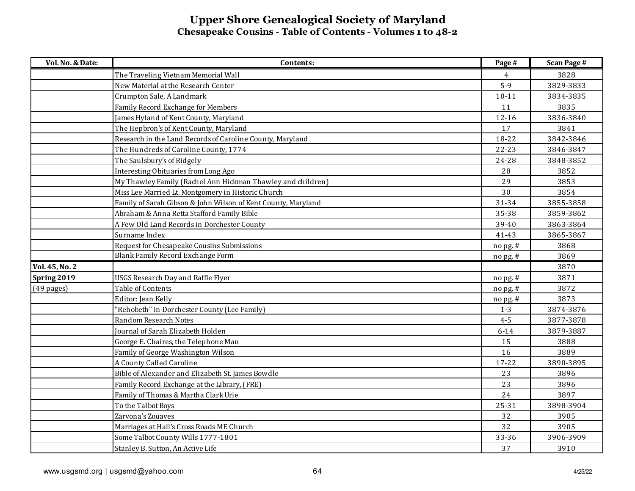| Vol. No. & Date: | Contents:                                                     | Page #     | <b>Scan Page #</b> |
|------------------|---------------------------------------------------------------|------------|--------------------|
|                  | The Traveling Vietnam Memorial Wall                           | 4          | 3828               |
|                  | New Material at the Research Center                           | $5-9$      | 3829-3833          |
|                  | Crumpton Sale, A Landmark                                     | $10 - 11$  | 3834-3835          |
|                  | Family Record Exchange for Members                            | 11         | 3835               |
|                  | James Hyland of Kent County, Maryland                         | $12 - 16$  | 3836-3840          |
|                  | The Hepbron's of Kent County, Maryland                        | 17         | 3841               |
|                  | Research in the Land Records of Caroline County, Maryland     | 18-22      | 3842-3846          |
|                  | The Hundreds of Caroline County, 1774                         | $22 - 23$  | 3846-3847          |
|                  | The Saulsbury's of Ridgely                                    | 24-28      | 3848-3852          |
|                  | Interesting Obituaries from Long Ago                          | 28         | 3852               |
|                  | My Thawley Family (Rachel Ann Hickman Thawley and children)   | 29         | 3853               |
|                  | Miss Lee Married Lt. Montgomery in Historic Church            | 30         | 3854               |
|                  | Family of Sarah Gibson & John Wilson of Kent County, Maryland | 31-34      | 3855-3858          |
|                  | Abraham & Anna Retta Stafford Family Bible                    | 35-38      | 3859-3862          |
|                  | A Few Old Land Records in Dorchester County                   | 39-40      | 3863-3864          |
|                  | Surname Index                                                 | 41-43      | 3865-3867          |
|                  | Request for Chesapeake Cousins Submissions                    | nopg.#     | 3868               |
|                  | Blank Family Record Exchange Form                             | no pg. #   | 3869               |
| Vol. 45, No. 2   |                                                               |            | 3870               |
| Spring 2019      | <b>USGS Research Day and Raffle Flyer</b>                     | $no$ pg. # | 3871               |
| $(49$ pages)     | Table of Contents                                             | no pg. #   | 3872               |
|                  | Editor: Jean Kelly                                            | nopg.#     | 3873               |
|                  | "Rehobeth" in Dorchester County (Lee Family)                  | $1 - 3$    | 3874-3876          |
|                  | Random Research Notes                                         | $4 - 5$    | 3877-3878          |
|                  | Journal of Sarah Elizabeth Holden                             | $6 - 14$   | 3879-3887          |
|                  | George E. Chaires, the Telephone Man                          | 15         | 3888               |
|                  | Family of George Washington Wilson                            | 16         | 3889               |
|                  | A County Called Caroline                                      | $17 - 22$  | 3890-3895          |
|                  | Bible of Alexander and Elizabeth St. James Bowdle             | 23         | 3896               |
|                  | Family Record Exchange at the Library, (FRE)                  | 23         | 3896               |
|                  | Family of Thomas & Martha Clark Urie                          | 24         | 3897               |
|                  | To the Talbot Boys                                            | $25 - 31$  | 3898-3904          |
|                  | Zarvona's Zouaves                                             | 32         | 3905               |
|                  | Marriages at Hall's Cross Roads ME Church                     | 32         | 3905               |
|                  | Some Talbot County Wills 1777-1801                            | 33-36      | 3906-3909          |
|                  | Stanley B. Sutton, An Active Life                             | 37         | 3910               |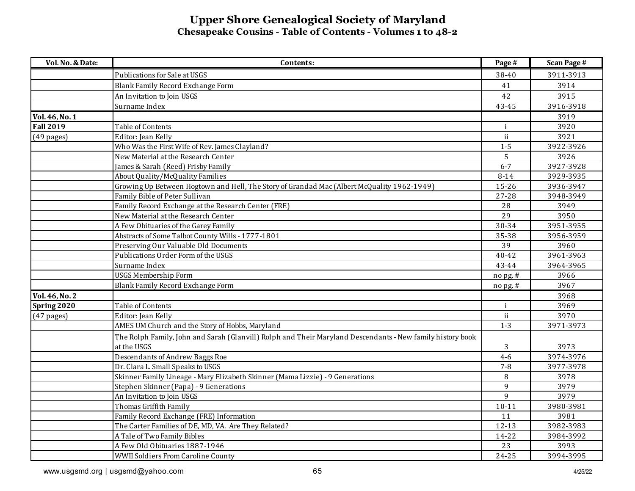| Vol. No. & Date: | Contents:                                                                                                  | Page #         | <b>Scan Page #</b> |
|------------------|------------------------------------------------------------------------------------------------------------|----------------|--------------------|
|                  | Publications for Sale at USGS                                                                              | 38-40          | 3911-3913          |
|                  | Blank Family Record Exchange Form                                                                          | 41             | 3914               |
|                  | An Invitation to Join USGS                                                                                 | 42             | 3915               |
|                  | Surname Index                                                                                              | 43-45          | 3916-3918          |
| Vol. 46, No. 1   |                                                                                                            |                | 3919               |
| <b>Fall 2019</b> | Table of Contents                                                                                          | j.             | 3920               |
| $(49$ pages)     | Editor: Jean Kelly                                                                                         | $\mathbf{ii}$  | 3921               |
|                  | Who Was the First Wife of Rev. James Clayland?                                                             | $1 - 5$        | 3922-3926          |
|                  | New Material at the Research Center                                                                        | 5              | 3926               |
|                  | James & Sarah (Reed) Frisby Family                                                                         | $6 - 7$        | 3927-3928          |
|                  | About Quality/McQuality Families                                                                           | $8 - 14$       | 3929-3935          |
|                  | Growing Up Between Hogtown and Hell, The Story of Grandad Mac (Albert McQuality 1962-1949)                 | 15-26          | 3936-3947          |
|                  | Family Bible of Peter Sullivan                                                                             | 27-28          | 3948-3949          |
|                  | Family Record Exchange at the Research Center (FRE)                                                        | 28             | 3949               |
|                  | New Material at the Research Center                                                                        | 29             | 3950               |
|                  | A Few Obituaries of the Garey Family                                                                       | 30-34          | 3951-3955          |
|                  | Abstracts of Some Talbot County Wills - 1777-1801                                                          | 35-38          | 3956-3959          |
|                  | Preserving Our Valuable Old Documents                                                                      | 39             | 3960               |
|                  | Publications Order Form of the USGS                                                                        | $40 - 42$      | 3961-3963          |
|                  | Surname Index                                                                                              | 43-44          | 3964-3965          |
|                  | <b>USGS Membership Form</b>                                                                                | no pg. #       | 3966               |
|                  | Blank Family Record Exchange Form                                                                          | nopg.#         | 3967               |
| Vol. 46, No. 2   |                                                                                                            |                | 3968               |
| Spring 2020      | Table of Contents                                                                                          | $\mathbf{i}$   | 3969               |
| $(47$ pages)     | Editor: Jean Kelly                                                                                         | ii             | 3970               |
|                  | AMES UM Church and the Story of Hobbs, Maryland                                                            | $1 - 3$        | 3971-3973          |
|                  | The Rolph Family, John and Sarah (Glanvill) Rolph and Their Maryland Descendants - New family history book |                |                    |
|                  | at the USGS                                                                                                | 3              | 3973               |
|                  | Descendants of Andrew Baggs Roe                                                                            | $4 - 6$        | 3974-3976          |
|                  | Dr. Clara L. Small Speaks to USGS                                                                          | $7 - 8$        | 3977-3978          |
|                  | Skinner Family Lineage - Mary Elizabeth Skinner (Mama Lizzie) - 9 Generations                              | $\, 8$         | 3978               |
|                  | Stephen Skinner (Papa) - 9 Generations                                                                     | 9              | 3979               |
|                  | An Invitation to Join USGS                                                                                 | $\overline{9}$ | 3979               |
|                  | Thomas Griffith Family                                                                                     | $10 - 11$      | 3980-3981          |
|                  | Family Record Exchange (FRE) Information                                                                   | 11             | 3981               |
|                  | The Carter Families of DE, MD, VA. Are They Related?                                                       | $12 - 13$      | 3982-3983          |
|                  | A Tale of Two Family Bibles                                                                                | 14-22          | 3984-3992          |
|                  | A Few Old Obituaries 1887-1946                                                                             | 23             | 3993               |
|                  | <b>WWII Soldiers From Caroline County</b>                                                                  | 24-25          | 3994-3995          |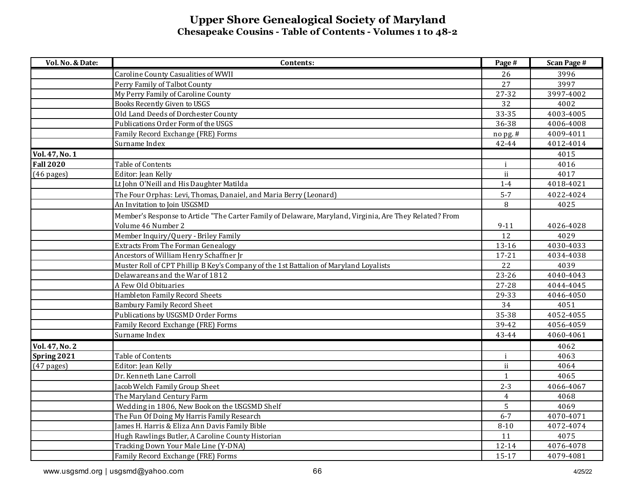| Vol. No. & Date:     | Contents:                                                                                               | Page #         | <b>Scan Page #</b> |
|----------------------|---------------------------------------------------------------------------------------------------------|----------------|--------------------|
|                      | Caroline County Casualities of WWII                                                                     | 26             | 3996               |
|                      | Perry Family of Talbot County                                                                           | 27             | 3997               |
|                      | My Perry Family of Caroline County                                                                      | 27-32          | 3997-4002          |
|                      | Books Recently Given to USGS                                                                            | 32             | 4002               |
|                      | Old Land Deeds of Dorchester County                                                                     | 33-35          | 4003-4005          |
|                      | Publications Order Form of the USGS                                                                     | 36-38          | 4006-4008          |
|                      | Family Record Exchange (FRE) Forms                                                                      | nopg.#         | 4009-4011          |
|                      | Surname Index                                                                                           | 42-44          | 4012-4014          |
| Vol. 47, No. 1       |                                                                                                         |                | 4015               |
| <b>Fall 2020</b>     | Table of Contents                                                                                       | $\mathbf{i}$   | 4016               |
| $(46 \text{ pages})$ | Editor: Jean Kelly                                                                                      | ii             | 4017               |
|                      | Lt John O'Neill and His Daughter Matilda                                                                | $1-4$          | 4018-4021          |
|                      | The Four Orphas: Levi, Thomas, Danaiel, and Maria Berry (Leonard)                                       | $5 - 7$        | 4022-4024          |
|                      | An Invitation to Join USGSMD                                                                            | 8              | 4025               |
|                      | Member's Response to Article "The Carter Family of Delaware, Maryland, Virginia, Are They Related? From |                |                    |
|                      | Volume 46 Number 2                                                                                      | $9 - 11$       | 4026-4028          |
|                      | Member Inquiry/Query - Briley Family                                                                    | 12             | 4029               |
|                      | <b>Extracts From The Forman Genealogy</b>                                                               | 13-16          | 4030-4033          |
|                      | Ancestors of William Henry Schaffner Jr                                                                 | $17 - 21$      | 4034-4038          |
|                      | Muster Roll of CPT Phillip B Key's Company of the 1st Battalion of Maryland Loyalists                   | 22             | 4039               |
|                      | Delawareans and the War of 1812                                                                         | 23-26          | 4040-4043          |
|                      | A Few Old Obituaries                                                                                    | $27 - 28$      | 4044-4045          |
|                      | Hambleton Family Record Sheets                                                                          | 29-33          | 4046-4050          |
|                      | <b>Bambury Family Record Sheet</b>                                                                      | 34             | 4051               |
|                      | Publications by USGSMD Order Forms                                                                      | 35-38          | 4052-4055          |
|                      | Family Record Exchange (FRE) Forms                                                                      | 39-42          | 4056-4059          |
|                      | Surname Index                                                                                           | 43-44          | 4060-4061          |
| Vol. 47, No. 2       |                                                                                                         |                | 4062               |
| Spring 2021          | Table of Contents                                                                                       | $\mathbf{i}$   | 4063               |
| $(47$ pages)         | Editor: Jean Kelly                                                                                      | ii             | 4064               |
|                      | Dr. Kenneth Lane Carroll                                                                                | 1              | 4065               |
|                      | Jacob Welch Family Group Sheet                                                                          | $2 - 3$        | 4066-4067          |
|                      | The Maryland Century Farm                                                                               | $\overline{4}$ | 4068               |
|                      | Wedding in 1806, New Book on the USGSMD Shelf                                                           | 5              | 4069               |
|                      | The Fun Of Doing My Harris Family Research                                                              | $6 - 7$        | 4070-4071          |
|                      | James H. Harris & Eliza Ann Davis Family Bible                                                          | $8 - 10$       | 4072-4074          |
|                      | Hugh Rawlings Butler, A Caroline County Historian                                                       | 11             | 4075               |
|                      | Tracking Down Your Male Line (Y-DNA)                                                                    | 12-14          | 4076-4078          |
|                      | Family Record Exchange (FRE) Forms                                                                      | 15-17          | 4079-4081          |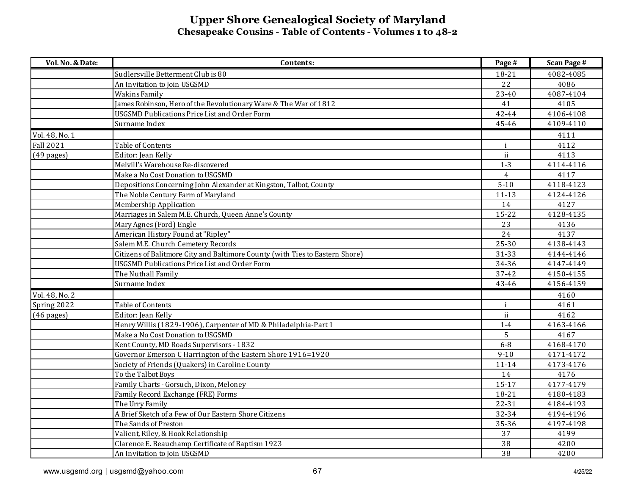| Vol. No. & Date: | Contents:                                                                    | Page #         | <b>Scan Page #</b> |
|------------------|------------------------------------------------------------------------------|----------------|--------------------|
|                  | Sudlersville Betterment Club is 80                                           | 18-21          | 4082-4085          |
|                  | An Invitation to Join USGSMD                                                 | 22             | 4086               |
|                  | <b>Wakins Family</b>                                                         | 23-40          | 4087-4104          |
|                  | James Robinson, Hero of the Revolutionary Ware & The War of 1812             | 41             | 4105               |
|                  | <b>USGSMD Publications Price List and Order Form</b>                         | 42-44          | 4106-4108          |
|                  | Surname Index                                                                | 45-46          | 4109-4110          |
| Vol. 48, No. 1   |                                                                              |                | 4111               |
| Fall 2021        | Table of Contents                                                            | $\mathbf{i}$   | 4112               |
| $(49$ pages)     | Editor: Jean Kelly                                                           | ii             | 4113               |
|                  | Melvill's Warehouse Re-discovered                                            | $1 - 3$        | 4114-4116          |
|                  | Make a No Cost Donation to USGSMD                                            | $\overline{4}$ | 4117               |
|                  | Depositions Concerning John Alexander at Kingston, Talbot, County            | $5 - 10$       | 4118-4123          |
|                  | The Noble Century Farm of Maryland                                           | $11 - 13$      | 4124-4126          |
|                  | Membership Application                                                       | 14             | 4127               |
|                  | Marriages in Salem M.E. Church, Queen Anne's County                          | 15-22          | 4128-4135          |
|                  | Mary Agnes (Ford) Engle                                                      | 23             | 4136               |
|                  | American History Found at "Ripley"                                           | 24             | 4137               |
|                  | Salem M.E. Church Cemetery Records                                           | 25-30          | 4138-4143          |
|                  | Citizens of Balitmore City and Baltimore County (with Ties to Eastern Shore) | 31-33          | 4144-4146          |
|                  | <b>USGSMD Publications Price List and Order Form</b>                         | 34-36          | 4147-4149          |
|                  | The Nuthall Family                                                           | 37-42          | 4150-4155          |
|                  | Surname Index                                                                | 43-46          | 4156-4159          |
| Vol. 48, No. 2   |                                                                              |                | 4160               |
| Spring 2022      | Table of Contents                                                            | $\mathbf{i}$   | 4161               |
| $(46$ pages)     | Editor: Jean Kelly                                                           | $\mathbf{ii}$  | 4162               |
|                  | Henry Willis (1829-1906), Carpenter of MD & Philadelphia-Part 1              | $1-4$          | 4163-4166          |
|                  | Make a No Cost Donation to USGSMD                                            | 5              | 4167               |
|                  | Kent County, MD Roads Supervisors - 1832                                     | $6-8$          | 4168-4170          |
|                  | Governor Emerson C Harrington of the Eastern Shore 1916=1920                 | $9 - 10$       | 4171-4172          |
|                  | Society of Friends (Quakers) in Caroline County                              | $11 - 14$      | 4173-4176          |
|                  | To the Talbot Boys                                                           | 14             | 4176               |
|                  | Family Charts - Gorsuch, Dixon, Meloney                                      | 15-17          | 4177-4179          |
|                  | Family Record Exchange (FRE) Forms                                           | 18-21          | 4180-4183          |
|                  | The Urry Family                                                              | 22-31          | 4184-4193          |
|                  | A Brief Sketch of a Few of Our Eastern Shore Citizens                        | 32-34          | 4194-4196          |
|                  | The Sands of Preston                                                         | 35-36          | 4197-4198          |
|                  | Valient, Riley, & Hook Relationship                                          | 37             | 4199               |
|                  | Clarence E. Beauchamp Certificate of Baptism 1923                            | 38             | 4200               |
|                  | An Invitation to Join USGSMD                                                 | 38             | 4200               |